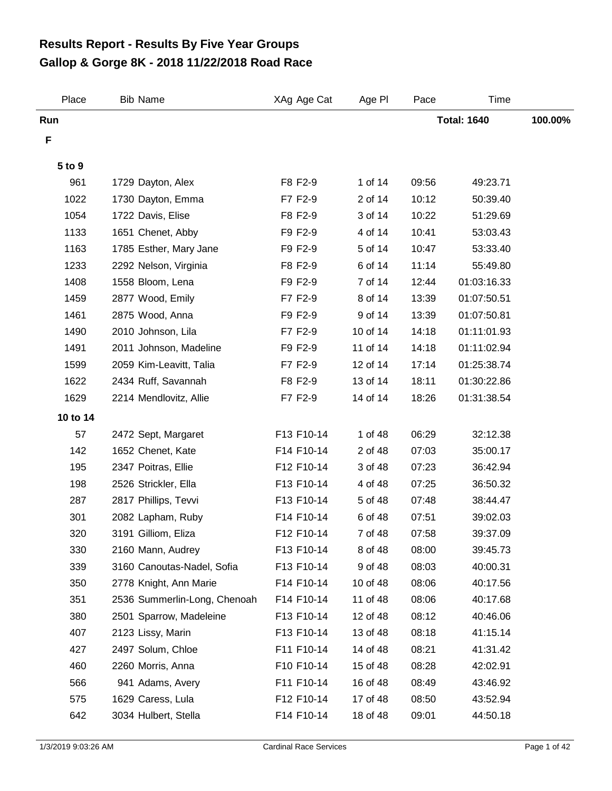## **Gallop & Gorge 8K - 2018 11/22/2018 Road Race Results Report - Results By Five Year Groups**

| Place    | <b>Bib Name</b>              | XAg Age Cat | Age PI   | Pace               | Time        |         |
|----------|------------------------------|-------------|----------|--------------------|-------------|---------|
| Run      |                              |             |          | <b>Total: 1640</b> |             | 100.00% |
| F        |                              |             |          |                    |             |         |
| 5 to 9   |                              |             |          |                    |             |         |
| 961      | 1729 Dayton, Alex            | F8 F2-9     | 1 of 14  | 09:56              | 49:23.71    |         |
| 1022     | 1730 Dayton, Emma            | F7 F2-9     | 2 of 14  | 10:12              | 50:39.40    |         |
| 1054     | 1722 Davis, Elise            | F8 F2-9     | 3 of 14  | 10:22              | 51:29.69    |         |
| 1133     | 1651 Chenet, Abby            | F9 F2-9     | 4 of 14  | 10:41              | 53:03.43    |         |
| 1163     | 1785 Esther, Mary Jane       | F9 F2-9     | 5 of 14  | 10:47              | 53:33.40    |         |
| 1233     | 2292 Nelson, Virginia        | F8 F2-9     | 6 of 14  | 11:14              | 55:49.80    |         |
| 1408     | 1558 Bloom, Lena             | F9 F2-9     | 7 of 14  | 12:44              | 01:03:16.33 |         |
| 1459     | 2877 Wood, Emily             | F7 F2-9     | 8 of 14  | 13:39              | 01:07:50.51 |         |
| 1461     | 2875 Wood, Anna              | F9 F2-9     | 9 of 14  | 13:39              | 01:07:50.81 |         |
| 1490     | 2010 Johnson, Lila           | F7 F2-9     | 10 of 14 | 14:18              | 01:11:01.93 |         |
| 1491     | 2011 Johnson, Madeline       | F9 F2-9     | 11 of 14 | 14:18              | 01:11:02.94 |         |
| 1599     | 2059 Kim-Leavitt, Talia      | F7 F2-9     | 12 of 14 | 17:14              | 01:25:38.74 |         |
| 1622     | 2434 Ruff, Savannah          | F8 F2-9     | 13 of 14 | 18:11              | 01:30:22.86 |         |
| 1629     | 2214 Mendlovitz, Allie       | F7 F2-9     | 14 of 14 | 18:26              | 01:31:38.54 |         |
| 10 to 14 |                              |             |          |                    |             |         |
| 57       | 2472 Sept, Margaret          | F13 F10-14  | 1 of 48  | 06:29              | 32:12.38    |         |
| 142      | 1652 Chenet, Kate            | F14 F10-14  | 2 of 48  | 07:03              | 35:00.17    |         |
| 195      | 2347 Poitras, Ellie          | F12 F10-14  | 3 of 48  | 07:23              | 36:42.94    |         |
| 198      | 2526 Strickler, Ella         | F13 F10-14  | 4 of 48  | 07:25              | 36:50.32    |         |
| 287      | 2817 Phillips, Tevvi         | F13 F10-14  | 5 of 48  | 07:48              | 38:44.47    |         |
| 301      | 2082 Lapham, Ruby            | F14 F10-14  | 6 of 48  | 07:51              | 39:02.03    |         |
| 320      | 3191 Gilliom, Eliza          | F12 F10-14  | 7 of 48  | 07:58              | 39:37.09    |         |
| 330      | 2160 Mann, Audrey            | F13 F10-14  | 8 of 48  | 08:00              | 39:45.73    |         |
| 339      | 3160 Canoutas-Nadel, Sofia   | F13 F10-14  | 9 of 48  | 08:03              | 40:00.31    |         |
| 350      | 2778 Knight, Ann Marie       | F14 F10-14  | 10 of 48 | 08:06              | 40:17.56    |         |
| 351      | 2536 Summerlin-Long, Chenoah | F14 F10-14  | 11 of 48 | 08:06              | 40:17.68    |         |
| 380      | 2501 Sparrow, Madeleine      | F13 F10-14  | 12 of 48 | 08:12              | 40:46.06    |         |
| 407      | 2123 Lissy, Marin            | F13 F10-14  | 13 of 48 | 08:18              | 41:15.14    |         |
| 427      | 2497 Solum, Chloe            | F11 F10-14  | 14 of 48 | 08:21              | 41:31.42    |         |
| 460      | 2260 Morris, Anna            | F10 F10-14  | 15 of 48 | 08:28              | 42:02.91    |         |
| 566      | 941 Adams, Avery             | F11 F10-14  | 16 of 48 | 08:49              | 43:46.92    |         |
| 575      | 1629 Caress, Lula            | F12 F10-14  | 17 of 48 | 08:50              | 43:52.94    |         |
| 642      | 3034 Hulbert, Stella         | F14 F10-14  | 18 of 48 | 09:01              | 44:50.18    |         |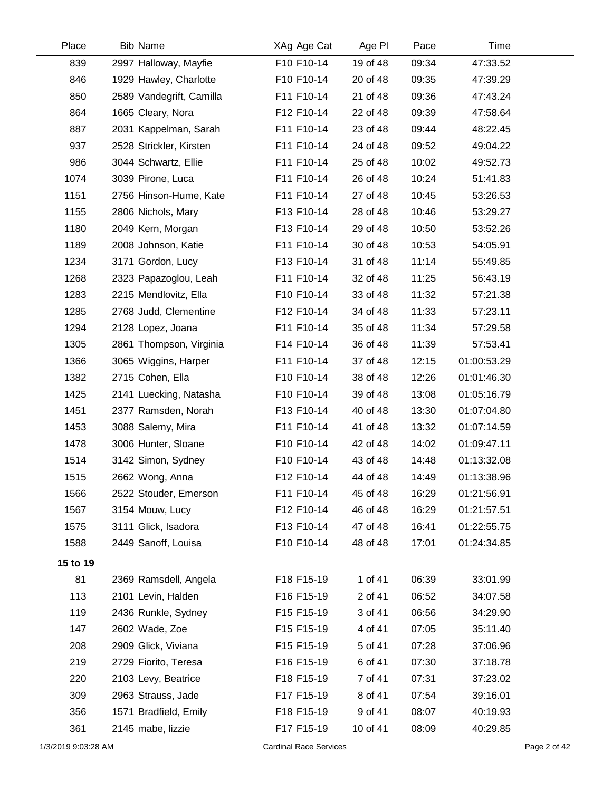| Place    | <b>Bib Name</b>          | XAg Age Cat | Age PI   | Pace  | Time        |  |
|----------|--------------------------|-------------|----------|-------|-------------|--|
| 839      | 2997 Halloway, Mayfie    | F10 F10-14  | 19 of 48 | 09:34 | 47:33.52    |  |
| 846      | 1929 Hawley, Charlotte   | F10 F10-14  | 20 of 48 | 09:35 | 47:39.29    |  |
| 850      | 2589 Vandegrift, Camilla | F11 F10-14  | 21 of 48 | 09:36 | 47:43.24    |  |
| 864      | 1665 Cleary, Nora        | F12 F10-14  | 22 of 48 | 09:39 | 47:58.64    |  |
| 887      | 2031 Kappelman, Sarah    | F11 F10-14  | 23 of 48 | 09:44 | 48:22.45    |  |
| 937      | 2528 Strickler, Kirsten  | F11 F10-14  | 24 of 48 | 09:52 | 49:04.22    |  |
| 986      | 3044 Schwartz, Ellie     | F11 F10-14  | 25 of 48 | 10:02 | 49:52.73    |  |
| 1074     | 3039 Pirone, Luca        | F11 F10-14  | 26 of 48 | 10:24 | 51:41.83    |  |
| 1151     | 2756 Hinson-Hume, Kate   | F11 F10-14  | 27 of 48 | 10:45 | 53:26.53    |  |
| 1155     | 2806 Nichols, Mary       | F13 F10-14  | 28 of 48 | 10:46 | 53:29.27    |  |
| 1180     | 2049 Kern, Morgan        | F13 F10-14  | 29 of 48 | 10:50 | 53:52.26    |  |
| 1189     | 2008 Johnson, Katie      | F11 F10-14  | 30 of 48 | 10:53 | 54:05.91    |  |
| 1234     | 3171 Gordon, Lucy        | F13 F10-14  | 31 of 48 | 11:14 | 55:49.85    |  |
| 1268     | 2323 Papazoglou, Leah    | F11 F10-14  | 32 of 48 | 11:25 | 56:43.19    |  |
| 1283     | 2215 Mendlovitz, Ella    | F10 F10-14  | 33 of 48 | 11:32 | 57:21.38    |  |
| 1285     | 2768 Judd, Clementine    | F12 F10-14  | 34 of 48 | 11:33 | 57:23.11    |  |
| 1294     | 2128 Lopez, Joana        | F11 F10-14  | 35 of 48 | 11:34 | 57:29.58    |  |
| 1305     | 2861 Thompson, Virginia  | F14 F10-14  | 36 of 48 | 11:39 | 57:53.41    |  |
| 1366     | 3065 Wiggins, Harper     | F11 F10-14  | 37 of 48 | 12:15 | 01:00:53.29 |  |
| 1382     | 2715 Cohen, Ella         | F10 F10-14  | 38 of 48 | 12:26 | 01:01:46.30 |  |
| 1425     | 2141 Luecking, Natasha   | F10 F10-14  | 39 of 48 | 13:08 | 01:05:16.79 |  |
| 1451     | 2377 Ramsden, Norah      | F13 F10-14  | 40 of 48 | 13:30 | 01:07:04.80 |  |
| 1453     | 3088 Salemy, Mira        | F11 F10-14  | 41 of 48 | 13:32 | 01:07:14.59 |  |
| 1478     | 3006 Hunter, Sloane      | F10 F10-14  | 42 of 48 | 14:02 | 01:09:47.11 |  |
| 1514     | 3142 Simon, Sydney       | F10 F10-14  | 43 of 48 | 14:48 | 01:13:32.08 |  |
| 1515     | 2662 Wong, Anna          | F12 F10-14  | 44 of 48 | 14:49 | 01:13:38.96 |  |
| 1566     | 2522 Stouder, Emerson    | F11 F10-14  | 45 of 48 | 16:29 | 01:21:56.91 |  |
| 1567     | 3154 Mouw, Lucy          | F12 F10-14  | 46 of 48 | 16:29 | 01:21:57.51 |  |
| 1575     | 3111 Glick, Isadora      | F13 F10-14  | 47 of 48 | 16:41 | 01:22:55.75 |  |
| 1588     | 2449 Sanoff, Louisa      | F10 F10-14  | 48 of 48 | 17:01 | 01:24:34.85 |  |
| 15 to 19 |                          |             |          |       |             |  |
| 81       | 2369 Ramsdell, Angela    | F18 F15-19  | 1 of 41  | 06:39 | 33:01.99    |  |
| 113      | 2101 Levin, Halden       | F16 F15-19  | 2 of 41  | 06:52 | 34:07.58    |  |
| 119      | 2436 Runkle, Sydney      | F15 F15-19  | 3 of 41  | 06:56 | 34:29.90    |  |
| 147      | 2602 Wade, Zoe           | F15 F15-19  | 4 of 41  | 07:05 | 35:11.40    |  |
| 208      | 2909 Glick, Viviana      | F15 F15-19  | 5 of 41  | 07:28 | 37:06.96    |  |
| 219      | 2729 Fiorito, Teresa     | F16 F15-19  | 6 of 41  | 07:30 | 37:18.78    |  |
| 220      | 2103 Levy, Beatrice      | F18 F15-19  | 7 of 41  | 07:31 | 37:23.02    |  |
| 309      | 2963 Strauss, Jade       | F17 F15-19  | 8 of 41  | 07:54 | 39:16.01    |  |
| 356      | 1571 Bradfield, Emily    | F18 F15-19  | 9 of 41  | 08:07 | 40:19.93    |  |
| 361      | 2145 mabe, lizzie        | F17 F15-19  | 10 of 41 | 08:09 | 40:29.85    |  |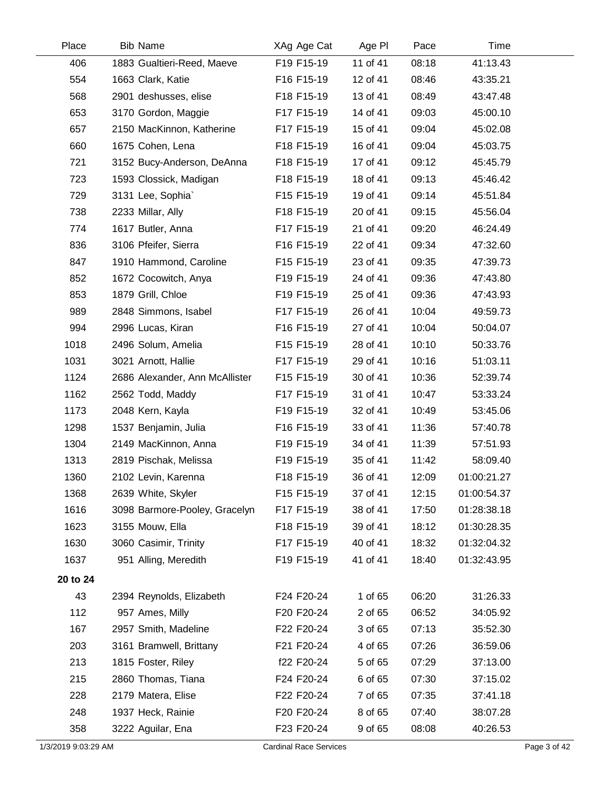| Place               | <b>Bib Name</b>                | XAg Age Cat                   | Age PI   | Pace  | Time        |              |
|---------------------|--------------------------------|-------------------------------|----------|-------|-------------|--------------|
| 406                 | 1883 Gualtieri-Reed, Maeve     | F19 F15-19                    | 11 of 41 | 08:18 | 41:13.43    |              |
| 554                 | 1663 Clark, Katie              | F16 F15-19                    | 12 of 41 | 08:46 | 43:35.21    |              |
| 568                 | 2901 deshusses, elise          | F18 F15-19                    | 13 of 41 | 08:49 | 43:47.48    |              |
| 653                 | 3170 Gordon, Maggie            | F17 F15-19                    | 14 of 41 | 09:03 | 45:00.10    |              |
| 657                 | 2150 MacKinnon, Katherine      | F17 F15-19                    | 15 of 41 | 09:04 | 45:02.08    |              |
| 660                 | 1675 Cohen, Lena               | F18 F15-19                    | 16 of 41 | 09:04 | 45:03.75    |              |
| 721                 | 3152 Bucy-Anderson, DeAnna     | F18 F15-19                    | 17 of 41 | 09:12 | 45:45.79    |              |
| 723                 | 1593 Clossick, Madigan         | F18 F15-19                    | 18 of 41 | 09:13 | 45:46.42    |              |
| 729                 | 3131 Lee, Sophia`              | F15 F15-19                    | 19 of 41 | 09:14 | 45:51.84    |              |
| 738                 | 2233 Millar, Ally              | F18 F15-19                    | 20 of 41 | 09:15 | 45:56.04    |              |
| 774                 | 1617 Butler, Anna              | F17 F15-19                    | 21 of 41 | 09:20 | 46:24.49    |              |
| 836                 | 3106 Pfeifer, Sierra           | F16 F15-19                    | 22 of 41 | 09:34 | 47:32.60    |              |
| 847                 | 1910 Hammond, Caroline         | F15 F15-19                    | 23 of 41 | 09:35 | 47:39.73    |              |
| 852                 | 1672 Cocowitch, Anya           | F19 F15-19                    | 24 of 41 | 09:36 | 47:43.80    |              |
| 853                 | 1879 Grill, Chloe              | F19 F15-19                    | 25 of 41 | 09:36 | 47:43.93    |              |
| 989                 | 2848 Simmons, Isabel           | F17 F15-19                    | 26 of 41 | 10:04 | 49:59.73    |              |
| 994                 | 2996 Lucas, Kiran              | F16 F15-19                    | 27 of 41 | 10:04 | 50:04.07    |              |
| 1018                | 2496 Solum, Amelia             | F15 F15-19                    | 28 of 41 | 10:10 | 50:33.76    |              |
| 1031                | 3021 Arnott, Hallie            | F17 F15-19                    | 29 of 41 | 10:16 | 51:03.11    |              |
| 1124                | 2686 Alexander, Ann McAllister | F15 F15-19                    | 30 of 41 | 10:36 | 52:39.74    |              |
| 1162                | 2562 Todd, Maddy               | F17 F15-19                    | 31 of 41 | 10:47 | 53:33.24    |              |
| 1173                | 2048 Kern, Kayla               | F19 F15-19                    | 32 of 41 | 10:49 | 53:45.06    |              |
| 1298                | 1537 Benjamin, Julia           | F16 F15-19                    | 33 of 41 | 11:36 | 57:40.78    |              |
| 1304                | 2149 MacKinnon, Anna           | F19 F15-19                    | 34 of 41 | 11:39 | 57:51.93    |              |
| 1313                | 2819 Pischak, Melissa          | F19 F15-19                    | 35 of 41 | 11:42 | 58:09.40    |              |
| 1360                | 2102 Levin, Karenna            | F18 F15-19                    | 36 of 41 | 12:09 | 01:00:21.27 |              |
| 1368                | 2639 White, Skyler             | F15 F15-19                    | 37 of 41 | 12:15 | 01:00:54.37 |              |
| 1616                | 3098 Barmore-Pooley, Gracelyn  | F17 F15-19                    | 38 of 41 | 17:50 | 01:28:38.18 |              |
| 1623                | 3155 Mouw, Ella                | F18 F15-19                    | 39 of 41 | 18:12 | 01:30:28.35 |              |
| 1630                | 3060 Casimir, Trinity          | F17 F15-19                    | 40 of 41 | 18:32 | 01:32:04.32 |              |
| 1637                | 951 Alling, Meredith           | F19 F15-19                    | 41 of 41 | 18:40 | 01:32:43.95 |              |
| 20 to 24            |                                |                               |          |       |             |              |
| 43                  | 2394 Reynolds, Elizabeth       | F24 F20-24                    | 1 of 65  | 06:20 | 31:26.33    |              |
| 112                 | 957 Ames, Milly                | F20 F20-24                    | 2 of 65  | 06:52 | 34:05.92    |              |
| 167                 | 2957 Smith, Madeline           | F22 F20-24                    | 3 of 65  | 07:13 | 35:52.30    |              |
| 203                 | 3161 Bramwell, Brittany        | F21 F20-24                    | 4 of 65  | 07:26 | 36:59.06    |              |
| 213                 | 1815 Foster, Riley             | f22 F20-24                    | 5 of 65  | 07:29 | 37:13.00    |              |
| 215                 | 2860 Thomas, Tiana             | F24 F20-24                    | 6 of 65  | 07:30 | 37:15.02    |              |
| 228                 | 2179 Matera, Elise             | F22 F20-24                    | 7 of 65  | 07:35 | 37:41.18    |              |
| 248                 | 1937 Heck, Rainie              | F20 F20-24                    | 8 of 65  | 07:40 | 38:07.28    |              |
| 358                 | 3222 Aguilar, Ena              | F23 F20-24                    | 9 of 65  | 08:08 | 40:26.53    |              |
| 1/3/2019 9:03:29 AM |                                | <b>Cardinal Race Services</b> |          |       |             | Page 3 of 42 |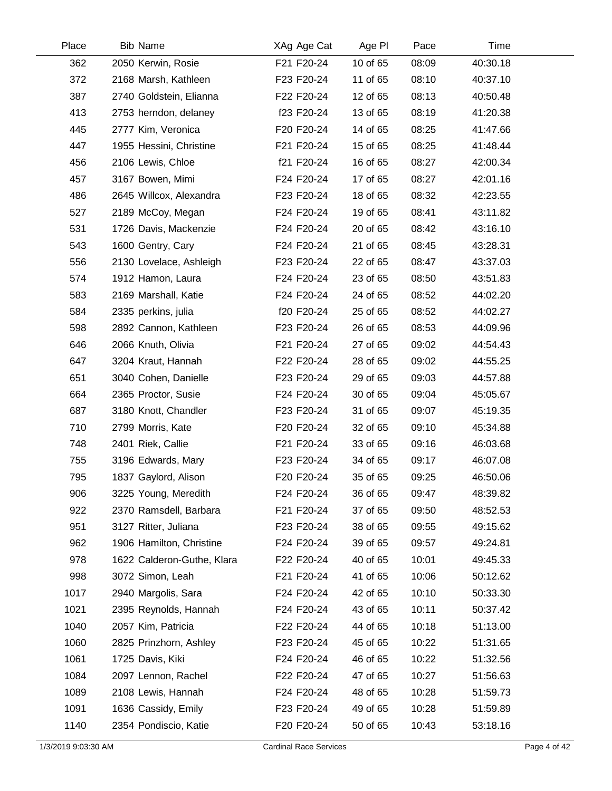| Place | <b>Bib Name</b>            | XAg Age Cat | Age PI   | Pace  | Time     |  |
|-------|----------------------------|-------------|----------|-------|----------|--|
| 362   | 2050 Kerwin, Rosie         | F21 F20-24  | 10 of 65 | 08:09 | 40:30.18 |  |
| 372   | 2168 Marsh, Kathleen       | F23 F20-24  | 11 of 65 | 08:10 | 40:37.10 |  |
| 387   | 2740 Goldstein, Elianna    | F22 F20-24  | 12 of 65 | 08:13 | 40:50.48 |  |
| 413   | 2753 herndon, delaney      | f23 F20-24  | 13 of 65 | 08:19 | 41:20.38 |  |
| 445   | 2777 Kim, Veronica         | F20 F20-24  | 14 of 65 | 08:25 | 41:47.66 |  |
| 447   | 1955 Hessini, Christine    | F21 F20-24  | 15 of 65 | 08:25 | 41:48.44 |  |
| 456   | 2106 Lewis, Chloe          | f21 F20-24  | 16 of 65 | 08:27 | 42:00.34 |  |
| 457   | 3167 Bowen, Mimi           | F24 F20-24  | 17 of 65 | 08:27 | 42:01.16 |  |
| 486   | 2645 Willcox, Alexandra    | F23 F20-24  | 18 of 65 | 08:32 | 42:23.55 |  |
| 527   | 2189 McCoy, Megan          | F24 F20-24  | 19 of 65 | 08:41 | 43:11.82 |  |
| 531   | 1726 Davis, Mackenzie      | F24 F20-24  | 20 of 65 | 08:42 | 43:16.10 |  |
| 543   | 1600 Gentry, Cary          | F24 F20-24  | 21 of 65 | 08:45 | 43:28.31 |  |
| 556   | 2130 Lovelace, Ashleigh    | F23 F20-24  | 22 of 65 | 08:47 | 43:37.03 |  |
| 574   | 1912 Hamon, Laura          | F24 F20-24  | 23 of 65 | 08:50 | 43:51.83 |  |
| 583   | 2169 Marshall, Katie       | F24 F20-24  | 24 of 65 | 08:52 | 44:02.20 |  |
| 584   | 2335 perkins, julia        | f20 F20-24  | 25 of 65 | 08:52 | 44:02.27 |  |
| 598   | 2892 Cannon, Kathleen      | F23 F20-24  | 26 of 65 | 08:53 | 44:09.96 |  |
| 646   | 2066 Knuth, Olivia         | F21 F20-24  | 27 of 65 | 09:02 | 44:54.43 |  |
| 647   | 3204 Kraut, Hannah         | F22 F20-24  | 28 of 65 | 09:02 | 44:55.25 |  |
| 651   | 3040 Cohen, Danielle       | F23 F20-24  | 29 of 65 | 09:03 | 44:57.88 |  |
| 664   | 2365 Proctor, Susie        | F24 F20-24  | 30 of 65 | 09:04 | 45:05.67 |  |
| 687   | 3180 Knott, Chandler       | F23 F20-24  | 31 of 65 | 09:07 | 45:19.35 |  |
| 710   | 2799 Morris, Kate          | F20 F20-24  | 32 of 65 | 09:10 | 45:34.88 |  |
| 748   | 2401 Riek, Callie          | F21 F20-24  | 33 of 65 | 09:16 | 46:03.68 |  |
| 755   | 3196 Edwards, Mary         | F23 F20-24  | 34 of 65 | 09:17 | 46:07.08 |  |
| 795   | 1837 Gaylord, Alison       | F20 F20-24  | 35 of 65 | 09:25 | 46:50.06 |  |
| 906   | 3225 Young, Meredith       | F24 F20-24  | 36 of 65 | 09:47 | 48:39.82 |  |
| 922   | 2370 Ramsdell, Barbara     | F21 F20-24  | 37 of 65 | 09:50 | 48:52.53 |  |
| 951   | 3127 Ritter, Juliana       | F23 F20-24  | 38 of 65 | 09:55 | 49:15.62 |  |
| 962   | 1906 Hamilton, Christine   | F24 F20-24  | 39 of 65 | 09:57 | 49:24.81 |  |
| 978   | 1622 Calderon-Guthe, Klara | F22 F20-24  | 40 of 65 | 10:01 | 49:45.33 |  |
| 998   | 3072 Simon, Leah           | F21 F20-24  | 41 of 65 | 10:06 | 50:12.62 |  |
| 1017  | 2940 Margolis, Sara        | F24 F20-24  | 42 of 65 | 10:10 | 50:33.30 |  |
| 1021  | 2395 Reynolds, Hannah      | F24 F20-24  | 43 of 65 | 10:11 | 50:37.42 |  |
| 1040  | 2057 Kim, Patricia         | F22 F20-24  | 44 of 65 | 10:18 | 51:13.00 |  |
| 1060  | 2825 Prinzhorn, Ashley     | F23 F20-24  | 45 of 65 | 10:22 | 51:31.65 |  |
| 1061  | 1725 Davis, Kiki           | F24 F20-24  | 46 of 65 | 10:22 | 51:32.56 |  |
| 1084  | 2097 Lennon, Rachel        | F22 F20-24  | 47 of 65 | 10:27 | 51:56.63 |  |
| 1089  | 2108 Lewis, Hannah         | F24 F20-24  | 48 of 65 | 10:28 | 51:59.73 |  |
| 1091  | 1636 Cassidy, Emily        | F23 F20-24  | 49 of 65 | 10:28 | 51:59.89 |  |
| 1140  | 2354 Pondiscio, Katie      | F20 F20-24  | 50 of 65 | 10:43 | 53:18.16 |  |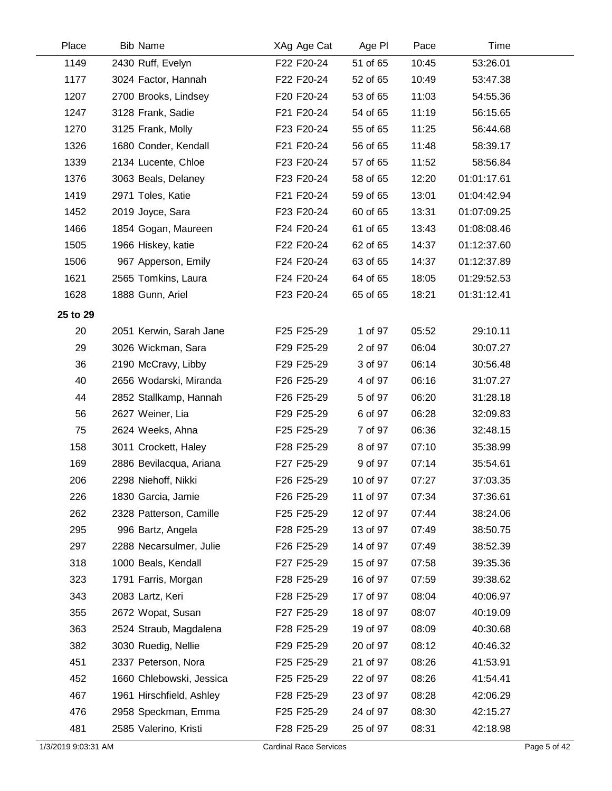| Place    | <b>Bib Name</b>          | XAg Age Cat | Age PI   | Pace  | Time        |  |
|----------|--------------------------|-------------|----------|-------|-------------|--|
| 1149     | 2430 Ruff, Evelyn        | F22 F20-24  | 51 of 65 | 10:45 | 53:26.01    |  |
| 1177     | 3024 Factor, Hannah      | F22 F20-24  | 52 of 65 | 10:49 | 53:47.38    |  |
| 1207     | 2700 Brooks, Lindsey     | F20 F20-24  | 53 of 65 | 11:03 | 54:55.36    |  |
| 1247     | 3128 Frank, Sadie        | F21 F20-24  | 54 of 65 | 11:19 | 56:15.65    |  |
| 1270     | 3125 Frank, Molly        | F23 F20-24  | 55 of 65 | 11:25 | 56:44.68    |  |
| 1326     | 1680 Conder, Kendall     | F21 F20-24  | 56 of 65 | 11:48 | 58:39.17    |  |
| 1339     | 2134 Lucente, Chloe      | F23 F20-24  | 57 of 65 | 11:52 | 58:56.84    |  |
| 1376     | 3063 Beals, Delaney      | F23 F20-24  | 58 of 65 | 12:20 | 01:01:17.61 |  |
| 1419     | 2971 Toles, Katie        | F21 F20-24  | 59 of 65 | 13:01 | 01:04:42.94 |  |
| 1452     | 2019 Joyce, Sara         | F23 F20-24  | 60 of 65 | 13:31 | 01:07:09.25 |  |
| 1466     | 1854 Gogan, Maureen      | F24 F20-24  | 61 of 65 | 13:43 | 01:08:08.46 |  |
| 1505     | 1966 Hiskey, katie       | F22 F20-24  | 62 of 65 | 14:37 | 01:12:37.60 |  |
| 1506     | 967 Apperson, Emily      | F24 F20-24  | 63 of 65 | 14:37 | 01:12:37.89 |  |
| 1621     | 2565 Tomkins, Laura      | F24 F20-24  | 64 of 65 | 18:05 | 01:29:52.53 |  |
| 1628     | 1888 Gunn, Ariel         | F23 F20-24  | 65 of 65 | 18:21 | 01:31:12.41 |  |
| 25 to 29 |                          |             |          |       |             |  |
| 20       | 2051 Kerwin, Sarah Jane  | F25 F25-29  | 1 of 97  | 05:52 | 29:10.11    |  |
| 29       | 3026 Wickman, Sara       | F29 F25-29  | 2 of 97  | 06:04 | 30:07.27    |  |
| 36       | 2190 McCravy, Libby      | F29 F25-29  | 3 of 97  | 06:14 | 30:56.48    |  |
| 40       | 2656 Wodarski, Miranda   | F26 F25-29  | 4 of 97  | 06:16 | 31:07.27    |  |
| 44       | 2852 Stallkamp, Hannah   | F26 F25-29  | 5 of 97  | 06:20 | 31:28.18    |  |
| 56       | 2627 Weiner, Lia         | F29 F25-29  | 6 of 97  | 06:28 | 32:09.83    |  |
| 75       | 2624 Weeks, Ahna         | F25 F25-29  | 7 of 97  | 06:36 | 32:48.15    |  |
| 158      | 3011 Crockett, Haley     | F28 F25-29  | 8 of 97  | 07:10 | 35:38.99    |  |
| 169      | 2886 Bevilacqua, Ariana  | F27 F25-29  | 9 of 97  | 07:14 | 35:54.61    |  |
| 206      | 2298 Niehoff, Nikki      | F26 F25-29  | 10 of 97 | 07:27 | 37:03.35    |  |
| 226      | 1830 Garcia, Jamie       | F26 F25-29  | 11 of 97 | 07:34 | 37:36.61    |  |
| 262      | 2328 Patterson, Camille  | F25 F25-29  | 12 of 97 | 07:44 | 38:24.06    |  |
| 295      | 996 Bartz, Angela        | F28 F25-29  | 13 of 97 | 07:49 | 38:50.75    |  |
| 297      | 2288 Necarsulmer, Julie  | F26 F25-29  | 14 of 97 | 07:49 | 38:52.39    |  |
| 318      | 1000 Beals, Kendall      | F27 F25-29  | 15 of 97 | 07:58 | 39:35.36    |  |
| 323      | 1791 Farris, Morgan      | F28 F25-29  | 16 of 97 | 07:59 | 39:38.62    |  |
| 343      | 2083 Lartz, Keri         | F28 F25-29  | 17 of 97 | 08:04 | 40:06.97    |  |
| 355      | 2672 Wopat, Susan        | F27 F25-29  | 18 of 97 | 08:07 | 40:19.09    |  |
| 363      | 2524 Straub, Magdalena   | F28 F25-29  | 19 of 97 | 08:09 | 40:30.68    |  |
| 382      | 3030 Ruedig, Nellie      | F29 F25-29  | 20 of 97 | 08:12 | 40:46.32    |  |
| 451      | 2337 Peterson, Nora      | F25 F25-29  | 21 of 97 | 08:26 | 41:53.91    |  |
| 452      | 1660 Chlebowski, Jessica | F25 F25-29  | 22 of 97 | 08:26 | 41:54.41    |  |
| 467      | 1961 Hirschfield, Ashley | F28 F25-29  | 23 of 97 | 08:28 | 42:06.29    |  |
| 476      | 2958 Speckman, Emma      | F25 F25-29  | 24 of 97 | 08:30 | 42:15.27    |  |
| 481      | 2585 Valerino, Kristi    | F28 F25-29  | 25 of 97 | 08:31 | 42:18.98    |  |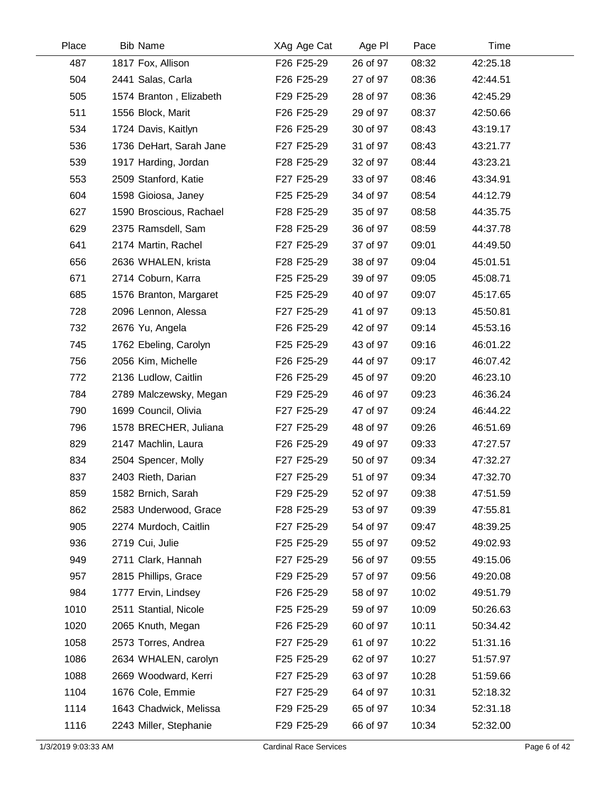| Place | <b>Bib Name</b>         | XAg Age Cat | Age PI   | Pace  | Time     |  |
|-------|-------------------------|-------------|----------|-------|----------|--|
| 487   | 1817 Fox, Allison       | F26 F25-29  | 26 of 97 | 08:32 | 42:25.18 |  |
| 504   | 2441 Salas, Carla       | F26 F25-29  | 27 of 97 | 08:36 | 42:44.51 |  |
| 505   | 1574 Branton, Elizabeth | F29 F25-29  | 28 of 97 | 08:36 | 42:45.29 |  |
| 511   | 1556 Block, Marit       | F26 F25-29  | 29 of 97 | 08:37 | 42:50.66 |  |
| 534   | 1724 Davis, Kaitlyn     | F26 F25-29  | 30 of 97 | 08:43 | 43:19.17 |  |
| 536   | 1736 DeHart, Sarah Jane | F27 F25-29  | 31 of 97 | 08:43 | 43:21.77 |  |
| 539   | 1917 Harding, Jordan    | F28 F25-29  | 32 of 97 | 08:44 | 43:23.21 |  |
| 553   | 2509 Stanford, Katie    | F27 F25-29  | 33 of 97 | 08:46 | 43:34.91 |  |
| 604   | 1598 Gioiosa, Janey     | F25 F25-29  | 34 of 97 | 08:54 | 44:12.79 |  |
| 627   | 1590 Broscious, Rachael | F28 F25-29  | 35 of 97 | 08:58 | 44:35.75 |  |
| 629   | 2375 Ramsdell, Sam      | F28 F25-29  | 36 of 97 | 08:59 | 44:37.78 |  |
| 641   | 2174 Martin, Rachel     | F27 F25-29  | 37 of 97 | 09:01 | 44:49.50 |  |
| 656   | 2636 WHALEN, krista     | F28 F25-29  | 38 of 97 | 09:04 | 45:01.51 |  |
| 671   | 2714 Coburn, Karra      | F25 F25-29  | 39 of 97 | 09:05 | 45:08.71 |  |
| 685   | 1576 Branton, Margaret  | F25 F25-29  | 40 of 97 | 09:07 | 45:17.65 |  |
| 728   | 2096 Lennon, Alessa     | F27 F25-29  | 41 of 97 | 09:13 | 45:50.81 |  |
| 732   | 2676 Yu, Angela         | F26 F25-29  | 42 of 97 | 09:14 | 45:53.16 |  |
| 745   | 1762 Ebeling, Carolyn   | F25 F25-29  | 43 of 97 | 09:16 | 46:01.22 |  |
| 756   | 2056 Kim, Michelle      | F26 F25-29  | 44 of 97 | 09:17 | 46:07.42 |  |
| 772   | 2136 Ludlow, Caitlin    | F26 F25-29  | 45 of 97 | 09:20 | 46:23.10 |  |
| 784   | 2789 Malczewsky, Megan  | F29 F25-29  | 46 of 97 | 09:23 | 46:36.24 |  |
| 790   | 1699 Council, Olivia    | F27 F25-29  | 47 of 97 | 09:24 | 46:44.22 |  |
| 796   | 1578 BRECHER, Juliana   | F27 F25-29  | 48 of 97 | 09:26 | 46:51.69 |  |
| 829   | 2147 Machlin, Laura     | F26 F25-29  | 49 of 97 | 09:33 | 47:27.57 |  |
| 834   | 2504 Spencer, Molly     | F27 F25-29  | 50 of 97 | 09:34 | 47:32.27 |  |
| 837   | 2403 Rieth, Darian      | F27 F25-29  | 51 of 97 | 09:34 | 47:32.70 |  |
| 859   | 1582 Brnich, Sarah      | F29 F25-29  | 52 of 97 | 09:38 | 47:51.59 |  |
| 862   | 2583 Underwood, Grace   | F28 F25-29  | 53 of 97 | 09:39 | 47:55.81 |  |
| 905   | 2274 Murdoch, Caitlin   | F27 F25-29  | 54 of 97 | 09:47 | 48:39.25 |  |
| 936   | 2719 Cui, Julie         | F25 F25-29  | 55 of 97 | 09:52 | 49:02.93 |  |
| 949   | 2711 Clark, Hannah      | F27 F25-29  | 56 of 97 | 09:55 | 49:15.06 |  |
| 957   | 2815 Phillips, Grace    | F29 F25-29  | 57 of 97 | 09:56 | 49:20.08 |  |
| 984   | 1777 Ervin, Lindsey     | F26 F25-29  | 58 of 97 | 10:02 | 49:51.79 |  |
| 1010  | 2511 Stantial, Nicole   | F25 F25-29  | 59 of 97 | 10:09 | 50:26.63 |  |
| 1020  | 2065 Knuth, Megan       | F26 F25-29  | 60 of 97 | 10:11 | 50:34.42 |  |
| 1058  | 2573 Torres, Andrea     | F27 F25-29  | 61 of 97 | 10:22 | 51:31.16 |  |
| 1086  | 2634 WHALEN, carolyn    | F25 F25-29  | 62 of 97 | 10:27 | 51:57.97 |  |
| 1088  | 2669 Woodward, Kerri    | F27 F25-29  | 63 of 97 | 10:28 | 51:59.66 |  |
| 1104  | 1676 Cole, Emmie        | F27 F25-29  | 64 of 97 | 10:31 | 52:18.32 |  |
| 1114  | 1643 Chadwick, Melissa  | F29 F25-29  | 65 of 97 | 10:34 | 52:31.18 |  |
| 1116  | 2243 Miller, Stephanie  | F29 F25-29  | 66 of 97 | 10:34 | 52:32.00 |  |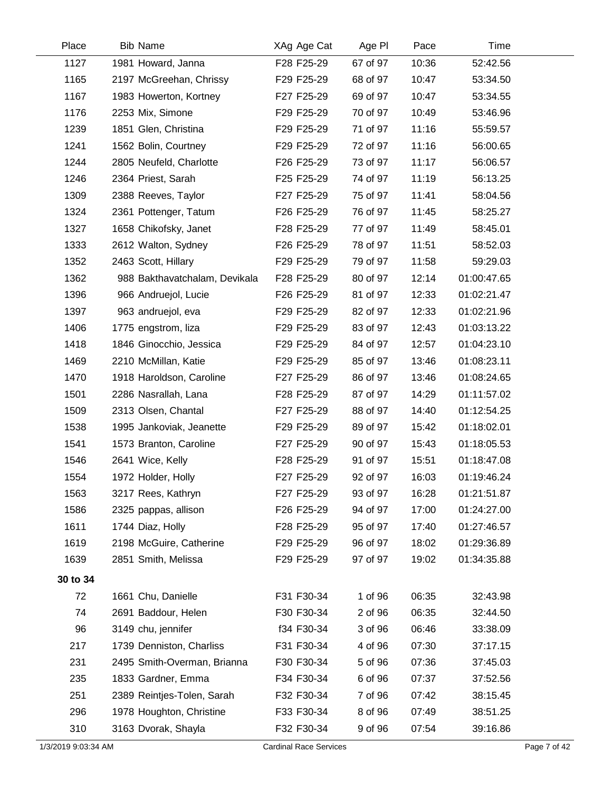| Place               | <b>Bib Name</b>               | XAg Age Cat                   | Age PI   | Pace  | Time        |              |
|---------------------|-------------------------------|-------------------------------|----------|-------|-------------|--------------|
| 1127                | 1981 Howard, Janna            | F28 F25-29                    | 67 of 97 | 10:36 | 52:42.56    |              |
| 1165                | 2197 McGreehan, Chrissy       | F29 F25-29                    | 68 of 97 | 10:47 | 53:34.50    |              |
| 1167                | 1983 Howerton, Kortney        | F27 F25-29                    | 69 of 97 | 10:47 | 53:34.55    |              |
| 1176                | 2253 Mix, Simone              | F29 F25-29                    | 70 of 97 | 10:49 | 53:46.96    |              |
| 1239                | 1851 Glen, Christina          | F29 F25-29                    | 71 of 97 | 11:16 | 55:59.57    |              |
| 1241                | 1562 Bolin, Courtney          | F29 F25-29                    | 72 of 97 | 11:16 | 56:00.65    |              |
| 1244                | 2805 Neufeld, Charlotte       | F26 F25-29                    | 73 of 97 | 11:17 | 56:06.57    |              |
| 1246                | 2364 Priest, Sarah            | F25 F25-29                    | 74 of 97 | 11:19 | 56:13.25    |              |
| 1309                | 2388 Reeves, Taylor           | F27 F25-29                    | 75 of 97 | 11:41 | 58:04.56    |              |
| 1324                | 2361 Pottenger, Tatum         | F26 F25-29                    | 76 of 97 | 11:45 | 58:25.27    |              |
| 1327                | 1658 Chikofsky, Janet         | F28 F25-29                    | 77 of 97 | 11:49 | 58:45.01    |              |
| 1333                | 2612 Walton, Sydney           | F26 F25-29                    | 78 of 97 | 11:51 | 58:52.03    |              |
| 1352                | 2463 Scott, Hillary           | F29 F25-29                    | 79 of 97 | 11:58 | 59:29.03    |              |
| 1362                | 988 Bakthavatchalam, Devikala | F28 F25-29                    | 80 of 97 | 12:14 | 01:00:47.65 |              |
| 1396                | 966 Andruejol, Lucie          | F26 F25-29                    | 81 of 97 | 12:33 | 01:02:21.47 |              |
| 1397                | 963 andruejol, eva            | F29 F25-29                    | 82 of 97 | 12:33 | 01:02:21.96 |              |
| 1406                | 1775 engstrom, liza           | F29 F25-29                    | 83 of 97 | 12:43 | 01:03:13.22 |              |
| 1418                | 1846 Ginocchio, Jessica       | F29 F25-29                    | 84 of 97 | 12:57 | 01:04:23.10 |              |
| 1469                | 2210 McMillan, Katie          | F29 F25-29                    | 85 of 97 | 13:46 | 01:08:23.11 |              |
| 1470                | 1918 Haroldson, Caroline      | F27 F25-29                    | 86 of 97 | 13:46 | 01:08:24.65 |              |
| 1501                | 2286 Nasrallah, Lana          | F28 F25-29                    | 87 of 97 | 14:29 | 01:11:57.02 |              |
| 1509                | 2313 Olsen, Chantal           | F27 F25-29                    | 88 of 97 | 14:40 | 01:12:54.25 |              |
| 1538                | 1995 Jankoviak, Jeanette      | F29 F25-29                    | 89 of 97 | 15:42 | 01:18:02.01 |              |
| 1541                | 1573 Branton, Caroline        | F27 F25-29                    | 90 of 97 | 15:43 | 01:18:05.53 |              |
| 1546                | 2641 Wice, Kelly              | F28 F25-29                    | 91 of 97 | 15:51 | 01:18:47.08 |              |
| 1554                | 1972 Holder, Holly            | F27 F25-29                    | 92 of 97 | 16:03 | 01:19:46.24 |              |
| 1563                | 3217 Rees, Kathryn            | F27 F25-29                    | 93 of 97 | 16:28 | 01:21:51.87 |              |
| 1586                | 2325 pappas, allison          | F26 F25-29                    | 94 of 97 | 17:00 | 01:24:27.00 |              |
| 1611                | 1744 Diaz, Holly              | F28 F25-29                    | 95 of 97 | 17:40 | 01:27:46.57 |              |
| 1619                | 2198 McGuire, Catherine       | F29 F25-29                    | 96 of 97 | 18:02 | 01:29:36.89 |              |
| 1639                | 2851 Smith, Melissa           | F29 F25-29                    | 97 of 97 | 19:02 | 01:34:35.88 |              |
| 30 to 34            |                               |                               |          |       |             |              |
| 72                  | 1661 Chu, Danielle            | F31 F30-34                    | 1 of 96  | 06:35 | 32:43.98    |              |
| 74                  | 2691 Baddour, Helen           | F30 F30-34                    | 2 of 96  | 06:35 | 32:44.50    |              |
| 96                  | 3149 chu, jennifer            | f34 F30-34                    | 3 of 96  | 06:46 | 33:38.09    |              |
| 217                 | 1739 Denniston, Charliss      | F31 F30-34                    | 4 of 96  | 07:30 | 37:17.15    |              |
| 231                 | 2495 Smith-Overman, Brianna   | F30 F30-34                    | 5 of 96  | 07:36 | 37:45.03    |              |
| 235                 | 1833 Gardner, Emma            | F34 F30-34                    | 6 of 96  | 07:37 | 37:52.56    |              |
| 251                 | 2389 Reintjes-Tolen, Sarah    | F32 F30-34                    | 7 of 96  | 07:42 | 38:15.45    |              |
| 296                 | 1978 Houghton, Christine      | F33 F30-34                    | 8 of 96  | 07:49 | 38:51.25    |              |
| 310                 | 3163 Dvorak, Shayla           | F32 F30-34                    | 9 of 96  | 07:54 | 39:16.86    |              |
| 1/3/2019 9:03:34 AM |                               | <b>Cardinal Race Services</b> |          |       |             | Page 7 of 42 |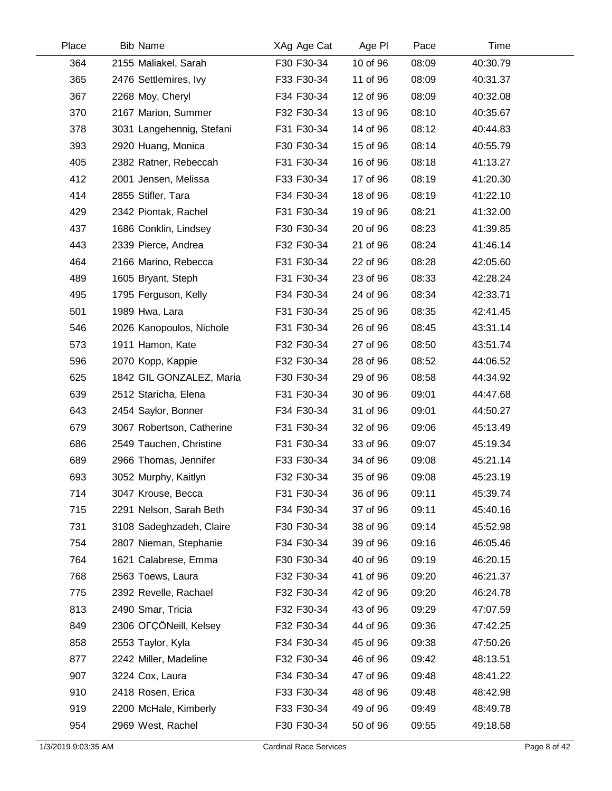| Place | <b>Bib Name</b>           | XAg Age Cat | Age PI   | Pace  | Time     |  |
|-------|---------------------------|-------------|----------|-------|----------|--|
| 364   | 2155 Maliakel, Sarah      | F30 F30-34  | 10 of 96 | 08:09 | 40:30.79 |  |
| 365   | 2476 Settlemires, Ivy     | F33 F30-34  | 11 of 96 | 08:09 | 40:31.37 |  |
| 367   | 2268 Moy, Cheryl          | F34 F30-34  | 12 of 96 | 08:09 | 40:32.08 |  |
| 370   | 2167 Marion, Summer       | F32 F30-34  | 13 of 96 | 08:10 | 40:35.67 |  |
| 378   | 3031 Langehennig, Stefani | F31 F30-34  | 14 of 96 | 08:12 | 40:44.83 |  |
| 393   | 2920 Huang, Monica        | F30 F30-34  | 15 of 96 | 08:14 | 40:55.79 |  |
| 405   | 2382 Ratner, Rebeccah     | F31 F30-34  | 16 of 96 | 08:18 | 41:13.27 |  |
| 412   | 2001 Jensen, Melissa      | F33 F30-34  | 17 of 96 | 08:19 | 41:20.30 |  |
| 414   | 2855 Stifler, Tara        | F34 F30-34  | 18 of 96 | 08:19 | 41:22.10 |  |
| 429   | 2342 Piontak, Rachel      | F31 F30-34  | 19 of 96 | 08:21 | 41:32.00 |  |
| 437   | 1686 Conklin, Lindsey     | F30 F30-34  | 20 of 96 | 08:23 | 41:39.85 |  |
| 443   | 2339 Pierce, Andrea       | F32 F30-34  | 21 of 96 | 08:24 | 41:46.14 |  |
| 464   | 2166 Marino, Rebecca      | F31 F30-34  | 22 of 96 | 08:28 | 42:05.60 |  |
| 489   | 1605 Bryant, Steph        | F31 F30-34  | 23 of 96 | 08:33 | 42:28.24 |  |
| 495   | 1795 Ferguson, Kelly      | F34 F30-34  | 24 of 96 | 08:34 | 42:33.71 |  |
| 501   | 1989 Hwa, Lara            | F31 F30-34  | 25 of 96 | 08:35 | 42:41.45 |  |
| 546   | 2026 Kanopoulos, Nichole  | F31 F30-34  | 26 of 96 | 08:45 | 43:31.14 |  |
| 573   | 1911 Hamon, Kate          | F32 F30-34  | 27 of 96 | 08:50 | 43:51.74 |  |
| 596   | 2070 Kopp, Kappie         | F32 F30-34  | 28 of 96 | 08:52 | 44:06.52 |  |
| 625   | 1842 GIL GONZALEZ, Maria  | F30 F30-34  | 29 of 96 | 08:58 | 44:34.92 |  |
| 639   | 2512 Staricha, Elena      | F31 F30-34  | 30 of 96 | 09:01 | 44:47.68 |  |
| 643   | 2454 Saylor, Bonner       | F34 F30-34  | 31 of 96 | 09:01 | 44:50.27 |  |
| 679   | 3067 Robertson, Catherine | F31 F30-34  | 32 of 96 | 09:06 | 45:13.49 |  |
| 686   | 2549 Tauchen, Christine   | F31 F30-34  | 33 of 96 | 09:07 | 45:19.34 |  |
| 689   | 2966 Thomas, Jennifer     | F33 F30-34  | 34 of 96 | 09:08 | 45:21.14 |  |
| 693   | 3052 Murphy, Kaitlyn      | F32 F30-34  | 35 of 96 | 09:08 | 45:23.19 |  |
| 714   | 3047 Krouse, Becca        | F31 F30-34  | 36 of 96 | 09:11 | 45:39.74 |  |
| 715   | 2291 Nelson, Sarah Beth   | F34 F30-34  | 37 of 96 | 09:11 | 45:40.16 |  |
| 731   | 3108 Sadeghzadeh, Claire  | F30 F30-34  | 38 of 96 | 09:14 | 45:52.98 |  |
| 754   | 2807 Nieman, Stephanie    | F34 F30-34  | 39 of 96 | 09:16 | 46:05.46 |  |
| 764   | 1621 Calabrese, Emma      | F30 F30-34  | 40 of 96 | 09:19 | 46:20.15 |  |
| 768   | 2563 Toews, Laura         | F32 F30-34  | 41 of 96 | 09:20 | 46:21.37 |  |
| 775   | 2392 Revelle, Rachael     | F32 F30-34  | 42 of 96 | 09:20 | 46:24.78 |  |
| 813   | 2490 Smar, Tricia         | F32 F30-34  | 43 of 96 | 09:29 | 47:07.59 |  |
| 849   | 2306 OFÇÖNeill, Kelsey    | F32 F30-34  | 44 of 96 | 09:36 | 47:42.25 |  |
| 858   | 2553 Taylor, Kyla         | F34 F30-34  | 45 of 96 | 09:38 | 47:50.26 |  |
| 877   | 2242 Miller, Madeline     | F32 F30-34  | 46 of 96 | 09:42 | 48:13.51 |  |
| 907   | 3224 Cox, Laura           | F34 F30-34  | 47 of 96 | 09:48 | 48:41.22 |  |
| 910   | 2418 Rosen, Erica         | F33 F30-34  | 48 of 96 | 09:48 | 48:42.98 |  |
| 919   | 2200 McHale, Kimberly     | F33 F30-34  | 49 of 96 | 09:49 | 48:49.78 |  |
| 954   | 2969 West, Rachel         | F30 F30-34  | 50 of 96 | 09:55 | 49:18.58 |  |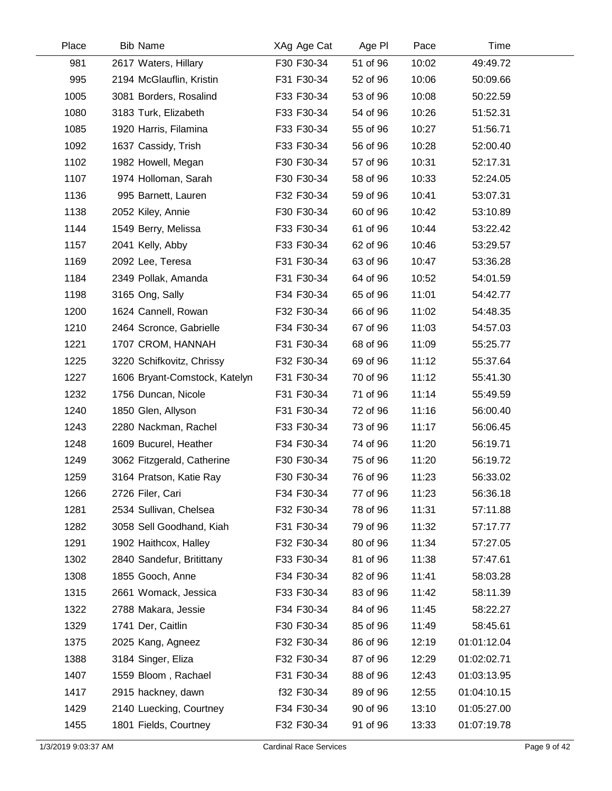| Place | <b>Bib Name</b>               | XAg Age Cat | Age PI   | Pace  | Time        |  |
|-------|-------------------------------|-------------|----------|-------|-------------|--|
| 981   | 2617 Waters, Hillary          | F30 F30-34  | 51 of 96 | 10:02 | 49:49.72    |  |
| 995   | 2194 McGlauflin, Kristin      | F31 F30-34  | 52 of 96 | 10:06 | 50:09.66    |  |
| 1005  | 3081 Borders, Rosalind        | F33 F30-34  | 53 of 96 | 10:08 | 50:22.59    |  |
| 1080  | 3183 Turk, Elizabeth          | F33 F30-34  | 54 of 96 | 10:26 | 51:52.31    |  |
| 1085  | 1920 Harris, Filamina         | F33 F30-34  | 55 of 96 | 10:27 | 51:56.71    |  |
| 1092  | 1637 Cassidy, Trish           | F33 F30-34  | 56 of 96 | 10:28 | 52:00.40    |  |
| 1102  | 1982 Howell, Megan            | F30 F30-34  | 57 of 96 | 10:31 | 52:17.31    |  |
| 1107  | 1974 Holloman, Sarah          | F30 F30-34  | 58 of 96 | 10:33 | 52:24.05    |  |
| 1136  | 995 Barnett, Lauren           | F32 F30-34  | 59 of 96 | 10:41 | 53:07.31    |  |
| 1138  | 2052 Kiley, Annie             | F30 F30-34  | 60 of 96 | 10:42 | 53:10.89    |  |
| 1144  | 1549 Berry, Melissa           | F33 F30-34  | 61 of 96 | 10:44 | 53:22.42    |  |
| 1157  | 2041 Kelly, Abby              | F33 F30-34  | 62 of 96 | 10:46 | 53:29.57    |  |
| 1169  | 2092 Lee, Teresa              | F31 F30-34  | 63 of 96 | 10:47 | 53:36.28    |  |
| 1184  | 2349 Pollak, Amanda           | F31 F30-34  | 64 of 96 | 10:52 | 54:01.59    |  |
| 1198  | 3165 Ong, Sally               | F34 F30-34  | 65 of 96 | 11:01 | 54:42.77    |  |
| 1200  | 1624 Cannell, Rowan           | F32 F30-34  | 66 of 96 | 11:02 | 54:48.35    |  |
| 1210  | 2464 Scronce, Gabrielle       | F34 F30-34  | 67 of 96 | 11:03 | 54:57.03    |  |
| 1221  | 1707 CROM, HANNAH             | F31 F30-34  | 68 of 96 | 11:09 | 55:25.77    |  |
| 1225  | 3220 Schifkovitz, Chrissy     | F32 F30-34  | 69 of 96 | 11:12 | 55:37.64    |  |
| 1227  | 1606 Bryant-Comstock, Katelyn | F31 F30-34  | 70 of 96 | 11:12 | 55:41.30    |  |
| 1232  | 1756 Duncan, Nicole           | F31 F30-34  | 71 of 96 | 11:14 | 55:49.59    |  |
| 1240  | 1850 Glen, Allyson            | F31 F30-34  | 72 of 96 | 11:16 | 56:00.40    |  |
| 1243  | 2280 Nackman, Rachel          | F33 F30-34  | 73 of 96 | 11:17 | 56:06.45    |  |
| 1248  | 1609 Bucurel, Heather         | F34 F30-34  | 74 of 96 | 11:20 | 56:19.71    |  |
| 1249  | 3062 Fitzgerald, Catherine    | F30 F30-34  | 75 of 96 | 11:20 | 56:19.72    |  |
| 1259  | 3164 Pratson, Katie Ray       | F30 F30-34  | 76 of 96 | 11:23 | 56:33.02    |  |
| 1266  | 2726 Filer, Cari              | F34 F30-34  | 77 of 96 | 11:23 | 56:36.18    |  |
| 1281  | 2534 Sullivan, Chelsea        | F32 F30-34  | 78 of 96 | 11:31 | 57:11.88    |  |
| 1282  | 3058 Sell Goodhand, Kiah      | F31 F30-34  | 79 of 96 | 11:32 | 57:17.77    |  |
| 1291  | 1902 Haithcox, Halley         | F32 F30-34  | 80 of 96 | 11:34 | 57:27.05    |  |
| 1302  | 2840 Sandefur, Britittany     | F33 F30-34  | 81 of 96 | 11:38 | 57:47.61    |  |
| 1308  | 1855 Gooch, Anne              | F34 F30-34  | 82 of 96 | 11:41 | 58:03.28    |  |
| 1315  | 2661 Womack, Jessica          | F33 F30-34  | 83 of 96 | 11:42 | 58:11.39    |  |
| 1322  | 2788 Makara, Jessie           | F34 F30-34  | 84 of 96 | 11:45 | 58:22.27    |  |
| 1329  | 1741 Der, Caitlin             | F30 F30-34  | 85 of 96 | 11:49 | 58:45.61    |  |
| 1375  | 2025 Kang, Agneez             | F32 F30-34  | 86 of 96 | 12:19 | 01:01:12.04 |  |
| 1388  | 3184 Singer, Eliza            | F32 F30-34  | 87 of 96 | 12:29 | 01:02:02.71 |  |
| 1407  | 1559 Bloom, Rachael           | F31 F30-34  | 88 of 96 | 12:43 | 01:03:13.95 |  |
| 1417  | 2915 hackney, dawn            | f32 F30-34  | 89 of 96 | 12:55 | 01:04:10.15 |  |
| 1429  | 2140 Luecking, Courtney       | F34 F30-34  | 90 of 96 | 13:10 | 01:05:27.00 |  |
| 1455  | 1801 Fields, Courtney         | F32 F30-34  | 91 of 96 | 13:33 | 01:07:19.78 |  |
|       |                               |             |          |       |             |  |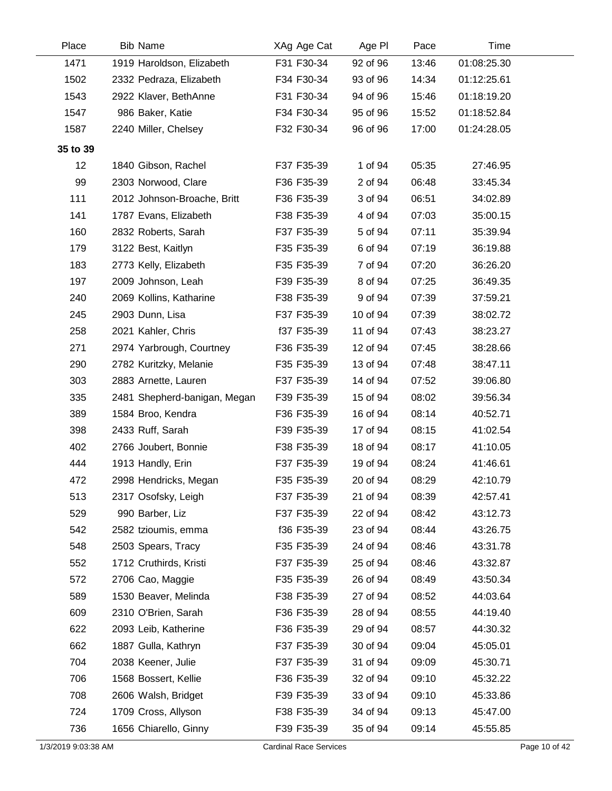| Place    | <b>Bib Name</b>              | XAg Age Cat | Age PI   | Pace  | Time        |  |
|----------|------------------------------|-------------|----------|-------|-------------|--|
| 1471     | 1919 Haroldson, Elizabeth    | F31 F30-34  | 92 of 96 | 13:46 | 01:08:25.30 |  |
| 1502     | 2332 Pedraza, Elizabeth      | F34 F30-34  | 93 of 96 | 14:34 | 01:12:25.61 |  |
| 1543     | 2922 Klaver, BethAnne        | F31 F30-34  | 94 of 96 | 15:46 | 01:18:19.20 |  |
| 1547     | 986 Baker, Katie             | F34 F30-34  | 95 of 96 | 15:52 | 01:18:52.84 |  |
| 1587     | 2240 Miller, Chelsey         | F32 F30-34  | 96 of 96 | 17:00 | 01:24:28.05 |  |
| 35 to 39 |                              |             |          |       |             |  |
| 12       | 1840 Gibson, Rachel          | F37 F35-39  | 1 of 94  | 05:35 | 27:46.95    |  |
| 99       | 2303 Norwood, Clare          | F36 F35-39  | 2 of 94  | 06:48 | 33:45.34    |  |
| 111      | 2012 Johnson-Broache, Britt  | F36 F35-39  | 3 of 94  | 06:51 | 34:02.89    |  |
| 141      | 1787 Evans, Elizabeth        | F38 F35-39  | 4 of 94  | 07:03 | 35:00.15    |  |
| 160      | 2832 Roberts, Sarah          | F37 F35-39  | 5 of 94  | 07:11 | 35:39.94    |  |
| 179      | 3122 Best, Kaitlyn           | F35 F35-39  | 6 of 94  | 07:19 | 36:19.88    |  |
| 183      | 2773 Kelly, Elizabeth        | F35 F35-39  | 7 of 94  | 07:20 | 36:26.20    |  |
| 197      | 2009 Johnson, Leah           | F39 F35-39  | 8 of 94  | 07:25 | 36:49.35    |  |
| 240      | 2069 Kollins, Katharine      | F38 F35-39  | 9 of 94  | 07:39 | 37:59.21    |  |
| 245      | 2903 Dunn, Lisa              | F37 F35-39  | 10 of 94 | 07:39 | 38:02.72    |  |
| 258      | 2021 Kahler, Chris           | f37 F35-39  | 11 of 94 | 07:43 | 38:23.27    |  |
| 271      | 2974 Yarbrough, Courtney     | F36 F35-39  | 12 of 94 | 07:45 | 38:28.66    |  |
| 290      | 2782 Kuritzky, Melanie       | F35 F35-39  | 13 of 94 | 07:48 | 38:47.11    |  |
| 303      | 2883 Arnette, Lauren         | F37 F35-39  | 14 of 94 | 07:52 | 39:06.80    |  |
| 335      | 2481 Shepherd-banigan, Megan | F39 F35-39  | 15 of 94 | 08:02 | 39:56.34    |  |
| 389      | 1584 Broo, Kendra            | F36 F35-39  | 16 of 94 | 08:14 | 40:52.71    |  |
| 398      | 2433 Ruff, Sarah             | F39 F35-39  | 17 of 94 | 08:15 | 41:02.54    |  |
| 402      | 2766 Joubert, Bonnie         | F38 F35-39  | 18 of 94 | 08:17 | 41:10.05    |  |
| 444      | 1913 Handly, Erin            | F37 F35-39  | 19 of 94 | 08:24 | 41:46.61    |  |
| 472      | 2998 Hendricks, Megan        | F35 F35-39  | 20 of 94 | 08:29 | 42:10.79    |  |
| 513      | 2317 Osofsky, Leigh          | F37 F35-39  | 21 of 94 | 08:39 | 42:57.41    |  |
| 529      | 990 Barber, Liz              | F37 F35-39  | 22 of 94 | 08:42 | 43:12.73    |  |
| 542      | 2582 tzioumis, emma          | f36 F35-39  | 23 of 94 | 08:44 | 43:26.75    |  |
| 548      | 2503 Spears, Tracy           | F35 F35-39  | 24 of 94 | 08:46 | 43:31.78    |  |
| 552      | 1712 Cruthirds, Kristi       | F37 F35-39  | 25 of 94 | 08:46 | 43:32.87    |  |
| 572      | 2706 Cao, Maggie             | F35 F35-39  | 26 of 94 | 08:49 | 43:50.34    |  |
| 589      | 1530 Beaver, Melinda         | F38 F35-39  | 27 of 94 | 08:52 | 44:03.64    |  |
| 609      | 2310 O'Brien, Sarah          | F36 F35-39  | 28 of 94 | 08:55 | 44:19.40    |  |
| 622      | 2093 Leib, Katherine         | F36 F35-39  | 29 of 94 | 08:57 | 44:30.32    |  |
| 662      | 1887 Gulla, Kathryn          | F37 F35-39  | 30 of 94 | 09:04 | 45:05.01    |  |
| 704      | 2038 Keener, Julie           | F37 F35-39  | 31 of 94 | 09:09 | 45:30.71    |  |
| 706      | 1568 Bossert, Kellie         | F36 F35-39  | 32 of 94 | 09:10 | 45:32.22    |  |
| 708      | 2606 Walsh, Bridget          | F39 F35-39  | 33 of 94 | 09:10 | 45:33.86    |  |
| 724      | 1709 Cross, Allyson          | F38 F35-39  | 34 of 94 | 09:13 | 45:47.00    |  |
| 736      | 1656 Chiarello, Ginny        | F39 F35-39  | 35 of 94 | 09:14 | 45:55.85    |  |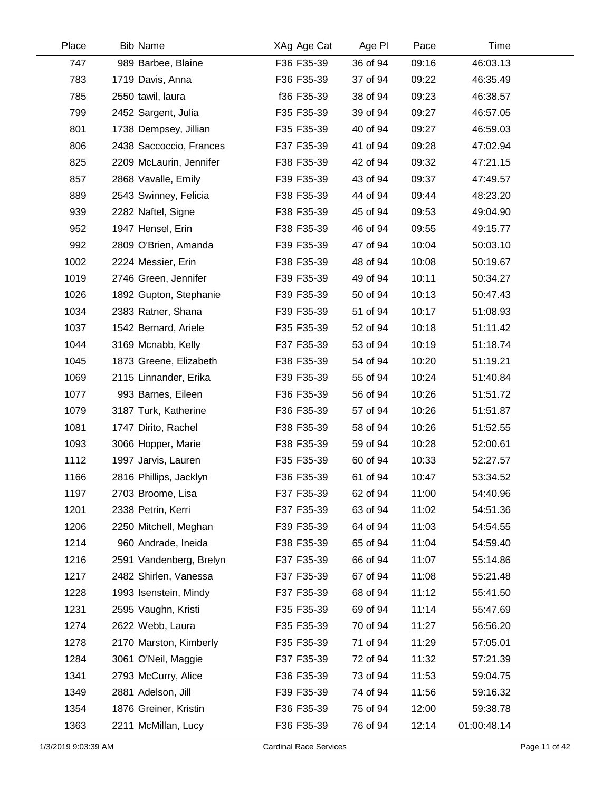| Place | <b>Bib Name</b>         | XAg Age Cat | Age PI   | Pace  | Time        |  |
|-------|-------------------------|-------------|----------|-------|-------------|--|
| 747   | 989 Barbee, Blaine      | F36 F35-39  | 36 of 94 | 09:16 | 46:03.13    |  |
| 783   | 1719 Davis, Anna        | F36 F35-39  | 37 of 94 | 09:22 | 46:35.49    |  |
| 785   | 2550 tawil, laura       | f36 F35-39  | 38 of 94 | 09:23 | 46:38.57    |  |
| 799   | 2452 Sargent, Julia     | F35 F35-39  | 39 of 94 | 09:27 | 46:57.05    |  |
| 801   | 1738 Dempsey, Jillian   | F35 F35-39  | 40 of 94 | 09:27 | 46:59.03    |  |
| 806   | 2438 Saccoccio, Frances | F37 F35-39  | 41 of 94 | 09:28 | 47:02.94    |  |
| 825   | 2209 McLaurin, Jennifer | F38 F35-39  | 42 of 94 | 09:32 | 47:21.15    |  |
| 857   | 2868 Vavalle, Emily     | F39 F35-39  | 43 of 94 | 09:37 | 47:49.57    |  |
| 889   | 2543 Swinney, Felicia   | F38 F35-39  | 44 of 94 | 09:44 | 48:23.20    |  |
| 939   | 2282 Naftel, Signe      | F38 F35-39  | 45 of 94 | 09:53 | 49:04.90    |  |
| 952   | 1947 Hensel, Erin       | F38 F35-39  | 46 of 94 | 09:55 | 49:15.77    |  |
| 992   | 2809 O'Brien, Amanda    | F39 F35-39  | 47 of 94 | 10:04 | 50:03.10    |  |
| 1002  | 2224 Messier, Erin      | F38 F35-39  | 48 of 94 | 10:08 | 50:19.67    |  |
| 1019  | 2746 Green, Jennifer    | F39 F35-39  | 49 of 94 | 10:11 | 50:34.27    |  |
| 1026  | 1892 Gupton, Stephanie  | F39 F35-39  | 50 of 94 | 10:13 | 50:47.43    |  |
| 1034  | 2383 Ratner, Shana      | F39 F35-39  | 51 of 94 | 10:17 | 51:08.93    |  |
| 1037  | 1542 Bernard, Ariele    | F35 F35-39  | 52 of 94 | 10:18 | 51:11.42    |  |
| 1044  | 3169 Mcnabb, Kelly      | F37 F35-39  | 53 of 94 | 10:19 | 51:18.74    |  |
| 1045  | 1873 Greene, Elizabeth  | F38 F35-39  | 54 of 94 | 10:20 | 51:19.21    |  |
| 1069  | 2115 Linnander, Erika   | F39 F35-39  | 55 of 94 | 10:24 | 51:40.84    |  |
| 1077  | 993 Barnes, Eileen      | F36 F35-39  | 56 of 94 | 10:26 | 51:51.72    |  |
| 1079  | 3187 Turk, Katherine    | F36 F35-39  | 57 of 94 | 10:26 | 51:51.87    |  |
| 1081  | 1747 Dirito, Rachel     | F38 F35-39  | 58 of 94 | 10:26 | 51:52.55    |  |
| 1093  | 3066 Hopper, Marie      | F38 F35-39  | 59 of 94 | 10:28 | 52:00.61    |  |
| 1112  | 1997 Jarvis, Lauren     | F35 F35-39  | 60 of 94 | 10:33 | 52:27.57    |  |
| 1166  | 2816 Phillips, Jacklyn  | F36 F35-39  | 61 of 94 | 10:47 | 53:34.52    |  |
| 1197  | 2703 Broome, Lisa       | F37 F35-39  | 62 of 94 | 11:00 | 54:40.96    |  |
| 1201  | 2338 Petrin, Kerri      | F37 F35-39  | 63 of 94 | 11:02 | 54:51.36    |  |
| 1206  | 2250 Mitchell, Meghan   | F39 F35-39  | 64 of 94 | 11:03 | 54:54.55    |  |
| 1214  | 960 Andrade, Ineida     | F38 F35-39  | 65 of 94 | 11:04 | 54:59.40    |  |
| 1216  | 2591 Vandenberg, Brelyn | F37 F35-39  | 66 of 94 | 11:07 | 55:14.86    |  |
| 1217  | 2482 Shirlen, Vanessa   | F37 F35-39  | 67 of 94 | 11:08 | 55:21.48    |  |
| 1228  | 1993 Isenstein, Mindy   | F37 F35-39  | 68 of 94 | 11:12 | 55:41.50    |  |
| 1231  | 2595 Vaughn, Kristi     | F35 F35-39  | 69 of 94 | 11:14 | 55:47.69    |  |
| 1274  | 2622 Webb, Laura        | F35 F35-39  | 70 of 94 | 11:27 | 56:56.20    |  |
| 1278  | 2170 Marston, Kimberly  | F35 F35-39  | 71 of 94 | 11:29 | 57:05.01    |  |
| 1284  | 3061 O'Neil, Maggie     | F37 F35-39  | 72 of 94 | 11:32 | 57:21.39    |  |
| 1341  | 2793 McCurry, Alice     | F36 F35-39  | 73 of 94 | 11:53 | 59:04.75    |  |
| 1349  | 2881 Adelson, Jill      | F39 F35-39  | 74 of 94 | 11:56 | 59:16.32    |  |
| 1354  | 1876 Greiner, Kristin   | F36 F35-39  | 75 of 94 | 12:00 | 59:38.78    |  |
| 1363  | 2211 McMillan, Lucy     | F36 F35-39  | 76 of 94 | 12:14 | 01:00:48.14 |  |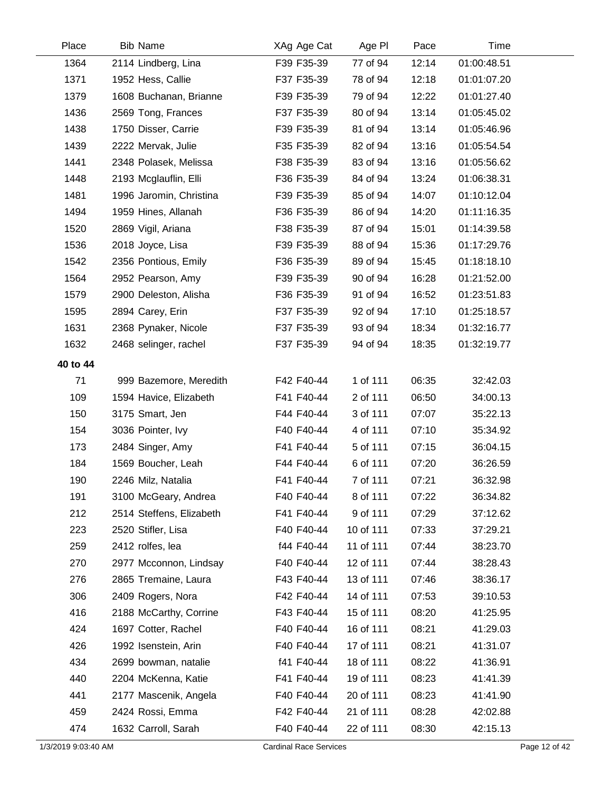| Place    | <b>Bib Name</b>          | XAg Age Cat | Age PI    | Pace  | Time        |  |
|----------|--------------------------|-------------|-----------|-------|-------------|--|
| 1364     | 2114 Lindberg, Lina      | F39 F35-39  | 77 of 94  | 12:14 | 01:00:48.51 |  |
| 1371     | 1952 Hess, Callie        | F37 F35-39  | 78 of 94  | 12:18 | 01:01:07.20 |  |
| 1379     | 1608 Buchanan, Brianne   | F39 F35-39  | 79 of 94  | 12:22 | 01:01:27.40 |  |
| 1436     | 2569 Tong, Frances       | F37 F35-39  | 80 of 94  | 13:14 | 01:05:45.02 |  |
| 1438     | 1750 Disser, Carrie      | F39 F35-39  | 81 of 94  | 13:14 | 01:05:46.96 |  |
| 1439     | 2222 Mervak, Julie       | F35 F35-39  | 82 of 94  | 13:16 | 01:05:54.54 |  |
| 1441     | 2348 Polasek, Melissa    | F38 F35-39  | 83 of 94  | 13:16 | 01:05:56.62 |  |
| 1448     | 2193 Mcglauflin, Elli    | F36 F35-39  | 84 of 94  | 13:24 | 01:06:38.31 |  |
| 1481     | 1996 Jaromin, Christina  | F39 F35-39  | 85 of 94  | 14:07 | 01:10:12.04 |  |
| 1494     | 1959 Hines, Allanah      | F36 F35-39  | 86 of 94  | 14:20 | 01:11:16.35 |  |
| 1520     | 2869 Vigil, Ariana       | F38 F35-39  | 87 of 94  | 15:01 | 01:14:39.58 |  |
| 1536     | 2018 Joyce, Lisa         | F39 F35-39  | 88 of 94  | 15:36 | 01:17:29.76 |  |
| 1542     | 2356 Pontious, Emily     | F36 F35-39  | 89 of 94  | 15:45 | 01:18:18.10 |  |
| 1564     | 2952 Pearson, Amy        | F39 F35-39  | 90 of 94  | 16:28 | 01:21:52.00 |  |
| 1579     | 2900 Deleston, Alisha    | F36 F35-39  | 91 of 94  | 16:52 | 01:23:51.83 |  |
| 1595     | 2894 Carey, Erin         | F37 F35-39  | 92 of 94  | 17:10 | 01:25:18.57 |  |
| 1631     | 2368 Pynaker, Nicole     | F37 F35-39  | 93 of 94  | 18:34 | 01:32:16.77 |  |
| 1632     | 2468 selinger, rachel    | F37 F35-39  | 94 of 94  | 18:35 | 01:32:19.77 |  |
| 40 to 44 |                          |             |           |       |             |  |
| 71       | 999 Bazemore, Meredith   | F42 F40-44  | 1 of 111  | 06:35 | 32:42.03    |  |
| 109      | 1594 Havice, Elizabeth   | F41 F40-44  | 2 of 111  | 06:50 | 34:00.13    |  |
| 150      | 3175 Smart, Jen          | F44 F40-44  | 3 of 111  | 07:07 | 35:22.13    |  |
| 154      | 3036 Pointer, Ivy        | F40 F40-44  | 4 of 111  | 07:10 | 35:34.92    |  |
| 173      | 2484 Singer, Amy         | F41 F40-44  | 5 of 111  | 07:15 | 36:04.15    |  |
| 184      | 1569 Boucher, Leah       | F44 F40-44  | 6 of 111  | 07:20 | 36:26.59    |  |
| 190      | 2246 Milz, Natalia       | F41 F40-44  | 7 of 111  | 07:21 | 36:32.98    |  |
| 191      | 3100 McGeary, Andrea     | F40 F40-44  | 8 of 111  | 07:22 | 36:34.82    |  |
| 212      | 2514 Steffens, Elizabeth | F41 F40-44  | 9 of 111  | 07:29 | 37:12.62    |  |
| 223      | 2520 Stifler, Lisa       | F40 F40-44  | 10 of 111 | 07:33 | 37:29.21    |  |
| 259      | 2412 rolfes, lea         | f44 F40-44  | 11 of 111 | 07:44 | 38:23.70    |  |
| 270      | 2977 Mcconnon, Lindsay   | F40 F40-44  | 12 of 111 | 07:44 | 38:28.43    |  |
| 276      | 2865 Tremaine, Laura     | F43 F40-44  | 13 of 111 | 07:46 | 38:36.17    |  |
| 306      | 2409 Rogers, Nora        | F42 F40-44  | 14 of 111 | 07:53 | 39:10.53    |  |
| 416      | 2188 McCarthy, Corrine   | F43 F40-44  | 15 of 111 | 08:20 | 41:25.95    |  |
| 424      | 1697 Cotter, Rachel      | F40 F40-44  | 16 of 111 | 08:21 | 41:29.03    |  |
| 426      | 1992 Isenstein, Arin     | F40 F40-44  | 17 of 111 | 08:21 | 41:31.07    |  |
| 434      | 2699 bowman, natalie     | f41 F40-44  | 18 of 111 | 08:22 | 41:36.91    |  |
| 440      | 2204 McKenna, Katie      | F41 F40-44  | 19 of 111 | 08:23 | 41:41.39    |  |
| 441      | 2177 Mascenik, Angela    | F40 F40-44  | 20 of 111 | 08:23 | 41:41.90    |  |
| 459      | 2424 Rossi, Emma         | F42 F40-44  | 21 of 111 | 08:28 | 42:02.88    |  |
| 474      | 1632 Carroll, Sarah      | F40 F40-44  | 22 of 111 | 08:30 | 42:15.13    |  |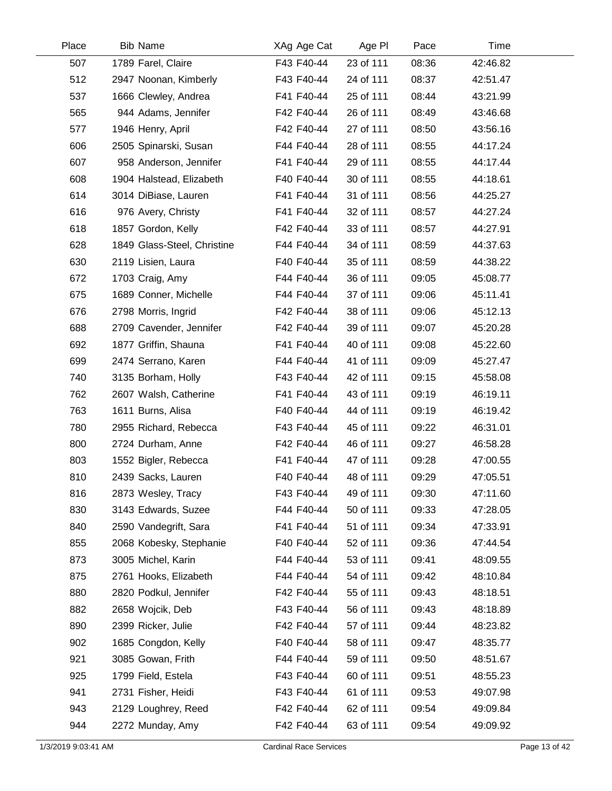| Place | <b>Bib Name</b>             | XAg Age Cat | Age PI    | Pace  | Time     |  |
|-------|-----------------------------|-------------|-----------|-------|----------|--|
| 507   | 1789 Farel, Claire          | F43 F40-44  | 23 of 111 | 08:36 | 42:46.82 |  |
| 512   | 2947 Noonan, Kimberly       | F43 F40-44  | 24 of 111 | 08:37 | 42:51.47 |  |
| 537   | 1666 Clewley, Andrea        | F41 F40-44  | 25 of 111 | 08:44 | 43:21.99 |  |
| 565   | 944 Adams, Jennifer         | F42 F40-44  | 26 of 111 | 08:49 | 43:46.68 |  |
| 577   | 1946 Henry, April           | F42 F40-44  | 27 of 111 | 08:50 | 43:56.16 |  |
| 606   | 2505 Spinarski, Susan       | F44 F40-44  | 28 of 111 | 08:55 | 44:17.24 |  |
| 607   | 958 Anderson, Jennifer      | F41 F40-44  | 29 of 111 | 08:55 | 44:17.44 |  |
| 608   | 1904 Halstead, Elizabeth    | F40 F40-44  | 30 of 111 | 08:55 | 44:18.61 |  |
| 614   | 3014 DiBiase, Lauren        | F41 F40-44  | 31 of 111 | 08:56 | 44:25.27 |  |
| 616   | 976 Avery, Christy          | F41 F40-44  | 32 of 111 | 08:57 | 44:27.24 |  |
| 618   | 1857 Gordon, Kelly          | F42 F40-44  | 33 of 111 | 08:57 | 44:27.91 |  |
| 628   | 1849 Glass-Steel, Christine | F44 F40-44  | 34 of 111 | 08:59 | 44:37.63 |  |
| 630   | 2119 Lisien, Laura          | F40 F40-44  | 35 of 111 | 08:59 | 44:38.22 |  |
| 672   | 1703 Craig, Amy             | F44 F40-44  | 36 of 111 | 09:05 | 45:08.77 |  |
| 675   | 1689 Conner, Michelle       | F44 F40-44  | 37 of 111 | 09:06 | 45:11.41 |  |
| 676   | 2798 Morris, Ingrid         | F42 F40-44  | 38 of 111 | 09:06 | 45:12.13 |  |
| 688   | 2709 Cavender, Jennifer     | F42 F40-44  | 39 of 111 | 09:07 | 45:20.28 |  |
| 692   | 1877 Griffin, Shauna        | F41 F40-44  | 40 of 111 | 09:08 | 45:22.60 |  |
| 699   | 2474 Serrano, Karen         | F44 F40-44  | 41 of 111 | 09:09 | 45:27.47 |  |
| 740   | 3135 Borham, Holly          | F43 F40-44  | 42 of 111 | 09:15 | 45:58.08 |  |
| 762   | 2607 Walsh, Catherine       | F41 F40-44  | 43 of 111 | 09:19 | 46:19.11 |  |
| 763   | 1611 Burns, Alisa           | F40 F40-44  | 44 of 111 | 09:19 | 46:19.42 |  |
| 780   | 2955 Richard, Rebecca       | F43 F40-44  | 45 of 111 | 09:22 | 46:31.01 |  |
| 800   | 2724 Durham, Anne           | F42 F40-44  | 46 of 111 | 09:27 | 46:58.28 |  |
| 803   | 1552 Bigler, Rebecca        | F41 F40-44  | 47 of 111 | 09:28 | 47:00.55 |  |
| 810   | 2439 Sacks, Lauren          | F40 F40-44  | 48 of 111 | 09:29 | 47:05.51 |  |
| 816   | 2873 Wesley, Tracy          | F43 F40-44  | 49 of 111 | 09:30 | 47:11.60 |  |
| 830   | 3143 Edwards, Suzee         | F44 F40-44  | 50 of 111 | 09:33 | 47:28.05 |  |
| 840   | 2590 Vandegrift, Sara       | F41 F40-44  | 51 of 111 | 09:34 | 47:33.91 |  |
| 855   | 2068 Kobesky, Stephanie     | F40 F40-44  | 52 of 111 | 09:36 | 47:44.54 |  |
| 873   | 3005 Michel, Karin          | F44 F40-44  | 53 of 111 | 09:41 | 48:09.55 |  |
| 875   | 2761 Hooks, Elizabeth       | F44 F40-44  | 54 of 111 | 09:42 | 48:10.84 |  |
| 880   | 2820 Podkul, Jennifer       | F42 F40-44  | 55 of 111 | 09:43 | 48:18.51 |  |
| 882   | 2658 Wojcik, Deb            | F43 F40-44  | 56 of 111 | 09:43 | 48:18.89 |  |
| 890   | 2399 Ricker, Julie          | F42 F40-44  | 57 of 111 | 09:44 | 48:23.82 |  |
| 902   | 1685 Congdon, Kelly         | F40 F40-44  | 58 of 111 | 09:47 | 48:35.77 |  |
| 921   | 3085 Gowan, Frith           | F44 F40-44  | 59 of 111 | 09:50 | 48:51.67 |  |
| 925   | 1799 Field, Estela          | F43 F40-44  | 60 of 111 | 09:51 | 48:55.23 |  |
| 941   | 2731 Fisher, Heidi          | F43 F40-44  | 61 of 111 | 09:53 | 49:07.98 |  |
| 943   | 2129 Loughrey, Reed         | F42 F40-44  | 62 of 111 | 09:54 | 49:09.84 |  |
| 944   | 2272 Munday, Amy            | F42 F40-44  | 63 of 111 | 09:54 | 49:09.92 |  |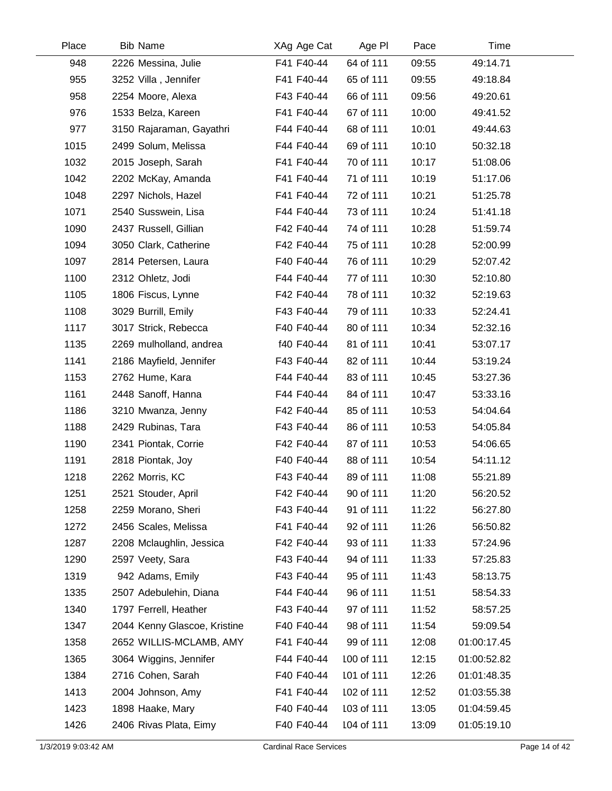| Place | <b>Bib Name</b>              | XAg Age Cat | Age PI     | Pace  | Time        |  |
|-------|------------------------------|-------------|------------|-------|-------------|--|
| 948   | 2226 Messina, Julie          | F41 F40-44  | 64 of 111  | 09:55 | 49:14.71    |  |
| 955   | 3252 Villa, Jennifer         | F41 F40-44  | 65 of 111  | 09:55 | 49:18.84    |  |
| 958   | 2254 Moore, Alexa            | F43 F40-44  | 66 of 111  | 09:56 | 49:20.61    |  |
| 976   | 1533 Belza, Kareen           | F41 F40-44  | 67 of 111  | 10:00 | 49:41.52    |  |
| 977   | 3150 Rajaraman, Gayathri     | F44 F40-44  | 68 of 111  | 10:01 | 49:44.63    |  |
| 1015  | 2499 Solum, Melissa          | F44 F40-44  | 69 of 111  | 10:10 | 50:32.18    |  |
| 1032  | 2015 Joseph, Sarah           | F41 F40-44  | 70 of 111  | 10:17 | 51:08.06    |  |
| 1042  | 2202 McKay, Amanda           | F41 F40-44  | 71 of 111  | 10:19 | 51:17.06    |  |
| 1048  | 2297 Nichols, Hazel          | F41 F40-44  | 72 of 111  | 10:21 | 51:25.78    |  |
| 1071  | 2540 Susswein, Lisa          | F44 F40-44  | 73 of 111  | 10:24 | 51:41.18    |  |
| 1090  | 2437 Russell, Gillian        | F42 F40-44  | 74 of 111  | 10:28 | 51:59.74    |  |
| 1094  | 3050 Clark, Catherine        | F42 F40-44  | 75 of 111  | 10:28 | 52:00.99    |  |
| 1097  | 2814 Petersen, Laura         | F40 F40-44  | 76 of 111  | 10:29 | 52:07.42    |  |
| 1100  | 2312 Ohletz, Jodi            | F44 F40-44  | 77 of 111  | 10:30 | 52:10.80    |  |
| 1105  | 1806 Fiscus, Lynne           | F42 F40-44  | 78 of 111  | 10:32 | 52:19.63    |  |
| 1108  | 3029 Burrill, Emily          | F43 F40-44  | 79 of 111  | 10:33 | 52:24.41    |  |
| 1117  | 3017 Strick, Rebecca         | F40 F40-44  | 80 of 111  | 10:34 | 52:32.16    |  |
| 1135  | 2269 mulholland, andrea      | f40 F40-44  | 81 of 111  | 10:41 | 53:07.17    |  |
| 1141  | 2186 Mayfield, Jennifer      | F43 F40-44  | 82 of 111  | 10:44 | 53:19.24    |  |
| 1153  | 2762 Hume, Kara              | F44 F40-44  | 83 of 111  | 10:45 | 53:27.36    |  |
| 1161  | 2448 Sanoff, Hanna           | F44 F40-44  | 84 of 111  | 10:47 | 53:33.16    |  |
| 1186  | 3210 Mwanza, Jenny           | F42 F40-44  | 85 of 111  | 10:53 | 54:04.64    |  |
| 1188  | 2429 Rubinas, Tara           | F43 F40-44  | 86 of 111  | 10:53 | 54:05.84    |  |
| 1190  | 2341 Piontak, Corrie         | F42 F40-44  | 87 of 111  | 10:53 | 54:06.65    |  |
| 1191  | 2818 Piontak, Joy            | F40 F40-44  | 88 of 111  | 10:54 | 54:11.12    |  |
| 1218  | 2262 Morris, KC              | F43 F40-44  | 89 of 111  | 11:08 | 55:21.89    |  |
| 1251  | 2521 Stouder, April          | F42 F40-44  | 90 of 111  | 11:20 | 56:20.52    |  |
| 1258  | 2259 Morano, Sheri           | F43 F40-44  | 91 of 111  | 11:22 | 56:27.80    |  |
| 1272  | 2456 Scales, Melissa         | F41 F40-44  | 92 of 111  | 11:26 | 56:50.82    |  |
| 1287  | 2208 Mclaughlin, Jessica     | F42 F40-44  | 93 of 111  | 11:33 | 57:24.96    |  |
| 1290  | 2597 Veety, Sara             | F43 F40-44  | 94 of 111  | 11:33 | 57:25.83    |  |
| 1319  | 942 Adams, Emily             | F43 F40-44  | 95 of 111  | 11:43 | 58:13.75    |  |
| 1335  | 2507 Adebulehin, Diana       | F44 F40-44  | 96 of 111  | 11:51 | 58:54.33    |  |
| 1340  | 1797 Ferrell, Heather        | F43 F40-44  | 97 of 111  | 11:52 | 58:57.25    |  |
| 1347  | 2044 Kenny Glascoe, Kristine | F40 F40-44  | 98 of 111  | 11:54 | 59:09.54    |  |
| 1358  | 2652 WILLIS-MCLAMB, AMY      | F41 F40-44  | 99 of 111  | 12:08 | 01:00:17.45 |  |
| 1365  | 3064 Wiggins, Jennifer       | F44 F40-44  | 100 of 111 | 12:15 | 01:00:52.82 |  |
| 1384  | 2716 Cohen, Sarah            | F40 F40-44  | 101 of 111 | 12:26 | 01:01:48.35 |  |
| 1413  | 2004 Johnson, Amy            | F41 F40-44  | 102 of 111 | 12:52 | 01:03:55.38 |  |
| 1423  | 1898 Haake, Mary             | F40 F40-44  | 103 of 111 | 13:05 | 01:04:59.45 |  |
| 1426  | 2406 Rivas Plata, Eimy       | F40 F40-44  | 104 of 111 | 13:09 | 01:05:19.10 |  |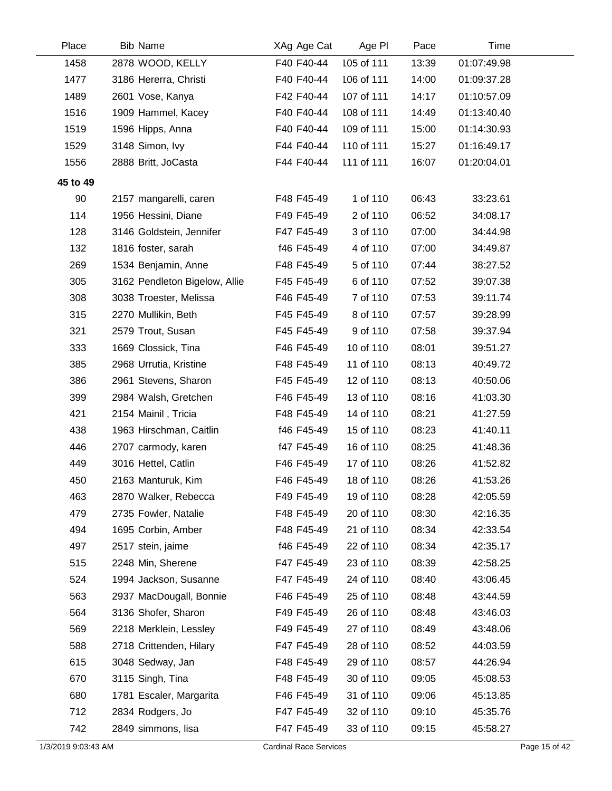| Place    | <b>Bib Name</b>               | XAg Age Cat | Age PI     | Pace  | Time        |
|----------|-------------------------------|-------------|------------|-------|-------------|
| 1458     | 2878 WOOD, KELLY              | F40 F40-44  | 105 of 111 | 13:39 | 01:07:49.98 |
| 1477     | 3186 Hererra, Christi         | F40 F40-44  | 106 of 111 | 14:00 | 01:09:37.28 |
| 1489     | 2601 Vose, Kanya              | F42 F40-44  | 107 of 111 | 14:17 | 01:10:57.09 |
| 1516     | 1909 Hammel, Kacey            | F40 F40-44  | 108 of 111 | 14:49 | 01:13:40.40 |
| 1519     | 1596 Hipps, Anna              | F40 F40-44  | 109 of 111 | 15:00 | 01:14:30.93 |
| 1529     | 3148 Simon, Ivy               | F44 F40-44  | 110 of 111 | 15:27 | 01:16:49.17 |
| 1556     | 2888 Britt, JoCasta           | F44 F40-44  | 111 of 111 | 16:07 | 01:20:04.01 |
| 45 to 49 |                               |             |            |       |             |
| 90       | 2157 mangarelli, caren        | F48 F45-49  | 1 of 110   | 06:43 | 33:23.61    |
| 114      | 1956 Hessini, Diane           | F49 F45-49  | 2 of 110   | 06:52 | 34:08.17    |
| 128      | 3146 Goldstein, Jennifer      | F47 F45-49  | 3 of 110   | 07:00 | 34:44.98    |
| 132      | 1816 foster, sarah            | f46 F45-49  | 4 of 110   | 07:00 | 34:49.87    |
| 269      | 1534 Benjamin, Anne           | F48 F45-49  | 5 of 110   | 07:44 | 38:27.52    |
| 305      | 3162 Pendleton Bigelow, Allie | F45 F45-49  | 6 of 110   | 07:52 | 39:07.38    |
| 308      | 3038 Troester, Melissa        | F46 F45-49  | 7 of 110   | 07:53 | 39:11.74    |
| 315      | 2270 Mullikin, Beth           | F45 F45-49  | 8 of 110   | 07:57 | 39:28.99    |
| 321      | 2579 Trout, Susan             | F45 F45-49  | 9 of 110   | 07:58 | 39:37.94    |
| 333      | 1669 Clossick, Tina           | F46 F45-49  | 10 of 110  | 08:01 | 39:51.27    |
| 385      | 2968 Urrutia, Kristine        | F48 F45-49  | 11 of 110  | 08:13 | 40:49.72    |
| 386      | 2961 Stevens, Sharon          | F45 F45-49  | 12 of 110  | 08:13 | 40:50.06    |
| 399      | 2984 Walsh, Gretchen          | F46 F45-49  | 13 of 110  | 08:16 | 41:03.30    |
| 421      | 2154 Mainil, Tricia           | F48 F45-49  | 14 of 110  | 08:21 | 41:27.59    |
| 438      | 1963 Hirschman, Caitlin       | f46 F45-49  | 15 of 110  | 08:23 | 41:40.11    |
| 446      | 2707 carmody, karen           | f47 F45-49  | 16 of 110  | 08:25 | 41:48.36    |
| 449      | 3016 Hettel, Catlin           | F46 F45-49  | 17 of 110  | 08:26 | 41:52.82    |
| 450      | 2163 Manturuk, Kim            | F46 F45-49  | 18 of 110  | 08:26 | 41:53.26    |
| 463      | 2870 Walker, Rebecca          | F49 F45-49  | 19 of 110  | 08:28 | 42:05.59    |
| 479      | 2735 Fowler, Natalie          | F48 F45-49  | 20 of 110  | 08:30 | 42:16.35    |
| 494      | 1695 Corbin, Amber            | F48 F45-49  | 21 of 110  | 08:34 | 42:33.54    |
| 497      | 2517 stein, jaime             | f46 F45-49  | 22 of 110  | 08:34 | 42:35.17    |
| 515      | 2248 Min, Sherene             | F47 F45-49  | 23 of 110  | 08:39 | 42:58.25    |
| 524      | 1994 Jackson, Susanne         | F47 F45-49  | 24 of 110  | 08:40 | 43:06.45    |
| 563      | 2937 MacDougall, Bonnie       | F46 F45-49  | 25 of 110  | 08:48 | 43:44.59    |
| 564      | 3136 Shofer, Sharon           | F49 F45-49  | 26 of 110  | 08:48 | 43:46.03    |
| 569      | 2218 Merklein, Lessley        | F49 F45-49  | 27 of 110  | 08:49 | 43:48.06    |
| 588      | 2718 Crittenden, Hilary       | F47 F45-49  | 28 of 110  | 08:52 | 44:03.59    |
| 615      | 3048 Sedway, Jan              | F48 F45-49  | 29 of 110  | 08:57 | 44:26.94    |
| 670      | 3115 Singh, Tina              | F48 F45-49  | 30 of 110  | 09:05 | 45:08.53    |
| 680      | 1781 Escaler, Margarita       | F46 F45-49  | 31 of 110  | 09:06 | 45:13.85    |
| 712      | 2834 Rodgers, Jo              | F47 F45-49  | 32 of 110  | 09:10 | 45:35.76    |
| 742      | 2849 simmons, lisa            | F47 F45-49  | 33 of 110  | 09:15 | 45:58.27    |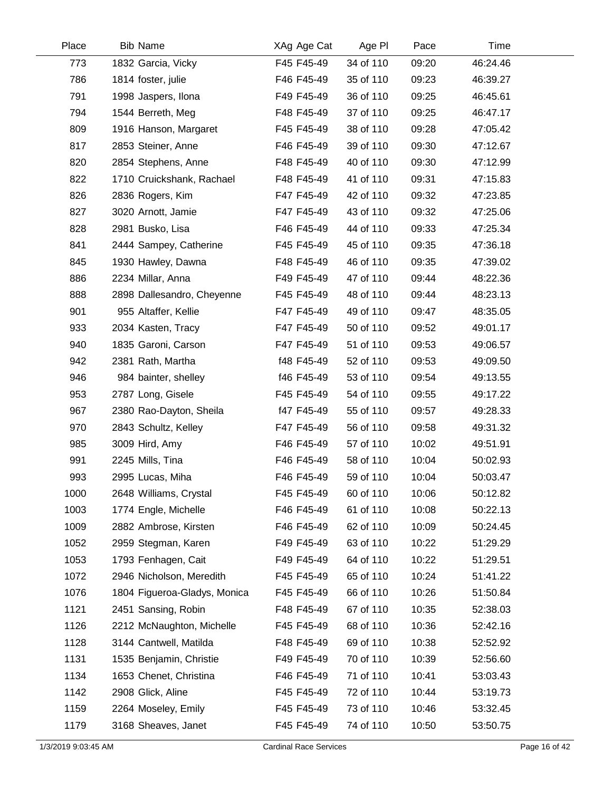| Place | <b>Bib Name</b>              | XAg Age Cat | Age PI    | Pace  | Time     |  |
|-------|------------------------------|-------------|-----------|-------|----------|--|
| 773   | 1832 Garcia, Vicky           | F45 F45-49  | 34 of 110 | 09:20 | 46:24.46 |  |
| 786   | 1814 foster, julie           | F46 F45-49  | 35 of 110 | 09:23 | 46:39.27 |  |
| 791   | 1998 Jaspers, Ilona          | F49 F45-49  | 36 of 110 | 09:25 | 46:45.61 |  |
| 794   | 1544 Berreth, Meg            | F48 F45-49  | 37 of 110 | 09:25 | 46:47.17 |  |
| 809   | 1916 Hanson, Margaret        | F45 F45-49  | 38 of 110 | 09:28 | 47:05.42 |  |
| 817   | 2853 Steiner, Anne           | F46 F45-49  | 39 of 110 | 09:30 | 47:12.67 |  |
| 820   | 2854 Stephens, Anne          | F48 F45-49  | 40 of 110 | 09:30 | 47:12.99 |  |
| 822   | 1710 Cruickshank, Rachael    | F48 F45-49  | 41 of 110 | 09:31 | 47:15.83 |  |
| 826   | 2836 Rogers, Kim             | F47 F45-49  | 42 of 110 | 09:32 | 47:23.85 |  |
| 827   | 3020 Arnott, Jamie           | F47 F45-49  | 43 of 110 | 09:32 | 47:25.06 |  |
| 828   | 2981 Busko, Lisa             | F46 F45-49  | 44 of 110 | 09:33 | 47:25.34 |  |
| 841   | 2444 Sampey, Catherine       | F45 F45-49  | 45 of 110 | 09:35 | 47:36.18 |  |
| 845   | 1930 Hawley, Dawna           | F48 F45-49  | 46 of 110 | 09:35 | 47:39.02 |  |
| 886   | 2234 Millar, Anna            | F49 F45-49  | 47 of 110 | 09:44 | 48:22.36 |  |
| 888   | 2898 Dallesandro, Cheyenne   | F45 F45-49  | 48 of 110 | 09:44 | 48:23.13 |  |
| 901   | 955 Altaffer, Kellie         | F47 F45-49  | 49 of 110 | 09:47 | 48:35.05 |  |
| 933   | 2034 Kasten, Tracy           | F47 F45-49  | 50 of 110 | 09:52 | 49:01.17 |  |
| 940   | 1835 Garoni, Carson          | F47 F45-49  | 51 of 110 | 09:53 | 49:06.57 |  |
| 942   | 2381 Rath, Martha            | f48 F45-49  | 52 of 110 | 09:53 | 49:09.50 |  |
| 946   | 984 bainter, shelley         | f46 F45-49  | 53 of 110 | 09:54 | 49:13.55 |  |
| 953   | 2787 Long, Gisele            | F45 F45-49  | 54 of 110 | 09:55 | 49:17.22 |  |
| 967   | 2380 Rao-Dayton, Sheila      | f47 F45-49  | 55 of 110 | 09:57 | 49:28.33 |  |
| 970   | 2843 Schultz, Kelley         | F47 F45-49  | 56 of 110 | 09:58 | 49:31.32 |  |
| 985   | 3009 Hird, Amy               | F46 F45-49  | 57 of 110 | 10:02 | 49:51.91 |  |
| 991   | 2245 Mills, Tina             | F46 F45-49  | 58 of 110 | 10:04 | 50:02.93 |  |
| 993   | 2995 Lucas, Miha             | F46 F45-49  | 59 of 110 | 10:04 | 50:03.47 |  |
| 1000  | 2648 Williams, Crystal       | F45 F45-49  | 60 of 110 | 10:06 | 50:12.82 |  |
| 1003  | 1774 Engle, Michelle         | F46 F45-49  | 61 of 110 | 10:08 | 50:22.13 |  |
| 1009  | 2882 Ambrose, Kirsten        | F46 F45-49  | 62 of 110 | 10:09 | 50:24.45 |  |
| 1052  | 2959 Stegman, Karen          | F49 F45-49  | 63 of 110 | 10:22 | 51:29.29 |  |
| 1053  | 1793 Fenhagen, Cait          | F49 F45-49  | 64 of 110 | 10:22 | 51:29.51 |  |
| 1072  | 2946 Nicholson, Meredith     | F45 F45-49  | 65 of 110 | 10:24 | 51:41.22 |  |
| 1076  | 1804 Figueroa-Gladys, Monica | F45 F45-49  | 66 of 110 | 10:26 | 51:50.84 |  |
| 1121  | 2451 Sansing, Robin          | F48 F45-49  | 67 of 110 | 10:35 | 52:38.03 |  |
| 1126  | 2212 McNaughton, Michelle    | F45 F45-49  | 68 of 110 | 10:36 | 52:42.16 |  |
| 1128  | 3144 Cantwell, Matilda       | F48 F45-49  | 69 of 110 | 10:38 | 52:52.92 |  |
| 1131  | 1535 Benjamin, Christie      | F49 F45-49  | 70 of 110 | 10:39 | 52:56.60 |  |
| 1134  | 1653 Chenet, Christina       | F46 F45-49  | 71 of 110 | 10:41 | 53:03.43 |  |
| 1142  | 2908 Glick, Aline            | F45 F45-49  | 72 of 110 | 10:44 | 53:19.73 |  |
| 1159  | 2264 Moseley, Emily          | F45 F45-49  | 73 of 110 | 10:46 | 53:32.45 |  |
| 1179  | 3168 Sheaves, Janet          | F45 F45-49  | 74 of 110 | 10:50 | 53:50.75 |  |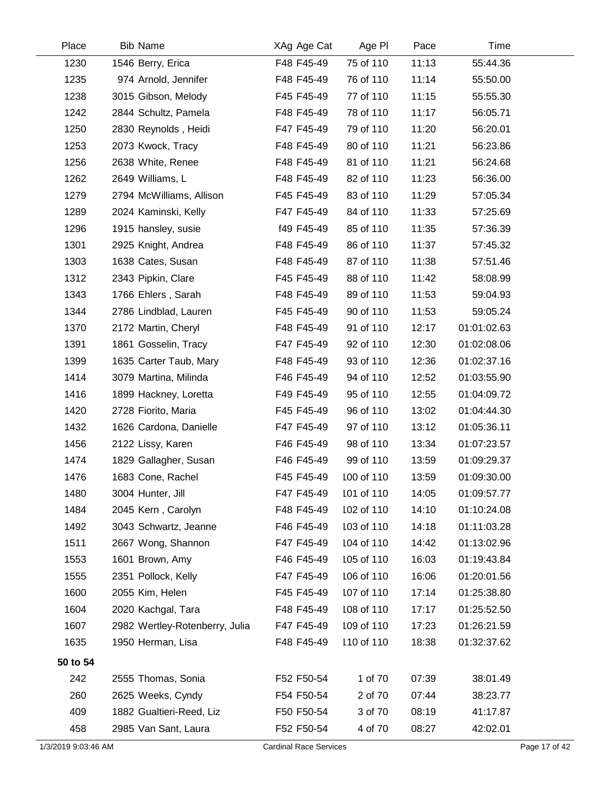| Place               | <b>Bib Name</b>                | XAg Age Cat                   | Age PI     | Pace  | Time        |               |
|---------------------|--------------------------------|-------------------------------|------------|-------|-------------|---------------|
| 1230                | 1546 Berry, Erica              | F48 F45-49                    | 75 of 110  | 11:13 | 55:44.36    |               |
| 1235                | 974 Arnold, Jennifer           | F48 F45-49                    | 76 of 110  | 11:14 | 55:50.00    |               |
| 1238                | 3015 Gibson, Melody            | F45 F45-49                    | 77 of 110  | 11:15 | 55:55.30    |               |
| 1242                | 2844 Schultz, Pamela           | F48 F45-49                    | 78 of 110  | 11:17 | 56:05.71    |               |
| 1250                | 2830 Reynolds, Heidi           | F47 F45-49                    | 79 of 110  | 11:20 | 56:20.01    |               |
| 1253                | 2073 Kwock, Tracy              | F48 F45-49                    | 80 of 110  | 11:21 | 56:23.86    |               |
| 1256                | 2638 White, Renee              | F48 F45-49                    | 81 of 110  | 11:21 | 56:24.68    |               |
| 1262                | 2649 Williams, L               | F48 F45-49                    | 82 of 110  | 11:23 | 56:36.00    |               |
| 1279                | 2794 McWilliams, Allison       | F45 F45-49                    | 83 of 110  | 11:29 | 57:05.34    |               |
| 1289                | 2024 Kaminski, Kelly           | F47 F45-49                    | 84 of 110  | 11:33 | 57:25.69    |               |
| 1296                | 1915 hansley, susie            | f49 F45-49                    | 85 of 110  | 11:35 | 57:36.39    |               |
| 1301                | 2925 Knight, Andrea            | F48 F45-49                    | 86 of 110  | 11:37 | 57:45.32    |               |
| 1303                | 1638 Cates, Susan              | F48 F45-49                    | 87 of 110  | 11:38 | 57:51.46    |               |
| 1312                | 2343 Pipkin, Clare             | F45 F45-49                    | 88 of 110  | 11:42 | 58:08.99    |               |
| 1343                | 1766 Ehlers, Sarah             | F48 F45-49                    | 89 of 110  | 11:53 | 59:04.93    |               |
| 1344                | 2786 Lindblad, Lauren          | F45 F45-49                    | 90 of 110  | 11:53 | 59:05.24    |               |
| 1370                | 2172 Martin, Cheryl            | F48 F45-49                    | 91 of 110  | 12:17 | 01:01:02.63 |               |
| 1391                | 1861 Gosselin, Tracy           | F47 F45-49                    | 92 of 110  | 12:30 | 01:02:08.06 |               |
| 1399                | 1635 Carter Taub, Mary         | F48 F45-49                    | 93 of 110  | 12:36 | 01:02:37.16 |               |
| 1414                | 3079 Martina, Milinda          | F46 F45-49                    | 94 of 110  | 12:52 | 01:03:55.90 |               |
| 1416                | 1899 Hackney, Loretta          | F49 F45-49                    | 95 of 110  | 12:55 | 01:04:09.72 |               |
| 1420                | 2728 Fiorito, Maria            | F45 F45-49                    | 96 of 110  | 13:02 | 01:04:44.30 |               |
| 1432                | 1626 Cardona, Danielle         | F47 F45-49                    | 97 of 110  | 13:12 | 01:05:36.11 |               |
| 1456                | 2122 Lissy, Karen              | F46 F45-49                    | 98 of 110  | 13:34 | 01:07:23.57 |               |
| 1474                | 1829 Gallagher, Susan          | F46 F45-49                    | 99 of 110  | 13:59 | 01:09:29.37 |               |
| 1476                | 1683 Cone, Rachel              | F45 F45-49                    | 100 of 110 | 13:59 | 01:09:30.00 |               |
| 1480                | 3004 Hunter, Jill              | F47 F45-49                    | 101 of 110 | 14:05 | 01:09:57.77 |               |
| 1484                | 2045 Kern, Carolyn             | F48 F45-49                    | 102 of 110 | 14:10 | 01:10:24.08 |               |
| 1492                | 3043 Schwartz, Jeanne          | F46 F45-49                    | 103 of 110 | 14:18 | 01:11:03.28 |               |
| 1511                | 2667 Wong, Shannon             | F47 F45-49                    | 104 of 110 | 14:42 | 01:13:02.96 |               |
| 1553                | 1601 Brown, Amy                | F46 F45-49                    | 105 of 110 | 16:03 | 01:19:43.84 |               |
| 1555                | 2351 Pollock, Kelly            | F47 F45-49                    | 106 of 110 | 16:06 | 01:20:01.56 |               |
| 1600                | 2055 Kim, Helen                | F45 F45-49                    | 107 of 110 | 17:14 | 01:25:38.80 |               |
| 1604                | 2020 Kachgal, Tara             | F48 F45-49                    | 108 of 110 | 17:17 | 01:25:52.50 |               |
| 1607                | 2982 Wertley-Rotenberry, Julia | F47 F45-49                    | 109 of 110 | 17:23 | 01:26:21.59 |               |
| 1635                | 1950 Herman, Lisa              | F48 F45-49                    | 110 of 110 | 18:38 | 01:32:37.62 |               |
| 50 to 54            |                                |                               |            |       |             |               |
| 242                 | 2555 Thomas, Sonia             | F52 F50-54                    | 1 of 70    | 07:39 | 38:01.49    |               |
| 260                 | 2625 Weeks, Cyndy              | F54 F50-54                    | 2 of 70    | 07:44 | 38:23.77    |               |
| 409                 | 1882 Gualtieri-Reed, Liz       | F50 F50-54                    | 3 of 70    | 08:19 | 41:17.87    |               |
| 458                 | 2985 Van Sant, Laura           | F52 F50-54                    | 4 of 70    | 08:27 | 42:02.01    |               |
| 1/3/2019 9:03:46 AM |                                | <b>Cardinal Race Services</b> |            |       |             | Page 17 of 42 |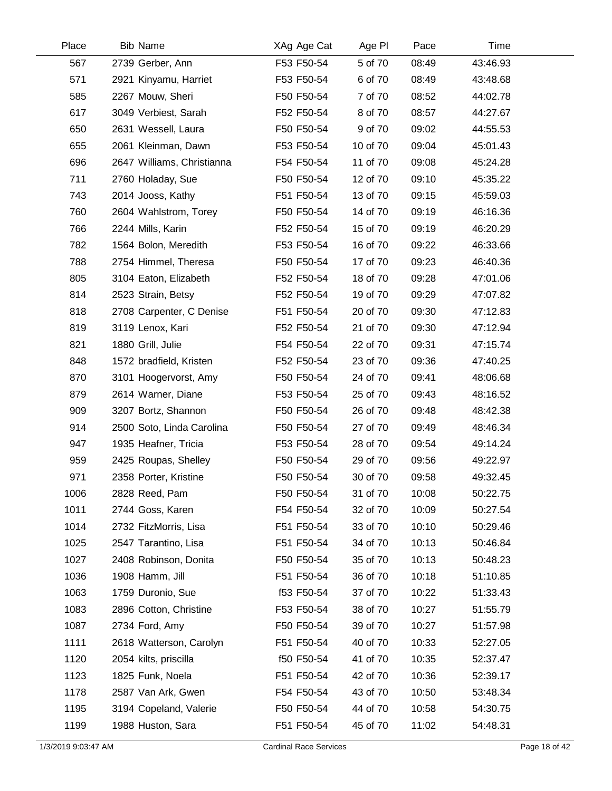| Place | <b>Bib Name</b>            | XAg Age Cat | Age PI   | Pace  | Time     |  |
|-------|----------------------------|-------------|----------|-------|----------|--|
| 567   | 2739 Gerber, Ann           | F53 F50-54  | 5 of 70  | 08:49 | 43:46.93 |  |
| 571   | 2921 Kinyamu, Harriet      | F53 F50-54  | 6 of 70  | 08:49 | 43:48.68 |  |
| 585   | 2267 Mouw, Sheri           | F50 F50-54  | 7 of 70  | 08:52 | 44:02.78 |  |
| 617   | 3049 Verbiest, Sarah       | F52 F50-54  | 8 of 70  | 08:57 | 44:27.67 |  |
| 650   | 2631 Wessell, Laura        | F50 F50-54  | 9 of 70  | 09:02 | 44:55.53 |  |
| 655   | 2061 Kleinman, Dawn        | F53 F50-54  | 10 of 70 | 09:04 | 45:01.43 |  |
| 696   | 2647 Williams, Christianna | F54 F50-54  | 11 of 70 | 09:08 | 45:24.28 |  |
| 711   | 2760 Holaday, Sue          | F50 F50-54  | 12 of 70 | 09:10 | 45:35.22 |  |
| 743   | 2014 Jooss, Kathy          | F51 F50-54  | 13 of 70 | 09:15 | 45:59.03 |  |
| 760   | 2604 Wahlstrom, Torey      | F50 F50-54  | 14 of 70 | 09:19 | 46:16.36 |  |
| 766   | 2244 Mills, Karin          | F52 F50-54  | 15 of 70 | 09:19 | 46:20.29 |  |
| 782   | 1564 Bolon, Meredith       | F53 F50-54  | 16 of 70 | 09:22 | 46:33.66 |  |
| 788   | 2754 Himmel, Theresa       | F50 F50-54  | 17 of 70 | 09:23 | 46:40.36 |  |
| 805   | 3104 Eaton, Elizabeth      | F52 F50-54  | 18 of 70 | 09:28 | 47:01.06 |  |
| 814   | 2523 Strain, Betsy         | F52 F50-54  | 19 of 70 | 09:29 | 47:07.82 |  |
| 818   | 2708 Carpenter, C Denise   | F51 F50-54  | 20 of 70 | 09:30 | 47:12.83 |  |
| 819   | 3119 Lenox, Kari           | F52 F50-54  | 21 of 70 | 09:30 | 47:12.94 |  |
| 821   | 1880 Grill, Julie          | F54 F50-54  | 22 of 70 | 09:31 | 47:15.74 |  |
| 848   | 1572 bradfield, Kristen    | F52 F50-54  | 23 of 70 | 09:36 | 47:40.25 |  |
| 870   | 3101 Hoogervorst, Amy      | F50 F50-54  | 24 of 70 | 09:41 | 48:06.68 |  |
| 879   | 2614 Warner, Diane         | F53 F50-54  | 25 of 70 | 09:43 | 48:16.52 |  |
| 909   | 3207 Bortz, Shannon        | F50 F50-54  | 26 of 70 | 09:48 | 48:42.38 |  |
| 914   | 2500 Soto, Linda Carolina  | F50 F50-54  | 27 of 70 | 09:49 | 48:46.34 |  |
| 947   | 1935 Heafner, Tricia       | F53 F50-54  | 28 of 70 | 09:54 | 49:14.24 |  |
| 959   | 2425 Roupas, Shelley       | F50 F50-54  | 29 of 70 | 09:56 | 49:22.97 |  |
| 971   | 2358 Porter, Kristine      | F50 F50-54  | 30 of 70 | 09:58 | 49:32.45 |  |
| 1006  | 2828 Reed, Pam             | F50 F50-54  | 31 of 70 | 10:08 | 50:22.75 |  |
| 1011  | 2744 Goss, Karen           | F54 F50-54  | 32 of 70 | 10:09 | 50:27.54 |  |
| 1014  | 2732 FitzMorris, Lisa      | F51 F50-54  | 33 of 70 | 10:10 | 50:29.46 |  |
| 1025  | 2547 Tarantino, Lisa       | F51 F50-54  | 34 of 70 | 10:13 | 50:46.84 |  |
| 1027  | 2408 Robinson, Donita      | F50 F50-54  | 35 of 70 | 10:13 | 50:48.23 |  |
| 1036  | 1908 Hamm, Jill            | F51 F50-54  | 36 of 70 | 10:18 | 51:10.85 |  |
| 1063  | 1759 Duronio, Sue          | f53 F50-54  | 37 of 70 | 10:22 | 51:33.43 |  |
| 1083  | 2896 Cotton, Christine     | F53 F50-54  | 38 of 70 | 10:27 | 51:55.79 |  |
| 1087  | 2734 Ford, Amy             | F50 F50-54  | 39 of 70 | 10:27 | 51:57.98 |  |
| 1111  | 2618 Watterson, Carolyn    | F51 F50-54  | 40 of 70 | 10:33 | 52:27.05 |  |
| 1120  | 2054 kilts, priscilla      | f50 F50-54  | 41 of 70 | 10:35 | 52:37.47 |  |
| 1123  | 1825 Funk, Noela           | F51 F50-54  | 42 of 70 | 10:36 | 52:39.17 |  |
| 1178  | 2587 Van Ark, Gwen         | F54 F50-54  | 43 of 70 | 10:50 | 53:48.34 |  |
| 1195  | 3194 Copeland, Valerie     | F50 F50-54  | 44 of 70 | 10:58 | 54:30.75 |  |
| 1199  | 1988 Huston, Sara          | F51 F50-54  | 45 of 70 | 11:02 | 54:48.31 |  |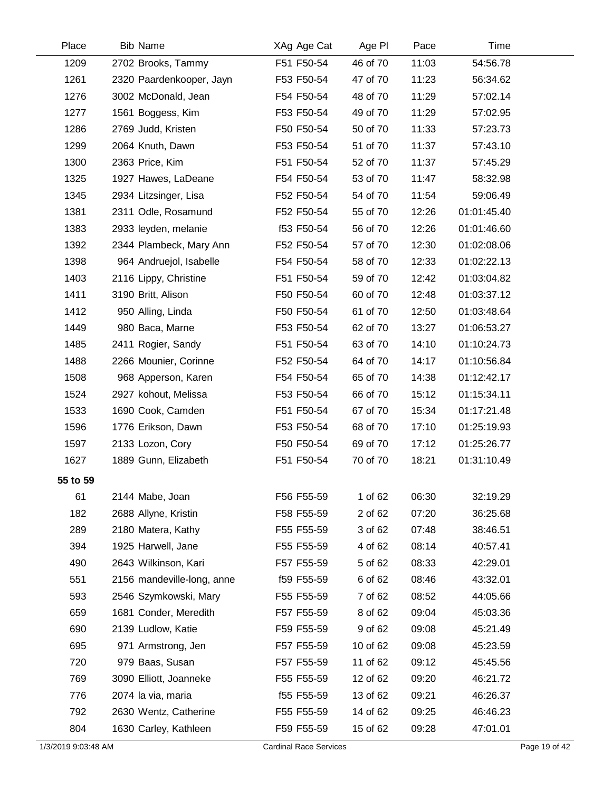| Place    | <b>Bib Name</b>            | XAg Age Cat | Age PI   | Pace  | Time        |  |
|----------|----------------------------|-------------|----------|-------|-------------|--|
| 1209     | 2702 Brooks, Tammy         | F51 F50-54  | 46 of 70 | 11:03 | 54:56.78    |  |
| 1261     | 2320 Paardenkooper, Jayn   | F53 F50-54  | 47 of 70 | 11:23 | 56:34.62    |  |
| 1276     | 3002 McDonald, Jean        | F54 F50-54  | 48 of 70 | 11:29 | 57:02.14    |  |
| 1277     | 1561 Boggess, Kim          | F53 F50-54  | 49 of 70 | 11:29 | 57:02.95    |  |
| 1286     | 2769 Judd, Kristen         | F50 F50-54  | 50 of 70 | 11:33 | 57:23.73    |  |
| 1299     | 2064 Knuth, Dawn           | F53 F50-54  | 51 of 70 | 11:37 | 57:43.10    |  |
| 1300     | 2363 Price, Kim            | F51 F50-54  | 52 of 70 | 11:37 | 57:45.29    |  |
| 1325     | 1927 Hawes, LaDeane        | F54 F50-54  | 53 of 70 | 11:47 | 58:32.98    |  |
| 1345     | 2934 Litzsinger, Lisa      | F52 F50-54  | 54 of 70 | 11:54 | 59:06.49    |  |
| 1381     | 2311 Odle, Rosamund        | F52 F50-54  | 55 of 70 | 12:26 | 01:01:45.40 |  |
| 1383     | 2933 leyden, melanie       | f53 F50-54  | 56 of 70 | 12:26 | 01:01:46.60 |  |
| 1392     | 2344 Plambeck, Mary Ann    | F52 F50-54  | 57 of 70 | 12:30 | 01:02:08.06 |  |
| 1398     | 964 Andruejol, Isabelle    | F54 F50-54  | 58 of 70 | 12:33 | 01:02:22.13 |  |
| 1403     | 2116 Lippy, Christine      | F51 F50-54  | 59 of 70 | 12:42 | 01:03:04.82 |  |
| 1411     | 3190 Britt, Alison         | F50 F50-54  | 60 of 70 | 12:48 | 01:03:37.12 |  |
| 1412     | 950 Alling, Linda          | F50 F50-54  | 61 of 70 | 12:50 | 01:03:48.64 |  |
| 1449     | 980 Baca, Marne            | F53 F50-54  | 62 of 70 | 13:27 | 01:06:53.27 |  |
| 1485     | 2411 Rogier, Sandy         | F51 F50-54  | 63 of 70 | 14:10 | 01:10:24.73 |  |
| 1488     | 2266 Mounier, Corinne      | F52 F50-54  | 64 of 70 | 14:17 | 01:10:56.84 |  |
| 1508     | 968 Apperson, Karen        | F54 F50-54  | 65 of 70 | 14:38 | 01:12:42.17 |  |
| 1524     | 2927 kohout, Melissa       | F53 F50-54  | 66 of 70 | 15:12 | 01:15:34.11 |  |
| 1533     | 1690 Cook, Camden          | F51 F50-54  | 67 of 70 | 15:34 | 01:17:21.48 |  |
| 1596     | 1776 Erikson, Dawn         | F53 F50-54  | 68 of 70 | 17:10 | 01:25:19.93 |  |
| 1597     | 2133 Lozon, Cory           | F50 F50-54  | 69 of 70 | 17:12 | 01:25:26.77 |  |
| 1627     | 1889 Gunn, Elizabeth       | F51 F50-54  | 70 of 70 | 18:21 | 01:31:10.49 |  |
| 55 to 59 |                            |             |          |       |             |  |
| 61       | 2144 Mabe, Joan            | F56 F55-59  | 1 of 62  | 06:30 | 32:19.29    |  |
| 182      | 2688 Allyne, Kristin       | F58 F55-59  | 2 of 62  | 07:20 | 36:25.68    |  |
| 289      | 2180 Matera, Kathy         | F55 F55-59  | 3 of 62  | 07:48 | 38:46.51    |  |
| 394      | 1925 Harwell, Jane         | F55 F55-59  | 4 of 62  | 08:14 | 40:57.41    |  |
| 490      | 2643 Wilkinson, Kari       | F57 F55-59  | 5 of 62  | 08:33 | 42:29.01    |  |
| 551      | 2156 mandeville-long, anne | f59 F55-59  | 6 of 62  | 08:46 | 43:32.01    |  |
| 593      | 2546 Szymkowski, Mary      | F55 F55-59  | 7 of 62  | 08:52 | 44:05.66    |  |
| 659      | 1681 Conder, Meredith      | F57 F55-59  | 8 of 62  | 09:04 | 45:03.36    |  |
| 690      | 2139 Ludlow, Katie         | F59 F55-59  | 9 of 62  | 09:08 | 45:21.49    |  |
| 695      | 971 Armstrong, Jen         | F57 F55-59  | 10 of 62 | 09:08 | 45:23.59    |  |
| 720      | 979 Baas, Susan            | F57 F55-59  | 11 of 62 | 09:12 | 45:45.56    |  |
| 769      | 3090 Elliott, Joanneke     | F55 F55-59  | 12 of 62 | 09:20 | 46:21.72    |  |
| 776      | 2074 la via, maria         | f55 F55-59  | 13 of 62 | 09:21 | 46:26.37    |  |
| 792      | 2630 Wentz, Catherine      | F55 F55-59  | 14 of 62 | 09:25 | 46:46.23    |  |
| 804      | 1630 Carley, Kathleen      | F59 F55-59  | 15 of 62 | 09:28 | 47:01.01    |  |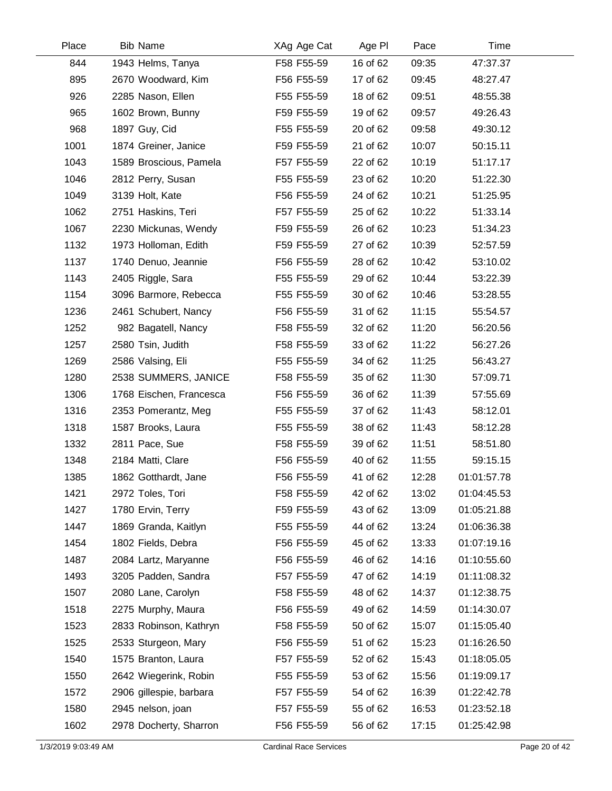| 844<br>1943 Helms, Tanya<br>F58 F55-59<br>16 of 62<br>09:35<br>47:37.37<br>895<br>17 of 62<br>2670 Woodward, Kim<br>F56 F55-59<br>09:45<br>48:27.47<br>926<br>2285 Nason, Ellen<br>F55 F55-59<br>18 of 62<br>09:51<br>48:55.38<br>965<br>19 of 62<br>1602 Brown, Bunny<br>F59 F55-59<br>09:57<br>49:26.43<br>968<br>1897 Guy, Cid<br>F55 F55-59<br>20 of 62<br>09:58<br>49:30.12<br>1001<br>1874 Greiner, Janice<br>F59 F55-59<br>21 of 62<br>10:07<br>50:15.11<br>1043<br>1589 Broscious, Pamela<br>F57 F55-59<br>22 of 62<br>10:19<br>51:17.17<br>1046<br>2812 Perry, Susan<br>F55 F55-59<br>23 of 62<br>10:20<br>51:22.30<br>1049<br>3139 Holt, Kate<br>F56 F55-59<br>24 of 62<br>10:21<br>51:25.95<br>1062<br>2751 Haskins, Teri<br>F57 F55-59<br>25 of 62<br>10:22<br>51:33.14<br>1067<br>2230 Mickunas, Wendy<br>F59 F55-59<br>26 of 62<br>10:23<br>51:34.23<br>1132<br>1973 Holloman, Edith<br>F59 F55-59<br>27 of 62<br>10:39<br>52:57.59 |  |
|---------------------------------------------------------------------------------------------------------------------------------------------------------------------------------------------------------------------------------------------------------------------------------------------------------------------------------------------------------------------------------------------------------------------------------------------------------------------------------------------------------------------------------------------------------------------------------------------------------------------------------------------------------------------------------------------------------------------------------------------------------------------------------------------------------------------------------------------------------------------------------------------------------------------------------------------------|--|
|                                                                                                                                                                                                                                                                                                                                                                                                                                                                                                                                                                                                                                                                                                                                                                                                                                                                                                                                                   |  |
|                                                                                                                                                                                                                                                                                                                                                                                                                                                                                                                                                                                                                                                                                                                                                                                                                                                                                                                                                   |  |
|                                                                                                                                                                                                                                                                                                                                                                                                                                                                                                                                                                                                                                                                                                                                                                                                                                                                                                                                                   |  |
|                                                                                                                                                                                                                                                                                                                                                                                                                                                                                                                                                                                                                                                                                                                                                                                                                                                                                                                                                   |  |
|                                                                                                                                                                                                                                                                                                                                                                                                                                                                                                                                                                                                                                                                                                                                                                                                                                                                                                                                                   |  |
|                                                                                                                                                                                                                                                                                                                                                                                                                                                                                                                                                                                                                                                                                                                                                                                                                                                                                                                                                   |  |
|                                                                                                                                                                                                                                                                                                                                                                                                                                                                                                                                                                                                                                                                                                                                                                                                                                                                                                                                                   |  |
|                                                                                                                                                                                                                                                                                                                                                                                                                                                                                                                                                                                                                                                                                                                                                                                                                                                                                                                                                   |  |
|                                                                                                                                                                                                                                                                                                                                                                                                                                                                                                                                                                                                                                                                                                                                                                                                                                                                                                                                                   |  |
|                                                                                                                                                                                                                                                                                                                                                                                                                                                                                                                                                                                                                                                                                                                                                                                                                                                                                                                                                   |  |
|                                                                                                                                                                                                                                                                                                                                                                                                                                                                                                                                                                                                                                                                                                                                                                                                                                                                                                                                                   |  |
|                                                                                                                                                                                                                                                                                                                                                                                                                                                                                                                                                                                                                                                                                                                                                                                                                                                                                                                                                   |  |
| 1137<br>1740 Denuo, Jeannie<br>F56 F55-59<br>28 of 62<br>10:42<br>53:10.02                                                                                                                                                                                                                                                                                                                                                                                                                                                                                                                                                                                                                                                                                                                                                                                                                                                                        |  |
| 1143<br>2405 Riggle, Sara<br>F55 F55-59<br>29 of 62<br>10:44<br>53:22.39                                                                                                                                                                                                                                                                                                                                                                                                                                                                                                                                                                                                                                                                                                                                                                                                                                                                          |  |
| 1154<br>F55 F55-59<br>30 of 62<br>10:46<br>53:28.55<br>3096 Barmore, Rebecca                                                                                                                                                                                                                                                                                                                                                                                                                                                                                                                                                                                                                                                                                                                                                                                                                                                                      |  |
| 1236<br>F56 F55-59<br>31 of 62<br>11:15<br>2461 Schubert, Nancy<br>55:54.57                                                                                                                                                                                                                                                                                                                                                                                                                                                                                                                                                                                                                                                                                                                                                                                                                                                                       |  |
| 1252<br>F58 F55-59<br>32 of 62<br>11:20<br>56:20.56<br>982 Bagatell, Nancy                                                                                                                                                                                                                                                                                                                                                                                                                                                                                                                                                                                                                                                                                                                                                                                                                                                                        |  |
| 1257<br>2580 Tsin, Judith<br>F58 F55-59<br>33 of 62<br>11:22<br>56:27.26                                                                                                                                                                                                                                                                                                                                                                                                                                                                                                                                                                                                                                                                                                                                                                                                                                                                          |  |
| 1269<br>11:25<br>F55 F55-59<br>34 of 62<br>56:43.27<br>2586 Valsing, Eli                                                                                                                                                                                                                                                                                                                                                                                                                                                                                                                                                                                                                                                                                                                                                                                                                                                                          |  |
| 1280<br>2538 SUMMERS, JANICE<br>35 of 62<br>11:30<br>57:09.71<br>F58 F55-59                                                                                                                                                                                                                                                                                                                                                                                                                                                                                                                                                                                                                                                                                                                                                                                                                                                                       |  |
| 1306<br>1768 Eischen, Francesca<br>F56 F55-59<br>36 of 62<br>11:39<br>57:55.69                                                                                                                                                                                                                                                                                                                                                                                                                                                                                                                                                                                                                                                                                                                                                                                                                                                                    |  |
| 1316<br>2353 Pomerantz, Meg<br>F55 F55-59<br>37 of 62<br>11:43<br>58:12.01                                                                                                                                                                                                                                                                                                                                                                                                                                                                                                                                                                                                                                                                                                                                                                                                                                                                        |  |
| 1318<br>F55 F55-59<br>38 of 62<br>11:43<br>58:12.28<br>1587 Brooks, Laura                                                                                                                                                                                                                                                                                                                                                                                                                                                                                                                                                                                                                                                                                                                                                                                                                                                                         |  |
| 1332<br>2811 Pace, Sue<br>F58 F55-59<br>39 of 62<br>11:51<br>58:51.80                                                                                                                                                                                                                                                                                                                                                                                                                                                                                                                                                                                                                                                                                                                                                                                                                                                                             |  |
| 1348<br>2184 Matti, Clare<br>F56 F55-59<br>40 of 62<br>11:55<br>59:15.15                                                                                                                                                                                                                                                                                                                                                                                                                                                                                                                                                                                                                                                                                                                                                                                                                                                                          |  |
| 1385<br>1862 Gotthardt, Jane<br>F56 F55-59<br>41 of 62<br>12:28<br>01:01:57.78                                                                                                                                                                                                                                                                                                                                                                                                                                                                                                                                                                                                                                                                                                                                                                                                                                                                    |  |
| 1421<br>2972 Toles, Tori<br>13:02<br>F58 F55-59<br>42 of 62<br>01:04:45.53                                                                                                                                                                                                                                                                                                                                                                                                                                                                                                                                                                                                                                                                                                                                                                                                                                                                        |  |
| 1427<br>1780 Ervin, Terry<br>F59 F55-59<br>43 of 62<br>13:09<br>01:05:21.88                                                                                                                                                                                                                                                                                                                                                                                                                                                                                                                                                                                                                                                                                                                                                                                                                                                                       |  |
| 1447<br>44 of 62<br>01:06:36.38<br>1869 Granda, Kaitlyn<br>F55 F55-59<br>13:24                                                                                                                                                                                                                                                                                                                                                                                                                                                                                                                                                                                                                                                                                                                                                                                                                                                                    |  |
| 1454<br>1802 Fields, Debra<br>F56 F55-59<br>45 of 62<br>13:33<br>01:07:19.16                                                                                                                                                                                                                                                                                                                                                                                                                                                                                                                                                                                                                                                                                                                                                                                                                                                                      |  |
| 1487<br>2084 Lartz, Maryanne<br>46 of 62<br>14:16<br>01:10:55.60<br>F56 F55-59                                                                                                                                                                                                                                                                                                                                                                                                                                                                                                                                                                                                                                                                                                                                                                                                                                                                    |  |
| 1493<br>3205 Padden, Sandra<br>F57 F55-59<br>47 of 62<br>14:19<br>01:11:08.32                                                                                                                                                                                                                                                                                                                                                                                                                                                                                                                                                                                                                                                                                                                                                                                                                                                                     |  |
| 1507<br>48 of 62<br>14:37<br>01:12:38.75<br>2080 Lane, Carolyn<br>F58 F55-59                                                                                                                                                                                                                                                                                                                                                                                                                                                                                                                                                                                                                                                                                                                                                                                                                                                                      |  |
| 1518<br>2275 Murphy, Maura<br>F56 F55-59<br>49 of 62<br>14:59<br>01:14:30.07                                                                                                                                                                                                                                                                                                                                                                                                                                                                                                                                                                                                                                                                                                                                                                                                                                                                      |  |
| 1523<br>F58 F55-59<br>50 of 62<br>01:15:05.40<br>2833 Robinson, Kathryn<br>15:07                                                                                                                                                                                                                                                                                                                                                                                                                                                                                                                                                                                                                                                                                                                                                                                                                                                                  |  |
| 1525<br>2533 Sturgeon, Mary<br>F56 F55-59<br>51 of 62<br>15:23<br>01:16:26.50                                                                                                                                                                                                                                                                                                                                                                                                                                                                                                                                                                                                                                                                                                                                                                                                                                                                     |  |
| 1540<br>52 of 62<br>01:18:05.05<br>1575 Branton, Laura<br>F57 F55-59<br>15:43                                                                                                                                                                                                                                                                                                                                                                                                                                                                                                                                                                                                                                                                                                                                                                                                                                                                     |  |
| 1550<br>F55 F55-59<br>53 of 62<br>15:56<br>01:19:09.17<br>2642 Wiegerink, Robin                                                                                                                                                                                                                                                                                                                                                                                                                                                                                                                                                                                                                                                                                                                                                                                                                                                                   |  |
| 1572<br>2906 gillespie, barbara<br>F57 F55-59<br>54 of 62<br>16:39<br>01:22:42.78                                                                                                                                                                                                                                                                                                                                                                                                                                                                                                                                                                                                                                                                                                                                                                                                                                                                 |  |
| 1580<br>2945 nelson, joan<br>F57 F55-59<br>55 of 62<br>16:53<br>01:23:52.18                                                                                                                                                                                                                                                                                                                                                                                                                                                                                                                                                                                                                                                                                                                                                                                                                                                                       |  |
| 1602<br>2978 Docherty, Sharron<br>56 of 62<br>F56 F55-59<br>17:15<br>01:25:42.98                                                                                                                                                                                                                                                                                                                                                                                                                                                                                                                                                                                                                                                                                                                                                                                                                                                                  |  |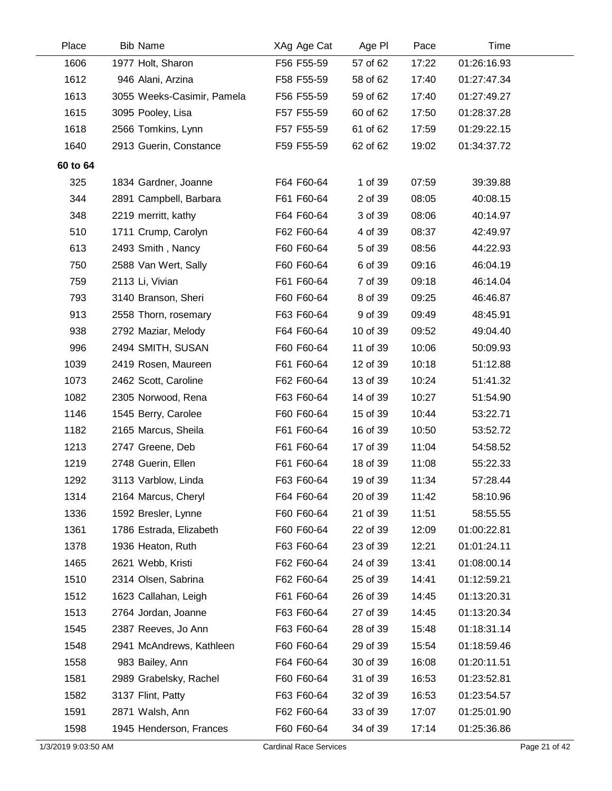| Place    | <b>Bib Name</b>            | XAg Age Cat | Age PI   | Pace  | Time        |  |
|----------|----------------------------|-------------|----------|-------|-------------|--|
| 1606     | 1977 Holt, Sharon          | F56 F55-59  | 57 of 62 | 17:22 | 01:26:16.93 |  |
| 1612     | 946 Alani, Arzina          | F58 F55-59  | 58 of 62 | 17:40 | 01:27:47.34 |  |
| 1613     | 3055 Weeks-Casimir, Pamela | F56 F55-59  | 59 of 62 | 17:40 | 01:27:49.27 |  |
| 1615     | 3095 Pooley, Lisa          | F57 F55-59  | 60 of 62 | 17:50 | 01:28:37.28 |  |
| 1618     | 2566 Tomkins, Lynn         | F57 F55-59  | 61 of 62 | 17:59 | 01:29:22.15 |  |
| 1640     | 2913 Guerin, Constance     | F59 F55-59  | 62 of 62 | 19:02 | 01:34:37.72 |  |
| 60 to 64 |                            |             |          |       |             |  |
| 325      | 1834 Gardner, Joanne       | F64 F60-64  | 1 of 39  | 07:59 | 39:39.88    |  |
| 344      | 2891 Campbell, Barbara     | F61 F60-64  | 2 of 39  | 08:05 | 40:08.15    |  |
| 348      | 2219 merritt, kathy        | F64 F60-64  | 3 of 39  | 08:06 | 40:14.97    |  |
| 510      | 1711 Crump, Carolyn        | F62 F60-64  | 4 of 39  | 08:37 | 42:49.97    |  |
| 613      | 2493 Smith, Nancy          | F60 F60-64  | 5 of 39  | 08:56 | 44:22.93    |  |
| 750      | 2588 Van Wert, Sally       | F60 F60-64  | 6 of 39  | 09:16 | 46:04.19    |  |
| 759      | 2113 Li, Vivian            | F61 F60-64  | 7 of 39  | 09:18 | 46:14.04    |  |
| 793      | 3140 Branson, Sheri        | F60 F60-64  | 8 of 39  | 09:25 | 46:46.87    |  |
| 913      | 2558 Thorn, rosemary       | F63 F60-64  | 9 of 39  | 09:49 | 48:45.91    |  |
| 938      | 2792 Maziar, Melody        | F64 F60-64  | 10 of 39 | 09:52 | 49:04.40    |  |
| 996      | 2494 SMITH, SUSAN          | F60 F60-64  | 11 of 39 | 10:06 | 50:09.93    |  |
| 1039     | 2419 Rosen, Maureen        | F61 F60-64  | 12 of 39 | 10:18 | 51:12.88    |  |
| 1073     | 2462 Scott, Caroline       | F62 F60-64  | 13 of 39 | 10:24 | 51:41.32    |  |
| 1082     | 2305 Norwood, Rena         | F63 F60-64  | 14 of 39 | 10:27 | 51:54.90    |  |
| 1146     | 1545 Berry, Carolee        | F60 F60-64  | 15 of 39 | 10:44 | 53:22.71    |  |
| 1182     | 2165 Marcus, Sheila        | F61 F60-64  | 16 of 39 | 10:50 | 53:52.72    |  |
| 1213     | 2747 Greene, Deb           | F61 F60-64  | 17 of 39 | 11:04 | 54:58.52    |  |
| 1219     | 2748 Guerin, Ellen         | F61 F60-64  | 18 of 39 | 11:08 | 55:22.33    |  |
| 1292     | 3113 Varblow, Linda        | F63 F60-64  | 19 of 39 | 11:34 | 57:28.44    |  |
| 1314     | 2164 Marcus, Cheryl        | F64 F60-64  | 20 of 39 | 11:42 | 58:10.96    |  |
| 1336     | 1592 Bresler, Lynne        | F60 F60-64  | 21 of 39 | 11:51 | 58:55.55    |  |
| 1361     | 1786 Estrada, Elizabeth    | F60 F60-64  | 22 of 39 | 12:09 | 01:00:22.81 |  |
| 1378     | 1936 Heaton, Ruth          | F63 F60-64  | 23 of 39 | 12:21 | 01:01:24.11 |  |
| 1465     | 2621 Webb, Kristi          | F62 F60-64  | 24 of 39 | 13:41 | 01:08:00.14 |  |
| 1510     | 2314 Olsen, Sabrina        | F62 F60-64  | 25 of 39 | 14:41 | 01:12:59.21 |  |
| 1512     | 1623 Callahan, Leigh       | F61 F60-64  | 26 of 39 | 14:45 | 01:13:20.31 |  |
| 1513     | 2764 Jordan, Joanne        | F63 F60-64  | 27 of 39 | 14:45 | 01:13:20.34 |  |
| 1545     | 2387 Reeves, Jo Ann        | F63 F60-64  | 28 of 39 | 15:48 | 01:18:31.14 |  |
| 1548     | 2941 McAndrews, Kathleen   | F60 F60-64  | 29 of 39 | 15:54 | 01:18:59.46 |  |
| 1558     | 983 Bailey, Ann            | F64 F60-64  | 30 of 39 | 16:08 | 01:20:11.51 |  |
| 1581     | 2989 Grabelsky, Rachel     | F60 F60-64  | 31 of 39 | 16:53 | 01:23:52.81 |  |
| 1582     | 3137 Flint, Patty          | F63 F60-64  | 32 of 39 | 16:53 | 01:23:54.57 |  |
| 1591     | 2871 Walsh, Ann            | F62 F60-64  | 33 of 39 | 17:07 | 01:25:01.90 |  |
| 1598     | 1945 Henderson, Frances    | F60 F60-64  | 34 of 39 | 17:14 | 01:25:36.86 |  |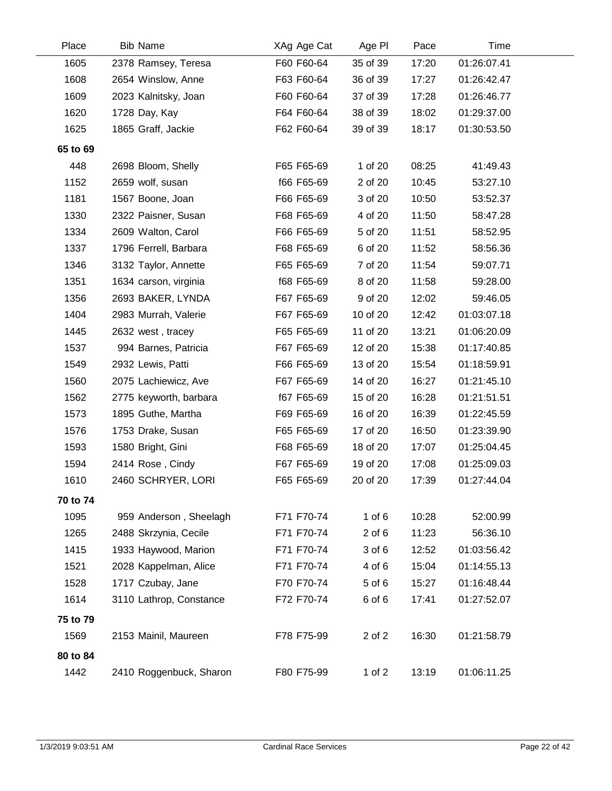| Place    | <b>Bib Name</b>         | XAg Age Cat | Age PI     | Pace  | Time        |  |
|----------|-------------------------|-------------|------------|-------|-------------|--|
| 1605     | 2378 Ramsey, Teresa     | F60 F60-64  | 35 of 39   | 17:20 | 01:26:07.41 |  |
| 1608     | 2654 Winslow, Anne      | F63 F60-64  | 36 of 39   | 17:27 | 01:26:42.47 |  |
| 1609     | 2023 Kalnitsky, Joan    | F60 F60-64  | 37 of 39   | 17:28 | 01:26:46.77 |  |
| 1620     | 1728 Day, Kay           | F64 F60-64  | 38 of 39   | 18:02 | 01:29:37.00 |  |
| 1625     | 1865 Graff, Jackie      | F62 F60-64  | 39 of 39   | 18:17 | 01:30:53.50 |  |
| 65 to 69 |                         |             |            |       |             |  |
| 448      | 2698 Bloom, Shelly      | F65 F65-69  | 1 of 20    | 08:25 | 41:49.43    |  |
| 1152     | 2659 wolf, susan        | f66 F65-69  | 2 of 20    | 10:45 | 53:27.10    |  |
| 1181     | 1567 Boone, Joan        | F66 F65-69  | 3 of 20    | 10:50 | 53:52.37    |  |
| 1330     | 2322 Paisner, Susan     | F68 F65-69  | 4 of 20    | 11:50 | 58:47.28    |  |
| 1334     | 2609 Walton, Carol      | F66 F65-69  | 5 of 20    | 11:51 | 58:52.95    |  |
| 1337     | 1796 Ferrell, Barbara   | F68 F65-69  | 6 of 20    | 11:52 | 58:56.36    |  |
| 1346     | 3132 Taylor, Annette    | F65 F65-69  | 7 of 20    | 11:54 | 59:07.71    |  |
| 1351     | 1634 carson, virginia   | f68 F65-69  | 8 of 20    | 11:58 | 59:28.00    |  |
| 1356     | 2693 BAKER, LYNDA       | F67 F65-69  | 9 of 20    | 12:02 | 59:46.05    |  |
| 1404     | 2983 Murrah, Valerie    | F67 F65-69  | 10 of 20   | 12:42 | 01:03:07.18 |  |
| 1445     | 2632 west, tracey       | F65 F65-69  | 11 of 20   | 13:21 | 01:06:20.09 |  |
| 1537     | 994 Barnes, Patricia    | F67 F65-69  | 12 of 20   | 15:38 | 01:17:40.85 |  |
| 1549     | 2932 Lewis, Patti       | F66 F65-69  | 13 of 20   | 15:54 | 01:18:59.91 |  |
| 1560     | 2075 Lachiewicz, Ave    | F67 F65-69  | 14 of 20   | 16:27 | 01:21:45.10 |  |
| 1562     | 2775 keyworth, barbara  | f67 F65-69  | 15 of 20   | 16:28 | 01:21:51.51 |  |
| 1573     | 1895 Guthe, Martha      | F69 F65-69  | 16 of 20   | 16:39 | 01:22:45.59 |  |
| 1576     | 1753 Drake, Susan       | F65 F65-69  | 17 of 20   | 16:50 | 01:23:39.90 |  |
| 1593     | 1580 Bright, Gini       | F68 F65-69  | 18 of 20   | 17:07 | 01:25:04.45 |  |
| 1594     | 2414 Rose, Cindy        | F67 F65-69  | 19 of 20   | 17:08 | 01:25:09.03 |  |
| 1610     | 2460 SCHRYER, LORI      | F65 F65-69  | 20 of 20   | 17:39 | 01:27:44.04 |  |
| 70 to 74 |                         |             |            |       |             |  |
| 1095     | 959 Anderson, Sheelagh  | F71 F70-74  | $1$ of $6$ | 10:28 | 52:00.99    |  |
| 1265     | 2488 Skrzynia, Cecile   | F71 F70-74  | $2$ of $6$ | 11:23 | 56:36.10    |  |
| 1415     | 1933 Haywood, Marion    | F71 F70-74  | 3 of 6     | 12:52 | 01:03:56.42 |  |
| 1521     | 2028 Kappelman, Alice   | F71 F70-74  | 4 of 6     | 15:04 | 01:14:55.13 |  |
| 1528     | 1717 Czubay, Jane       | F70 F70-74  | 5 of 6     | 15:27 | 01:16:48.44 |  |
| 1614     | 3110 Lathrop, Constance | F72 F70-74  | 6 of 6     | 17:41 | 01:27:52.07 |  |
| 75 to 79 |                         |             |            |       |             |  |
| 1569     | 2153 Mainil, Maureen    | F78 F75-99  | 2 of 2     | 16:30 | 01:21:58.79 |  |
| 80 to 84 |                         |             |            |       |             |  |
| 1442     | 2410 Roggenbuck, Sharon | F80 F75-99  | 1 of $2$   | 13:19 | 01:06:11.25 |  |
|          |                         |             |            |       |             |  |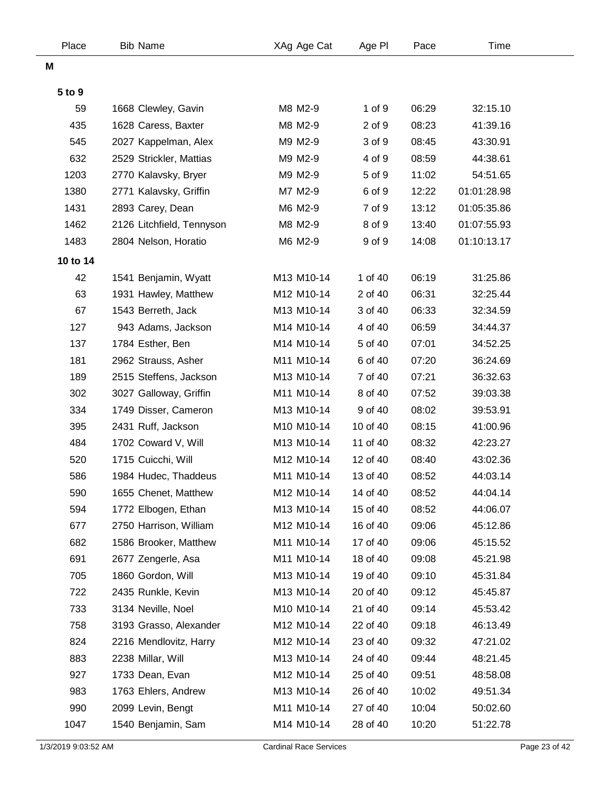| Place    | <b>Bib Name</b>           | XAg Age Cat | Age PI   | Pace  | Time        |  |
|----------|---------------------------|-------------|----------|-------|-------------|--|
| M        |                           |             |          |       |             |  |
| 5 to 9   |                           |             |          |       |             |  |
| 59       | 1668 Clewley, Gavin       | M8 M2-9     | 1 of 9   | 06:29 | 32:15.10    |  |
| 435      | 1628 Caress, Baxter       | M8 M2-9     | 2 of 9   | 08:23 | 41:39.16    |  |
| 545      | 2027 Kappelman, Alex      | M9 M2-9     | 3 of 9   | 08:45 | 43:30.91    |  |
| 632      | 2529 Strickler, Mattias   | M9 M2-9     | 4 of 9   | 08:59 | 44:38.61    |  |
| 1203     | 2770 Kalavsky, Bryer      | M9 M2-9     | 5 of 9   | 11:02 | 54:51.65    |  |
| 1380     | 2771 Kalavsky, Griffin    | M7 M2-9     | 6 of 9   | 12:22 | 01:01:28.98 |  |
| 1431     | 2893 Carey, Dean          | M6 M2-9     | 7 of 9   | 13:12 | 01:05:35.86 |  |
| 1462     | 2126 Litchfield, Tennyson | M8 M2-9     | 8 of 9   | 13:40 | 01:07:55.93 |  |
| 1483     | 2804 Nelson, Horatio      | M6 M2-9     | 9 of 9   | 14:08 | 01:10:13.17 |  |
| 10 to 14 |                           |             |          |       |             |  |
| 42       | 1541 Benjamin, Wyatt      | M13 M10-14  | 1 of 40  | 06:19 | 31:25.86    |  |
| 63       | 1931 Hawley, Matthew      | M12 M10-14  | 2 of 40  | 06:31 | 32:25.44    |  |
| 67       | 1543 Berreth, Jack        | M13 M10-14  | 3 of 40  | 06:33 | 32:34.59    |  |
| 127      | 943 Adams, Jackson        | M14 M10-14  | 4 of 40  | 06:59 | 34:44.37    |  |
| 137      | 1784 Esther, Ben          | M14 M10-14  | 5 of 40  | 07:01 | 34:52.25    |  |
| 181      | 2962 Strauss, Asher       | M11 M10-14  | 6 of 40  | 07:20 | 36:24.69    |  |
| 189      | 2515 Steffens, Jackson    | M13 M10-14  | 7 of 40  | 07:21 | 36:32.63    |  |
| 302      | 3027 Galloway, Griffin    | M11 M10-14  | 8 of 40  | 07:52 | 39:03.38    |  |
| 334      | 1749 Disser, Cameron      | M13 M10-14  | 9 of 40  | 08:02 | 39:53.91    |  |
| 395      | 2431 Ruff, Jackson        | M10 M10-14  | 10 of 40 | 08:15 | 41:00.96    |  |
| 484      | 1702 Coward V, Will       | M13 M10-14  | 11 of 40 | 08:32 | 42:23.27    |  |
| 520      | 1715 Cuicchi, Will        | M12 M10-14  | 12 of 40 | 08:40 | 43:02.36    |  |
| 586      | 1984 Hudec, Thaddeus      | M11 M10-14  | 13 of 40 | 08:52 | 44:03.14    |  |
| 590      | 1655 Chenet, Matthew      | M12 M10-14  | 14 of 40 | 08:52 | 44:04.14    |  |
| 594      | 1772 Elbogen, Ethan       | M13 M10-14  | 15 of 40 | 08:52 | 44:06.07    |  |
| 677      | 2750 Harrison, William    | M12 M10-14  | 16 of 40 | 09:06 | 45:12.86    |  |
| 682      | 1586 Brooker, Matthew     | M11 M10-14  | 17 of 40 | 09:06 | 45:15.52    |  |
| 691      | 2677 Zengerle, Asa        | M11 M10-14  | 18 of 40 | 09:08 | 45:21.98    |  |
| 705      | 1860 Gordon, Will         | M13 M10-14  | 19 of 40 | 09:10 | 45:31.84    |  |
| 722      | 2435 Runkle, Kevin        | M13 M10-14  | 20 of 40 | 09:12 | 45:45.87    |  |
| 733      | 3134 Neville, Noel        | M10 M10-14  | 21 of 40 | 09:14 | 45:53.42    |  |
| 758      | 3193 Grasso, Alexander    | M12 M10-14  | 22 of 40 | 09:18 | 46:13.49    |  |
| 824      | 2216 Mendlovitz, Harry    | M12 M10-14  | 23 of 40 | 09:32 | 47:21.02    |  |
| 883      | 2238 Millar, Will         | M13 M10-14  | 24 of 40 | 09:44 | 48:21.45    |  |
| 927      | 1733 Dean, Evan           | M12 M10-14  | 25 of 40 | 09:51 | 48:58.08    |  |
| 983      | 1763 Ehlers, Andrew       | M13 M10-14  | 26 of 40 | 10:02 | 49:51.34    |  |
| 990      | 2099 Levin, Bengt         | M11 M10-14  | 27 of 40 | 10:04 | 50:02.60    |  |
| 1047     | 1540 Benjamin, Sam        | M14 M10-14  | 28 of 40 | 10:20 | 51:22.78    |  |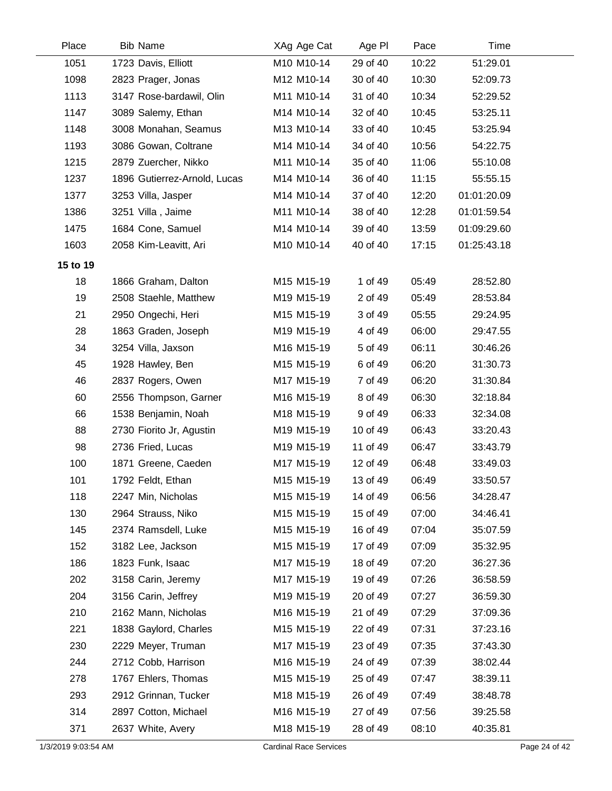| Place    | <b>Bib Name</b>              | XAg Age Cat | Age PI   | Pace  | Time        |  |
|----------|------------------------------|-------------|----------|-------|-------------|--|
| 1051     | 1723 Davis, Elliott          | M10 M10-14  | 29 of 40 | 10:22 | 51:29.01    |  |
| 1098     | 2823 Prager, Jonas           | M12 M10-14  | 30 of 40 | 10:30 | 52:09.73    |  |
| 1113     | 3147 Rose-bardawil, Olin     | M11 M10-14  | 31 of 40 | 10:34 | 52:29.52    |  |
| 1147     | 3089 Salemy, Ethan           | M14 M10-14  | 32 of 40 | 10:45 | 53:25.11    |  |
| 1148     | 3008 Monahan, Seamus         | M13 M10-14  | 33 of 40 | 10:45 | 53:25.94    |  |
| 1193     | 3086 Gowan, Coltrane         | M14 M10-14  | 34 of 40 | 10:56 | 54:22.75    |  |
| 1215     | 2879 Zuercher, Nikko         | M11 M10-14  | 35 of 40 | 11:06 | 55:10.08    |  |
| 1237     | 1896 Gutierrez-Arnold, Lucas | M14 M10-14  | 36 of 40 | 11:15 | 55:55.15    |  |
| 1377     | 3253 Villa, Jasper           | M14 M10-14  | 37 of 40 | 12:20 | 01:01:20.09 |  |
| 1386     | 3251 Villa, Jaime            | M11 M10-14  | 38 of 40 | 12:28 | 01:01:59.54 |  |
| 1475     | 1684 Cone, Samuel            | M14 M10-14  | 39 of 40 | 13:59 | 01:09:29.60 |  |
| 1603     | 2058 Kim-Leavitt, Ari        | M10 M10-14  | 40 of 40 | 17:15 | 01:25:43.18 |  |
| 15 to 19 |                              |             |          |       |             |  |
| 18       | 1866 Graham, Dalton          | M15 M15-19  | 1 of 49  | 05:49 | 28:52.80    |  |
| 19       | 2508 Staehle, Matthew        | M19 M15-19  | 2 of 49  | 05:49 | 28:53.84    |  |
| 21       | 2950 Ongechi, Heri           | M15 M15-19  | 3 of 49  | 05:55 | 29:24.95    |  |
| 28       | 1863 Graden, Joseph          | M19 M15-19  | 4 of 49  | 06:00 | 29:47.55    |  |
| 34       | 3254 Villa, Jaxson           | M16 M15-19  | 5 of 49  | 06:11 | 30:46.26    |  |
| 45       | 1928 Hawley, Ben             | M15 M15-19  | 6 of 49  | 06:20 | 31:30.73    |  |
| 46       | 2837 Rogers, Owen            | M17 M15-19  | 7 of 49  | 06:20 | 31:30.84    |  |
| 60       | 2556 Thompson, Garner        | M16 M15-19  | 8 of 49  | 06:30 | 32:18.84    |  |
| 66       | 1538 Benjamin, Noah          | M18 M15-19  | 9 of 49  | 06:33 | 32:34.08    |  |
| 88       | 2730 Fiorito Jr, Agustin     | M19 M15-19  | 10 of 49 | 06:43 | 33:20.43    |  |
| 98       | 2736 Fried, Lucas            | M19 M15-19  | 11 of 49 | 06:47 | 33:43.79    |  |
| 100      | 1871 Greene, Caeden          | M17 M15-19  | 12 of 49 | 06:48 | 33:49.03    |  |
| 101      | 1792 Feldt, Ethan            | M15 M15-19  | 13 of 49 | 06:49 | 33:50.57    |  |
| 118      | 2247 Min, Nicholas           | M15 M15-19  | 14 of 49 | 06:56 | 34:28.47    |  |
| 130      | 2964 Strauss, Niko           | M15 M15-19  | 15 of 49 | 07:00 | 34:46.41    |  |
| 145      | 2374 Ramsdell, Luke          | M15 M15-19  | 16 of 49 | 07:04 | 35:07.59    |  |
| 152      | 3182 Lee, Jackson            | M15 M15-19  | 17 of 49 | 07:09 | 35:32.95    |  |
| 186      | 1823 Funk, Isaac             | M17 M15-19  | 18 of 49 | 07:20 | 36:27.36    |  |
| 202      | 3158 Carin, Jeremy           | M17 M15-19  | 19 of 49 | 07:26 | 36:58.59    |  |
| 204      | 3156 Carin, Jeffrey          | M19 M15-19  | 20 of 49 | 07:27 | 36:59.30    |  |
| 210      | 2162 Mann, Nicholas          | M16 M15-19  | 21 of 49 | 07:29 | 37:09.36    |  |
| 221      | 1838 Gaylord, Charles        | M15 M15-19  | 22 of 49 | 07:31 | 37:23.16    |  |
| 230      | 2229 Meyer, Truman           | M17 M15-19  | 23 of 49 | 07:35 | 37:43.30    |  |
| 244      | 2712 Cobb, Harrison          | M16 M15-19  | 24 of 49 | 07:39 | 38:02.44    |  |
| 278      | 1767 Ehlers, Thomas          | M15 M15-19  | 25 of 49 | 07:47 | 38:39.11    |  |
| 293      | 2912 Grinnan, Tucker         | M18 M15-19  | 26 of 49 | 07:49 | 38:48.78    |  |
| 314      | 2897 Cotton, Michael         | M16 M15-19  | 27 of 49 | 07:56 | 39:25.58    |  |
| 371      | 2637 White, Avery            | M18 M15-19  | 28 of 49 | 08:10 | 40:35.81    |  |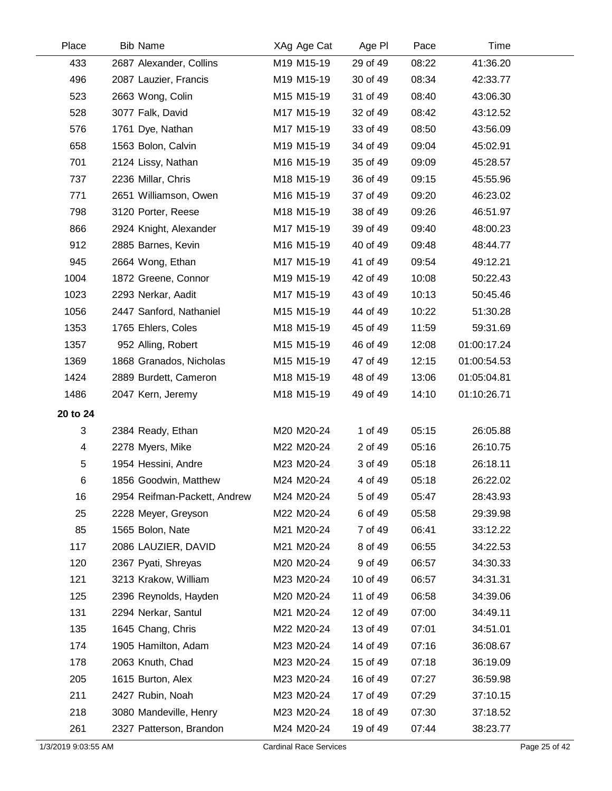| Place                   | <b>Bib Name</b>              | XAg Age Cat | Age PI   | Pace  | Time        |  |
|-------------------------|------------------------------|-------------|----------|-------|-------------|--|
| 433                     | 2687 Alexander, Collins      | M19 M15-19  | 29 of 49 | 08:22 | 41:36.20    |  |
| 496                     | 2087 Lauzier, Francis        | M19 M15-19  | 30 of 49 | 08:34 | 42:33.77    |  |
| 523                     | 2663 Wong, Colin             | M15 M15-19  | 31 of 49 | 08:40 | 43:06.30    |  |
| 528                     | 3077 Falk, David             | M17 M15-19  | 32 of 49 | 08:42 | 43:12.52    |  |
| 576                     | 1761 Dye, Nathan             | M17 M15-19  | 33 of 49 | 08:50 | 43:56.09    |  |
| 658                     | 1563 Bolon, Calvin           | M19 M15-19  | 34 of 49 | 09:04 | 45:02.91    |  |
| 701                     | 2124 Lissy, Nathan           | M16 M15-19  | 35 of 49 | 09:09 | 45:28.57    |  |
| 737                     | 2236 Millar, Chris           | M18 M15-19  | 36 of 49 | 09:15 | 45:55.96    |  |
| 771                     | 2651 Williamson, Owen        | M16 M15-19  | 37 of 49 | 09:20 | 46:23.02    |  |
| 798                     | 3120 Porter, Reese           | M18 M15-19  | 38 of 49 | 09:26 | 46:51.97    |  |
| 866                     | 2924 Knight, Alexander       | M17 M15-19  | 39 of 49 | 09:40 | 48:00.23    |  |
| 912                     | 2885 Barnes, Kevin           | M16 M15-19  | 40 of 49 | 09:48 | 48:44.77    |  |
| 945                     | 2664 Wong, Ethan             | M17 M15-19  | 41 of 49 | 09:54 | 49:12.21    |  |
| 1004                    | 1872 Greene, Connor          | M19 M15-19  | 42 of 49 | 10:08 | 50:22.43    |  |
| 1023                    | 2293 Nerkar, Aadit           | M17 M15-19  | 43 of 49 | 10:13 | 50:45.46    |  |
| 1056                    | 2447 Sanford, Nathaniel      | M15 M15-19  | 44 of 49 | 10:22 | 51:30.28    |  |
| 1353                    | 1765 Ehlers, Coles           | M18 M15-19  | 45 of 49 | 11:59 | 59:31.69    |  |
| 1357                    | 952 Alling, Robert           | M15 M15-19  | 46 of 49 | 12:08 | 01:00:17.24 |  |
| 1369                    | 1868 Granados, Nicholas      | M15 M15-19  | 47 of 49 | 12:15 | 01:00:54.53 |  |
| 1424                    | 2889 Burdett, Cameron        | M18 M15-19  | 48 of 49 | 13:06 | 01:05:04.81 |  |
| 1486                    | 2047 Kern, Jeremy            | M18 M15-19  | 49 of 49 | 14:10 | 01:10:26.71 |  |
| 20 to 24                |                              |             |          |       |             |  |
| 3                       | 2384 Ready, Ethan            | M20 M20-24  | 1 of 49  | 05:15 | 26:05.88    |  |
| $\overline{\mathbf{4}}$ | 2278 Myers, Mike             | M22 M20-24  | 2 of 49  | 05:16 | 26:10.75    |  |
| 5                       | 1954 Hessini, Andre          | M23 M20-24  | 3 of 49  | 05:18 | 26:18.11    |  |
| 6                       | 1856 Goodwin, Matthew        | M24 M20-24  | 4 of 49  | 05:18 | 26:22.02    |  |
| 16                      | 2954 Reifman-Packett, Andrew | M24 M20-24  | 5 of 49  | 05:47 | 28:43.93    |  |
| 25                      | 2228 Meyer, Greyson          | M22 M20-24  | 6 of 49  | 05:58 | 29:39.98    |  |
| 85                      | 1565 Bolon, Nate             | M21 M20-24  | 7 of 49  | 06:41 | 33:12.22    |  |
| 117                     | 2086 LAUZIER, DAVID          | M21 M20-24  | 8 of 49  | 06:55 | 34:22.53    |  |
| 120                     | 2367 Pyati, Shreyas          | M20 M20-24  | 9 of 49  | 06:57 | 34:30.33    |  |
| 121                     | 3213 Krakow, William         | M23 M20-24  | 10 of 49 | 06:57 | 34:31.31    |  |
| 125                     | 2396 Reynolds, Hayden        | M20 M20-24  | 11 of 49 | 06:58 | 34:39.06    |  |
| 131                     | 2294 Nerkar, Santul          | M21 M20-24  | 12 of 49 | 07:00 | 34:49.11    |  |
| 135                     | 1645 Chang, Chris            | M22 M20-24  | 13 of 49 | 07:01 | 34:51.01    |  |
| 174                     | 1905 Hamilton, Adam          | M23 M20-24  | 14 of 49 | 07:16 | 36:08.67    |  |
| 178                     | 2063 Knuth, Chad             | M23 M20-24  | 15 of 49 | 07:18 | 36:19.09    |  |
| 205                     | 1615 Burton, Alex            | M23 M20-24  | 16 of 49 | 07:27 | 36:59.98    |  |
| 211                     | 2427 Rubin, Noah             | M23 M20-24  | 17 of 49 | 07:29 | 37:10.15    |  |
| 218                     | 3080 Mandeville, Henry       | M23 M20-24  | 18 of 49 | 07:30 | 37:18.52    |  |
| 261                     | 2327 Patterson, Brandon      | M24 M20-24  | 19 of 49 | 07:44 | 38:23.77    |  |

 $\overline{\phantom{0}}$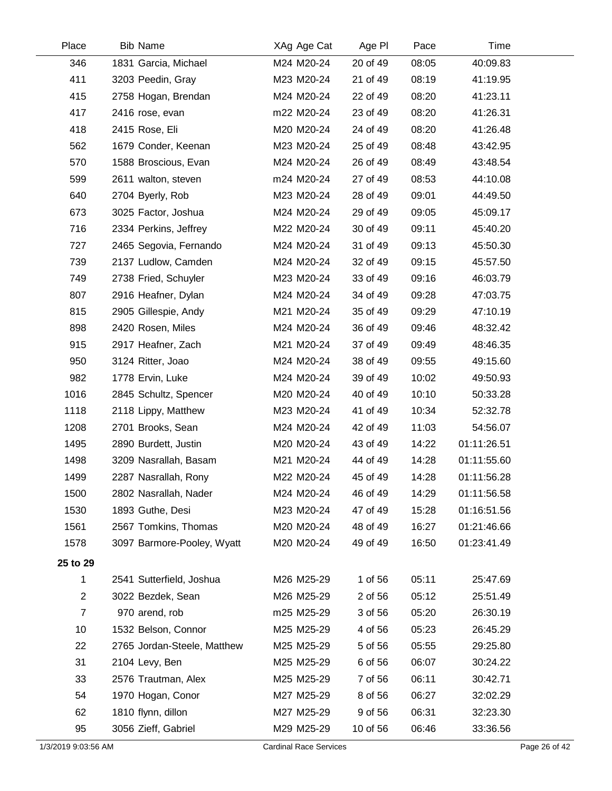| Place          | <b>Bib Name</b>             | XAg Age Cat | Age PI   | Pace  | Time        |  |
|----------------|-----------------------------|-------------|----------|-------|-------------|--|
| 346            | 1831 Garcia, Michael        | M24 M20-24  | 20 of 49 | 08:05 | 40:09.83    |  |
| 411            | 3203 Peedin, Gray           | M23 M20-24  | 21 of 49 | 08:19 | 41:19.95    |  |
| 415            | 2758 Hogan, Brendan         | M24 M20-24  | 22 of 49 | 08:20 | 41:23.11    |  |
| 417            | 2416 rose, evan             | m22 M20-24  | 23 of 49 | 08:20 | 41:26.31    |  |
| 418            | 2415 Rose, Eli              | M20 M20-24  | 24 of 49 | 08:20 | 41:26.48    |  |
| 562            | 1679 Conder, Keenan         | M23 M20-24  | 25 of 49 | 08:48 | 43:42.95    |  |
| 570            | 1588 Broscious, Evan        | M24 M20-24  | 26 of 49 | 08:49 | 43:48.54    |  |
| 599            | 2611 walton, steven         | m24 M20-24  | 27 of 49 | 08:53 | 44:10.08    |  |
| 640            | 2704 Byerly, Rob            | M23 M20-24  | 28 of 49 | 09:01 | 44:49.50    |  |
| 673            | 3025 Factor, Joshua         | M24 M20-24  | 29 of 49 | 09:05 | 45:09.17    |  |
| 716            | 2334 Perkins, Jeffrey       | M22 M20-24  | 30 of 49 | 09:11 | 45:40.20    |  |
| 727            | 2465 Segovia, Fernando      | M24 M20-24  | 31 of 49 | 09:13 | 45:50.30    |  |
| 739            | 2137 Ludlow, Camden         | M24 M20-24  | 32 of 49 | 09:15 | 45:57.50    |  |
| 749            | 2738 Fried, Schuyler        | M23 M20-24  | 33 of 49 | 09:16 | 46:03.79    |  |
| 807            | 2916 Heafner, Dylan         | M24 M20-24  | 34 of 49 | 09:28 | 47:03.75    |  |
| 815            | 2905 Gillespie, Andy        | M21 M20-24  | 35 of 49 | 09:29 | 47:10.19    |  |
| 898            | 2420 Rosen, Miles           | M24 M20-24  | 36 of 49 | 09:46 | 48:32.42    |  |
| 915            | 2917 Heafner, Zach          | M21 M20-24  | 37 of 49 | 09:49 | 48:46.35    |  |
| 950            | 3124 Ritter, Joao           | M24 M20-24  | 38 of 49 | 09:55 | 49:15.60    |  |
| 982            | 1778 Ervin, Luke            | M24 M20-24  | 39 of 49 | 10:02 | 49:50.93    |  |
| 1016           | 2845 Schultz, Spencer       | M20 M20-24  | 40 of 49 | 10:10 | 50:33.28    |  |
| 1118           | 2118 Lippy, Matthew         | M23 M20-24  | 41 of 49 | 10:34 | 52:32.78    |  |
| 1208           | 2701 Brooks, Sean           | M24 M20-24  | 42 of 49 | 11:03 | 54:56.07    |  |
| 1495           | 2890 Burdett, Justin        | M20 M20-24  | 43 of 49 | 14:22 | 01:11:26.51 |  |
| 1498           | 3209 Nasrallah, Basam       | M21 M20-24  | 44 of 49 | 14:28 | 01:11:55.60 |  |
| 1499           | 2287 Nasrallah, Rony        | M22 M20-24  | 45 of 49 | 14:28 | 01:11:56.28 |  |
| 1500           | 2802 Nasrallah, Nader       | M24 M20-24  | 46 of 49 | 14:29 | 01:11:56.58 |  |
| 1530           | 1893 Guthe, Desi            | M23 M20-24  | 47 of 49 | 15:28 | 01:16:51.56 |  |
| 1561           | 2567 Tomkins, Thomas        | M20 M20-24  | 48 of 49 | 16:27 | 01:21:46.66 |  |
| 1578           | 3097 Barmore-Pooley, Wyatt  | M20 M20-24  | 49 of 49 | 16:50 | 01:23:41.49 |  |
| 25 to 29       |                             |             |          |       |             |  |
| 1              | 2541 Sutterfield, Joshua    | M26 M25-29  | 1 of 56  | 05:11 | 25:47.69    |  |
| $\overline{2}$ | 3022 Bezdek, Sean           | M26 M25-29  | 2 of 56  | 05:12 | 25:51.49    |  |
| $\overline{7}$ | 970 arend, rob              | m25 M25-29  | 3 of 56  | 05:20 | 26:30.19    |  |
| 10             | 1532 Belson, Connor         | M25 M25-29  | 4 of 56  | 05:23 | 26:45.29    |  |
| 22             | 2765 Jordan-Steele, Matthew | M25 M25-29  | 5 of 56  | 05:55 | 29:25.80    |  |
| 31             | 2104 Levy, Ben              | M25 M25-29  | 6 of 56  | 06:07 | 30:24.22    |  |
| 33             | 2576 Trautman, Alex         | M25 M25-29  | 7 of 56  | 06:11 | 30:42.71    |  |
| 54             | 1970 Hogan, Conor           | M27 M25-29  | 8 of 56  | 06:27 | 32:02.29    |  |
| 62             | 1810 flynn, dillon          | M27 M25-29  | 9 of 56  | 06:31 | 32:23.30    |  |
| 95             | 3056 Zieff, Gabriel         | M29 M25-29  | 10 of 56 | 06:46 | 33:36.56    |  |
|                |                             |             |          |       |             |  |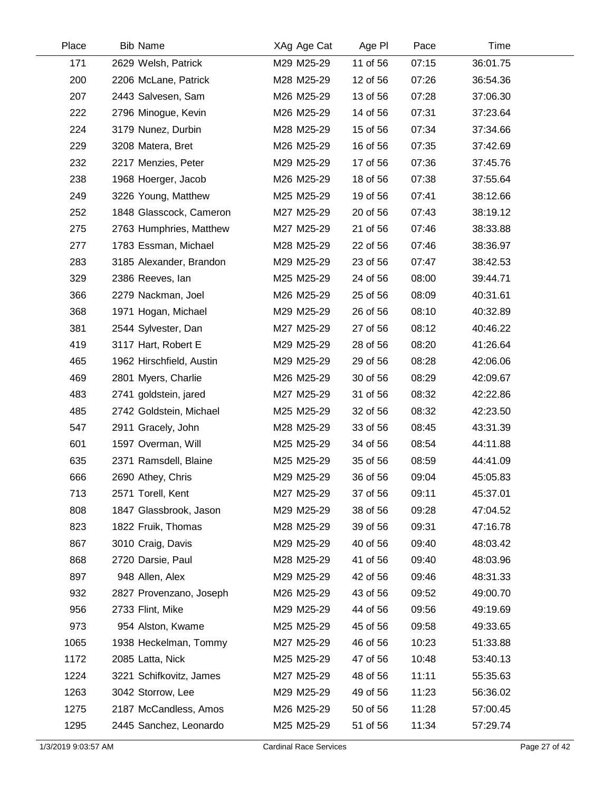| Place | <b>Bib Name</b>          | XAg Age Cat | Age PI   | Pace  | Time     |  |
|-------|--------------------------|-------------|----------|-------|----------|--|
| 171   | 2629 Welsh, Patrick      | M29 M25-29  | 11 of 56 | 07:15 | 36:01.75 |  |
| 200   | 2206 McLane, Patrick     | M28 M25-29  | 12 of 56 | 07:26 | 36:54.36 |  |
| 207   | 2443 Salvesen, Sam       | M26 M25-29  | 13 of 56 | 07:28 | 37:06.30 |  |
| 222   | 2796 Minogue, Kevin      | M26 M25-29  | 14 of 56 | 07:31 | 37:23.64 |  |
| 224   | 3179 Nunez, Durbin       | M28 M25-29  | 15 of 56 | 07:34 | 37:34.66 |  |
| 229   | 3208 Matera, Bret        | M26 M25-29  | 16 of 56 | 07:35 | 37:42.69 |  |
| 232   | 2217 Menzies, Peter      | M29 M25-29  | 17 of 56 | 07:36 | 37:45.76 |  |
| 238   | 1968 Hoerger, Jacob      | M26 M25-29  | 18 of 56 | 07:38 | 37:55.64 |  |
| 249   | 3226 Young, Matthew      | M25 M25-29  | 19 of 56 | 07:41 | 38:12.66 |  |
| 252   | 1848 Glasscock, Cameron  | M27 M25-29  | 20 of 56 | 07:43 | 38:19.12 |  |
| 275   | 2763 Humphries, Matthew  | M27 M25-29  | 21 of 56 | 07:46 | 38:33.88 |  |
| 277   | 1783 Essman, Michael     | M28 M25-29  | 22 of 56 | 07:46 | 38:36.97 |  |
| 283   | 3185 Alexander, Brandon  | M29 M25-29  | 23 of 56 | 07:47 | 38:42.53 |  |
| 329   | 2386 Reeves, lan         | M25 M25-29  | 24 of 56 | 08:00 | 39:44.71 |  |
| 366   | 2279 Nackman, Joel       | M26 M25-29  | 25 of 56 | 08:09 | 40:31.61 |  |
| 368   | 1971 Hogan, Michael      | M29 M25-29  | 26 of 56 | 08:10 | 40:32.89 |  |
| 381   | 2544 Sylvester, Dan      | M27 M25-29  | 27 of 56 | 08:12 | 40:46.22 |  |
| 419   | 3117 Hart, Robert E      | M29 M25-29  | 28 of 56 | 08:20 | 41:26.64 |  |
| 465   | 1962 Hirschfield, Austin | M29 M25-29  | 29 of 56 | 08:28 | 42:06.06 |  |
| 469   | 2801 Myers, Charlie      | M26 M25-29  | 30 of 56 | 08:29 | 42:09.67 |  |
| 483   | 2741 goldstein, jared    | M27 M25-29  | 31 of 56 | 08:32 | 42:22.86 |  |
| 485   | 2742 Goldstein, Michael  | M25 M25-29  | 32 of 56 | 08:32 | 42:23.50 |  |
| 547   | 2911 Gracely, John       | M28 M25-29  | 33 of 56 | 08:45 | 43:31.39 |  |
| 601   | 1597 Overman, Will       | M25 M25-29  | 34 of 56 | 08:54 | 44:11.88 |  |
| 635   | 2371 Ramsdell, Blaine    | M25 M25-29  | 35 of 56 | 08:59 | 44:41.09 |  |
| 666   | 2690 Athey, Chris        | M29 M25-29  | 36 of 56 | 09:04 | 45:05.83 |  |
| 713   | 2571 Torell, Kent        | M27 M25-29  | 37 of 56 | 09:11 | 45:37.01 |  |
| 808   | 1847 Glassbrook, Jason   | M29 M25-29  | 38 of 56 | 09:28 | 47:04.52 |  |
| 823   | 1822 Fruik, Thomas       | M28 M25-29  | 39 of 56 | 09:31 | 47:16.78 |  |
| 867   | 3010 Craig, Davis        | M29 M25-29  | 40 of 56 | 09:40 | 48:03.42 |  |
| 868   | 2720 Darsie, Paul        | M28 M25-29  | 41 of 56 | 09:40 | 48:03.96 |  |
| 897   | 948 Allen, Alex          | M29 M25-29  | 42 of 56 | 09:46 | 48:31.33 |  |
| 932   | 2827 Provenzano, Joseph  | M26 M25-29  | 43 of 56 | 09:52 | 49:00.70 |  |
| 956   | 2733 Flint, Mike         | M29 M25-29  | 44 of 56 | 09:56 | 49:19.69 |  |
| 973   | 954 Alston, Kwame        | M25 M25-29  | 45 of 56 | 09:58 | 49:33.65 |  |
| 1065  | 1938 Heckelman, Tommy    | M27 M25-29  | 46 of 56 | 10:23 | 51:33.88 |  |
| 1172  | 2085 Latta, Nick         | M25 M25-29  | 47 of 56 | 10:48 | 53:40.13 |  |
| 1224  | 3221 Schifkovitz, James  | M27 M25-29  | 48 of 56 | 11:11 | 55:35.63 |  |
| 1263  | 3042 Storrow, Lee        | M29 M25-29  | 49 of 56 | 11:23 | 56:36.02 |  |
| 1275  | 2187 McCandless, Amos    | M26 M25-29  | 50 of 56 | 11:28 | 57:00.45 |  |
| 1295  | 2445 Sanchez, Leonardo   | M25 M25-29  | 51 of 56 | 11:34 | 57:29.74 |  |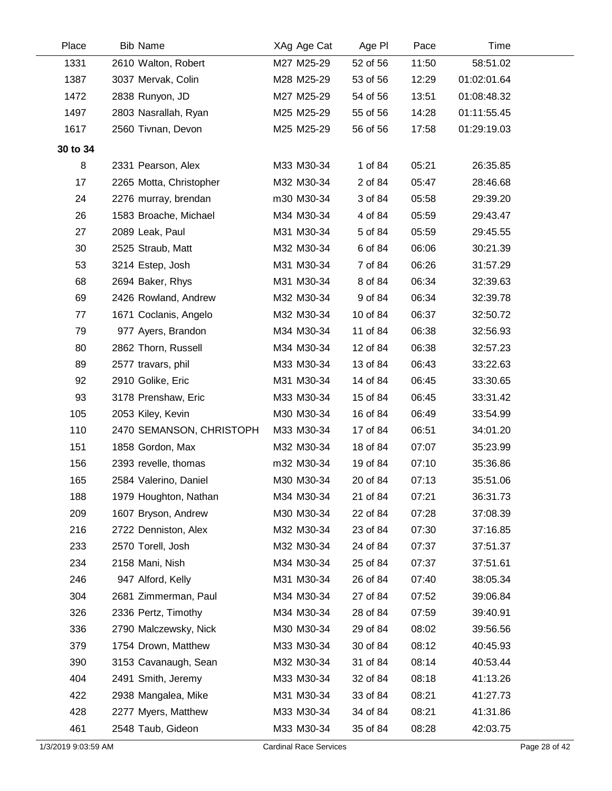| Place    | <b>Bib Name</b>          | XAg Age Cat | Age PI   | Pace  | Time        |  |
|----------|--------------------------|-------------|----------|-------|-------------|--|
| 1331     | 2610 Walton, Robert      | M27 M25-29  | 52 of 56 | 11:50 | 58:51.02    |  |
| 1387     | 3037 Mervak, Colin       | M28 M25-29  | 53 of 56 | 12:29 | 01:02:01.64 |  |
| 1472     | 2838 Runyon, JD          | M27 M25-29  | 54 of 56 | 13:51 | 01:08:48.32 |  |
| 1497     | 2803 Nasrallah, Ryan     | M25 M25-29  | 55 of 56 | 14:28 | 01:11:55.45 |  |
| 1617     | 2560 Tivnan, Devon       | M25 M25-29  | 56 of 56 | 17:58 | 01:29:19.03 |  |
| 30 to 34 |                          |             |          |       |             |  |
| 8        | 2331 Pearson, Alex       | M33 M30-34  | 1 of 84  | 05:21 | 26:35.85    |  |
| 17       | 2265 Motta, Christopher  | M32 M30-34  | 2 of 84  | 05:47 | 28:46.68    |  |
| 24       | 2276 murray, brendan     | m30 M30-34  | 3 of 84  | 05:58 | 29:39.20    |  |
| 26       | 1583 Broache, Michael    | M34 M30-34  | 4 of 84  | 05:59 | 29:43.47    |  |
| 27       | 2089 Leak, Paul          | M31 M30-34  | 5 of 84  | 05:59 | 29:45.55    |  |
| 30       | 2525 Straub, Matt        | M32 M30-34  | 6 of 84  | 06:06 | 30:21.39    |  |
| 53       | 3214 Estep, Josh         | M31 M30-34  | 7 of 84  | 06:26 | 31:57.29    |  |
| 68       | 2694 Baker, Rhys         | M31 M30-34  | 8 of 84  | 06:34 | 32:39.63    |  |
| 69       | 2426 Rowland, Andrew     | M32 M30-34  | 9 of 84  | 06:34 | 32:39.78    |  |
| 77       | 1671 Coclanis, Angelo    | M32 M30-34  | 10 of 84 | 06:37 | 32:50.72    |  |
| 79       | 977 Ayers, Brandon       | M34 M30-34  | 11 of 84 | 06:38 | 32:56.93    |  |
| 80       | 2862 Thorn, Russell      | M34 M30-34  | 12 of 84 | 06:38 | 32:57.23    |  |
| 89       | 2577 travars, phil       | M33 M30-34  | 13 of 84 | 06:43 | 33:22.63    |  |
| 92       | 2910 Golike, Eric        | M31 M30-34  | 14 of 84 | 06:45 | 33:30.65    |  |
| 93       | 3178 Prenshaw, Eric      | M33 M30-34  | 15 of 84 | 06:45 | 33:31.42    |  |
| 105      | 2053 Kiley, Kevin        | M30 M30-34  | 16 of 84 | 06:49 | 33:54.99    |  |
| 110      | 2470 SEMANSON, CHRISTOPH | M33 M30-34  | 17 of 84 | 06:51 | 34:01.20    |  |
| 151      | 1858 Gordon, Max         | M32 M30-34  | 18 of 84 | 07:07 | 35:23.99    |  |
| 156      | 2393 revelle, thomas     | m32 M30-34  | 19 of 84 | 07:10 | 35:36.86    |  |
| 165      | 2584 Valerino, Daniel    | M30 M30-34  | 20 of 84 | 07:13 | 35:51.06    |  |
| 188      | 1979 Houghton, Nathan    | M34 M30-34  | 21 of 84 | 07:21 | 36:31.73    |  |
| 209      | 1607 Bryson, Andrew      | M30 M30-34  | 22 of 84 | 07:28 | 37:08.39    |  |
| 216      | 2722 Denniston, Alex     | M32 M30-34  | 23 of 84 | 07:30 | 37:16.85    |  |
| 233      | 2570 Torell, Josh        | M32 M30-34  | 24 of 84 | 07:37 | 37:51.37    |  |
| 234      | 2158 Mani, Nish          | M34 M30-34  | 25 of 84 | 07:37 | 37:51.61    |  |
| 246      | 947 Alford, Kelly        | M31 M30-34  | 26 of 84 | 07:40 | 38:05.34    |  |
| 304      | 2681 Zimmerman, Paul     | M34 M30-34  | 27 of 84 | 07:52 | 39:06.84    |  |
| 326      | 2336 Pertz, Timothy      | M34 M30-34  | 28 of 84 | 07:59 | 39:40.91    |  |
| 336      | 2790 Malczewsky, Nick    | M30 M30-34  | 29 of 84 | 08:02 | 39:56.56    |  |
| 379      | 1754 Drown, Matthew      | M33 M30-34  | 30 of 84 | 08:12 | 40:45.93    |  |
| 390      | 3153 Cavanaugh, Sean     | M32 M30-34  | 31 of 84 | 08:14 | 40:53.44    |  |
| 404      | 2491 Smith, Jeremy       | M33 M30-34  | 32 of 84 | 08:18 | 41:13.26    |  |
| 422      | 2938 Mangalea, Mike      | M31 M30-34  | 33 of 84 | 08:21 | 41:27.73    |  |
| 428      | 2277 Myers, Matthew      | M33 M30-34  | 34 of 84 | 08:21 | 41:31.86    |  |
| 461      | 2548 Taub, Gideon        | M33 M30-34  | 35 of 84 | 08:28 | 42:03.75    |  |
|          |                          |             |          |       |             |  |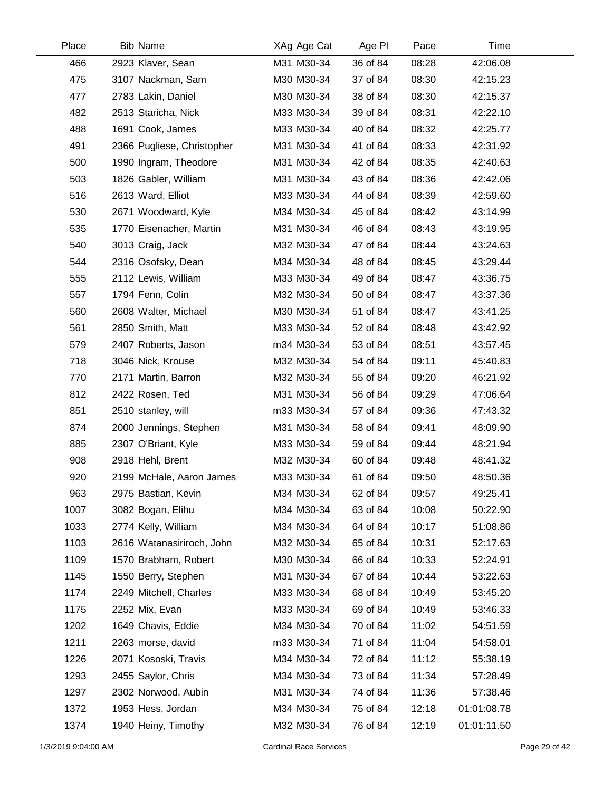| Place | <b>Bib Name</b>            | XAg Age Cat | Age PI   | Pace  | Time        |  |
|-------|----------------------------|-------------|----------|-------|-------------|--|
| 466   | 2923 Klaver, Sean          | M31 M30-34  | 36 of 84 | 08:28 | 42:06.08    |  |
| 475   | 3107 Nackman, Sam          | M30 M30-34  | 37 of 84 | 08:30 | 42:15.23    |  |
| 477   | 2783 Lakin, Daniel         | M30 M30-34  | 38 of 84 | 08:30 | 42:15.37    |  |
| 482   | 2513 Staricha, Nick        | M33 M30-34  | 39 of 84 | 08:31 | 42:22.10    |  |
| 488   | 1691 Cook, James           | M33 M30-34  | 40 of 84 | 08:32 | 42:25.77    |  |
| 491   | 2366 Pugliese, Christopher | M31 M30-34  | 41 of 84 | 08:33 | 42:31.92    |  |
| 500   | 1990 Ingram, Theodore      | M31 M30-34  | 42 of 84 | 08:35 | 42:40.63    |  |
| 503   | 1826 Gabler, William       | M31 M30-34  | 43 of 84 | 08:36 | 42:42.06    |  |
| 516   | 2613 Ward, Elliot          | M33 M30-34  | 44 of 84 | 08:39 | 42:59.60    |  |
| 530   | 2671 Woodward, Kyle        | M34 M30-34  | 45 of 84 | 08:42 | 43:14.99    |  |
| 535   | 1770 Eisenacher, Martin    | M31 M30-34  | 46 of 84 | 08:43 | 43:19.95    |  |
| 540   | 3013 Craig, Jack           | M32 M30-34  | 47 of 84 | 08:44 | 43:24.63    |  |
| 544   | 2316 Osofsky, Dean         | M34 M30-34  | 48 of 84 | 08:45 | 43:29.44    |  |
| 555   | 2112 Lewis, William        | M33 M30-34  | 49 of 84 | 08:47 | 43:36.75    |  |
| 557   | 1794 Fenn, Colin           | M32 M30-34  | 50 of 84 | 08:47 | 43:37.36    |  |
| 560   | 2608 Walter, Michael       | M30 M30-34  | 51 of 84 | 08:47 | 43:41.25    |  |
| 561   | 2850 Smith, Matt           | M33 M30-34  | 52 of 84 | 08:48 | 43:42.92    |  |
| 579   | 2407 Roberts, Jason        | m34 M30-34  | 53 of 84 | 08:51 | 43:57.45    |  |
| 718   | 3046 Nick, Krouse          | M32 M30-34  | 54 of 84 | 09:11 | 45:40.83    |  |
| 770   | 2171 Martin, Barron        | M32 M30-34  | 55 of 84 | 09:20 | 46:21.92    |  |
| 812   | 2422 Rosen, Ted            | M31 M30-34  | 56 of 84 | 09:29 | 47:06.64    |  |
| 851   | 2510 stanley, will         | m33 M30-34  | 57 of 84 | 09:36 | 47:43.32    |  |
| 874   | 2000 Jennings, Stephen     | M31 M30-34  | 58 of 84 | 09:41 | 48:09.90    |  |
| 885   | 2307 O'Briant, Kyle        | M33 M30-34  | 59 of 84 | 09:44 | 48:21.94    |  |
| 908   | 2918 Hehl, Brent           | M32 M30-34  | 60 of 84 | 09:48 | 48:41.32    |  |
| 920   | 2199 McHale, Aaron James   | M33 M30-34  | 61 of 84 | 09:50 | 48:50.36    |  |
| 963   | 2975 Bastian, Kevin        | M34 M30-34  | 62 of 84 | 09:57 | 49:25.41    |  |
| 1007  | 3082 Bogan, Elihu          | M34 M30-34  | 63 of 84 | 10:08 | 50:22.90    |  |
| 1033  | 2774 Kelly, William        | M34 M30-34  | 64 of 84 | 10:17 | 51:08.86    |  |
| 1103  | 2616 Watanasiriroch, John  | M32 M30-34  | 65 of 84 | 10:31 | 52:17.63    |  |
| 1109  | 1570 Brabham, Robert       | M30 M30-34  | 66 of 84 | 10:33 | 52:24.91    |  |
| 1145  | 1550 Berry, Stephen        | M31 M30-34  | 67 of 84 | 10:44 | 53:22.63    |  |
| 1174  | 2249 Mitchell, Charles     | M33 M30-34  | 68 of 84 | 10:49 | 53:45.20    |  |
| 1175  | 2252 Mix, Evan             | M33 M30-34  | 69 of 84 | 10:49 | 53:46.33    |  |
| 1202  | 1649 Chavis, Eddie         | M34 M30-34  | 70 of 84 | 11:02 | 54:51.59    |  |
| 1211  | 2263 morse, david          | m33 M30-34  | 71 of 84 | 11:04 | 54:58.01    |  |
| 1226  | 2071 Kososki, Travis       | M34 M30-34  | 72 of 84 | 11:12 | 55:38.19    |  |
| 1293  | 2455 Saylor, Chris         | M34 M30-34  | 73 of 84 | 11:34 | 57:28.49    |  |
| 1297  | 2302 Norwood, Aubin        | M31 M30-34  | 74 of 84 | 11:36 | 57:38.46    |  |
| 1372  | 1953 Hess, Jordan          | M34 M30-34  | 75 of 84 | 12:18 | 01:01:08.78 |  |
| 1374  | 1940 Heiny, Timothy        | M32 M30-34  | 76 of 84 | 12:19 | 01:01:11.50 |  |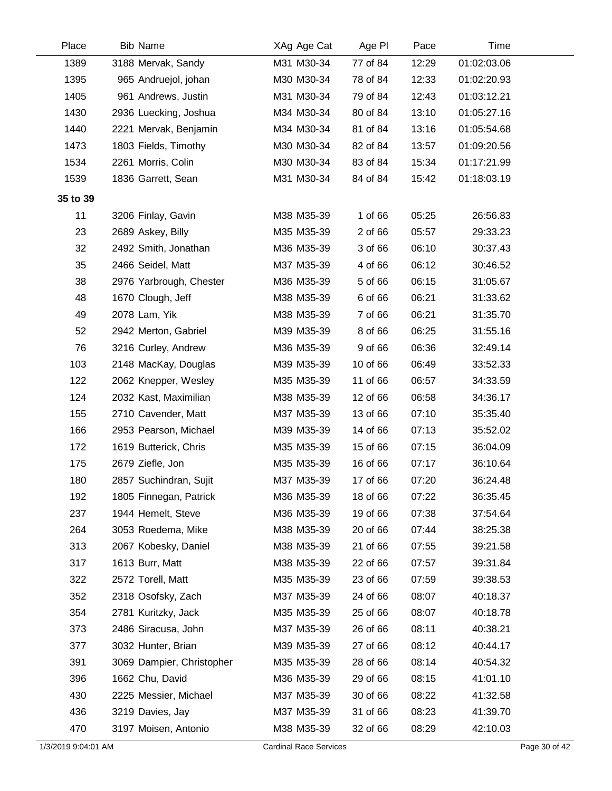| Place    | <b>Bib Name</b>           | XAg Age Cat | Age PI   | Pace  | Time        |  |
|----------|---------------------------|-------------|----------|-------|-------------|--|
| 1389     | 3188 Mervak, Sandy        | M31 M30-34  | 77 of 84 | 12:29 | 01:02:03.06 |  |
| 1395     | 965 Andruejol, johan      | M30 M30-34  | 78 of 84 | 12:33 | 01:02:20.93 |  |
| 1405     | 961 Andrews, Justin       | M31 M30-34  | 79 of 84 | 12:43 | 01:03:12.21 |  |
| 1430     | 2936 Luecking, Joshua     | M34 M30-34  | 80 of 84 | 13:10 | 01:05:27.16 |  |
| 1440     | 2221 Mervak, Benjamin     | M34 M30-34  | 81 of 84 | 13:16 | 01:05:54.68 |  |
| 1473     | 1803 Fields, Timothy      | M30 M30-34  | 82 of 84 | 13:57 | 01:09:20.56 |  |
| 1534     | 2261 Morris, Colin        | M30 M30-34  | 83 of 84 | 15:34 | 01:17:21.99 |  |
| 1539     | 1836 Garrett, Sean        | M31 M30-34  | 84 of 84 | 15:42 | 01:18:03.19 |  |
| 35 to 39 |                           |             |          |       |             |  |
| 11       | 3206 Finlay, Gavin        | M38 M35-39  | 1 of 66  | 05:25 | 26:56.83    |  |
| 23       | 2689 Askey, Billy         | M35 M35-39  | 2 of 66  | 05:57 | 29:33.23    |  |
| 32       | 2492 Smith, Jonathan      | M36 M35-39  | 3 of 66  | 06:10 | 30:37.43    |  |
| 35       | 2466 Seidel, Matt         | M37 M35-39  | 4 of 66  | 06:12 | 30:46.52    |  |
| 38       | 2976 Yarbrough, Chester   | M36 M35-39  | 5 of 66  | 06:15 | 31:05.67    |  |
| 48       | 1670 Clough, Jeff         | M38 M35-39  | 6 of 66  | 06:21 | 31:33.62    |  |
| 49       | 2078 Lam, Yik             | M38 M35-39  | 7 of 66  | 06:21 | 31:35.70    |  |
| 52       | 2942 Merton, Gabriel      | M39 M35-39  | 8 of 66  | 06:25 | 31:55.16    |  |
| 76       | 3216 Curley, Andrew       | M36 M35-39  | 9 of 66  | 06:36 | 32:49.14    |  |
| 103      | 2148 MacKay, Douglas      | M39 M35-39  | 10 of 66 | 06:49 | 33:52.33    |  |
| 122      | 2062 Knepper, Wesley      | M35 M35-39  | 11 of 66 | 06:57 | 34:33.59    |  |
| 124      | 2032 Kast, Maximilian     | M38 M35-39  | 12 of 66 | 06:58 | 34:36.17    |  |
| 155      | 2710 Cavender, Matt       | M37 M35-39  | 13 of 66 | 07:10 | 35:35.40    |  |
| 166      | 2953 Pearson, Michael     | M39 M35-39  | 14 of 66 | 07:13 | 35:52.02    |  |
| 172      | 1619 Butterick, Chris     | M35 M35-39  | 15 of 66 | 07:15 | 36:04.09    |  |
| 175      | 2679 Ziefle, Jon          | M35 M35-39  | 16 of 66 | 07:17 | 36:10.64    |  |
| 180      | 2857 Suchindran, Sujit    | M37 M35-39  | 17 of 66 | 07:20 | 36:24.48    |  |
| 192      | 1805 Finnegan, Patrick    | M36 M35-39  | 18 of 66 | 07:22 | 36:35.45    |  |
| 237      | 1944 Hemelt, Steve        | M36 M35-39  | 19 of 66 | 07:38 | 37:54.64    |  |
| 264      | 3053 Roedema, Mike        | M38 M35-39  | 20 of 66 | 07:44 | 38:25.38    |  |
| 313      | 2067 Kobesky, Daniel      | M38 M35-39  | 21 of 66 | 07:55 | 39:21.58    |  |
| 317      | 1613 Burr, Matt           | M38 M35-39  | 22 of 66 | 07:57 | 39:31.84    |  |
| 322      | 2572 Torell, Matt         | M35 M35-39  | 23 of 66 | 07:59 | 39:38.53    |  |
| 352      | 2318 Osofsky, Zach        | M37 M35-39  | 24 of 66 | 08:07 | 40:18.37    |  |
| 354      | 2781 Kuritzky, Jack       | M35 M35-39  | 25 of 66 | 08:07 | 40:18.78    |  |
| 373      | 2486 Siracusa, John       | M37 M35-39  | 26 of 66 | 08:11 | 40:38.21    |  |
| 377      | 3032 Hunter, Brian        | M39 M35-39  | 27 of 66 | 08:12 | 40:44.17    |  |
| 391      | 3069 Dampier, Christopher | M35 M35-39  | 28 of 66 | 08:14 | 40:54.32    |  |
| 396      | 1662 Chu, David           | M36 M35-39  | 29 of 66 | 08:15 | 41:01.10    |  |
| 430      | 2225 Messier, Michael     | M37 M35-39  | 30 of 66 | 08:22 | 41:32.58    |  |
| 436      | 3219 Davies, Jay          | M37 M35-39  | 31 of 66 | 08:23 | 41:39.70    |  |
| 470      | 3197 Moisen, Antonio      | M38 M35-39  | 32 of 66 | 08:29 | 42:10.03    |  |
|          |                           |             |          |       |             |  |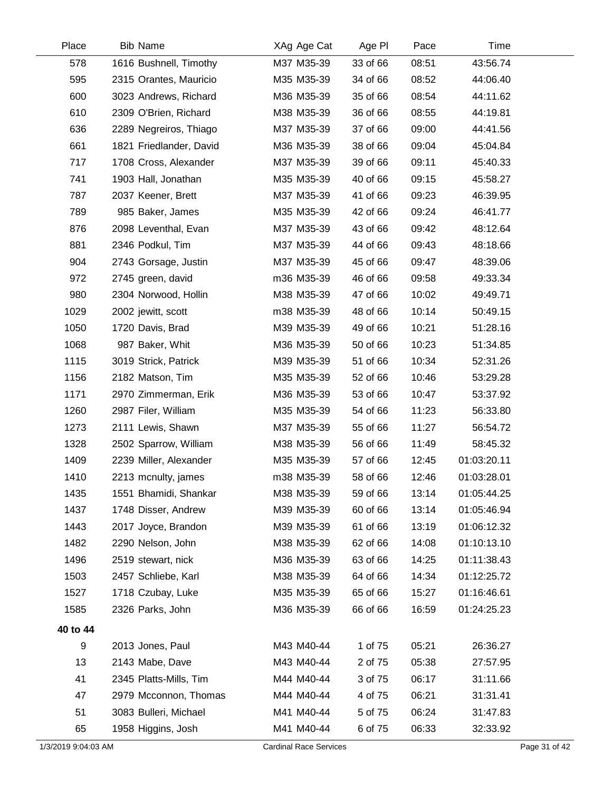| Place               | <b>Bib Name</b>         | XAg Age Cat                   | Age PI   | Pace  | Time        |               |
|---------------------|-------------------------|-------------------------------|----------|-------|-------------|---------------|
| 578                 | 1616 Bushnell, Timothy  | M37 M35-39                    | 33 of 66 | 08:51 | 43:56.74    |               |
| 595                 | 2315 Orantes, Mauricio  | M35 M35-39                    | 34 of 66 | 08:52 | 44:06.40    |               |
| 600                 | 3023 Andrews, Richard   | M36 M35-39                    | 35 of 66 | 08:54 | 44:11.62    |               |
| 610                 | 2309 O'Brien, Richard   | M38 M35-39                    | 36 of 66 | 08:55 | 44:19.81    |               |
| 636                 | 2289 Negreiros, Thiago  | M37 M35-39                    | 37 of 66 | 09:00 | 44:41.56    |               |
| 661                 | 1821 Friedlander, David | M36 M35-39                    | 38 of 66 | 09:04 | 45:04.84    |               |
| 717                 | 1708 Cross, Alexander   | M37 M35-39                    | 39 of 66 | 09:11 | 45:40.33    |               |
| 741                 | 1903 Hall, Jonathan     | M35 M35-39                    | 40 of 66 | 09:15 | 45:58.27    |               |
| 787                 | 2037 Keener, Brett      | M37 M35-39                    | 41 of 66 | 09:23 | 46:39.95    |               |
| 789                 | 985 Baker, James        | M35 M35-39                    | 42 of 66 | 09:24 | 46:41.77    |               |
| 876                 | 2098 Leventhal, Evan    | M37 M35-39                    | 43 of 66 | 09:42 | 48:12.64    |               |
| 881                 | 2346 Podkul, Tim        | M37 M35-39                    | 44 of 66 | 09:43 | 48:18.66    |               |
| 904                 | 2743 Gorsage, Justin    | M37 M35-39                    | 45 of 66 | 09:47 | 48:39.06    |               |
| 972                 | 2745 green, david       | m36 M35-39                    | 46 of 66 | 09:58 | 49:33.34    |               |
| 980                 | 2304 Norwood, Hollin    | M38 M35-39                    | 47 of 66 | 10:02 | 49:49.71    |               |
| 1029                | 2002 jewitt, scott      | m38 M35-39                    | 48 of 66 | 10:14 | 50:49.15    |               |
| 1050                | 1720 Davis, Brad        | M39 M35-39                    | 49 of 66 | 10:21 | 51:28.16    |               |
| 1068                | 987 Baker, Whit         | M36 M35-39                    | 50 of 66 | 10:23 | 51:34.85    |               |
| 1115                | 3019 Strick, Patrick    | M39 M35-39                    | 51 of 66 | 10:34 | 52:31.26    |               |
| 1156                | 2182 Matson, Tim        | M35 M35-39                    | 52 of 66 | 10:46 | 53:29.28    |               |
| 1171                | 2970 Zimmerman, Erik    | M36 M35-39                    | 53 of 66 | 10:47 | 53:37.92    |               |
| 1260                | 2987 Filer, William     | M35 M35-39                    | 54 of 66 | 11:23 | 56:33.80    |               |
| 1273                | 2111 Lewis, Shawn       | M37 M35-39                    | 55 of 66 | 11:27 | 56:54.72    |               |
| 1328                | 2502 Sparrow, William   | M38 M35-39                    | 56 of 66 | 11:49 | 58:45.32    |               |
| 1409                | 2239 Miller, Alexander  | M35 M35-39                    | 57 of 66 | 12:45 | 01:03:20.11 |               |
| 1410                | 2213 mcnulty, james     | m38 M35-39                    | 58 of 66 | 12:46 | 01:03:28.01 |               |
| 1435                | 1551 Bhamidi, Shankar   | M38 M35-39                    | 59 of 66 | 13:14 | 01:05:44.25 |               |
| 1437                | 1748 Disser, Andrew     | M39 M35-39                    | 60 of 66 | 13:14 | 01:05:46.94 |               |
| 1443                | 2017 Joyce, Brandon     | M39 M35-39                    | 61 of 66 | 13:19 | 01:06:12.32 |               |
| 1482                | 2290 Nelson, John       | M38 M35-39                    | 62 of 66 | 14:08 | 01:10:13.10 |               |
| 1496                | 2519 stewart, nick      | M36 M35-39                    | 63 of 66 | 14:25 | 01:11:38.43 |               |
| 1503                | 2457 Schliebe, Karl     | M38 M35-39                    | 64 of 66 | 14:34 | 01:12:25.72 |               |
| 1527                | 1718 Czubay, Luke       | M35 M35-39                    | 65 of 66 | 15:27 | 01:16:46.61 |               |
| 1585                | 2326 Parks, John        | M36 M35-39                    | 66 of 66 | 16:59 | 01:24:25.23 |               |
| 40 to 44            |                         |                               |          |       |             |               |
| 9                   | 2013 Jones, Paul        | M43 M40-44                    | 1 of 75  | 05:21 | 26:36.27    |               |
| 13                  | 2143 Mabe, Dave         | M43 M40-44                    | 2 of 75  | 05:38 | 27:57.95    |               |
| 41                  | 2345 Platts-Mills, Tim  | M44 M40-44                    | 3 of 75  | 06:17 | 31:11.66    |               |
| 47                  | 2979 Mcconnon, Thomas   | M44 M40-44                    | 4 of 75  | 06:21 | 31:31.41    |               |
| 51                  | 3083 Bulleri, Michael   | M41 M40-44                    | 5 of 75  | 06:24 | 31:47.83    |               |
| 65                  | 1958 Higgins, Josh      | M41 M40-44                    | 6 of 75  | 06:33 | 32:33.92    |               |
| 1/3/2019 9:04:03 AM |                         | <b>Cardinal Race Services</b> |          |       |             | Page 31 of 42 |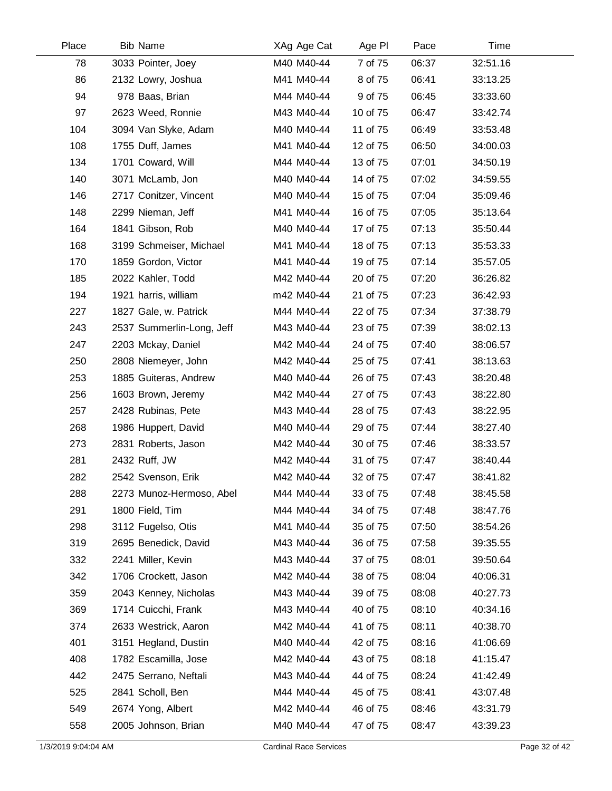| Place | <b>Bib Name</b>           | XAg Age Cat | Age PI   | Pace  | Time     |  |
|-------|---------------------------|-------------|----------|-------|----------|--|
| 78    | 3033 Pointer, Joey        | M40 M40-44  | 7 of 75  | 06:37 | 32:51.16 |  |
| 86    | 2132 Lowry, Joshua        | M41 M40-44  | 8 of 75  | 06:41 | 33:13.25 |  |
| 94    | 978 Baas, Brian           | M44 M40-44  | 9 of 75  | 06:45 | 33:33.60 |  |
| 97    | 2623 Weed, Ronnie         | M43 M40-44  | 10 of 75 | 06:47 | 33:42.74 |  |
| 104   | 3094 Van Slyke, Adam      | M40 M40-44  | 11 of 75 | 06:49 | 33:53.48 |  |
| 108   | 1755 Duff, James          | M41 M40-44  | 12 of 75 | 06:50 | 34:00.03 |  |
| 134   | 1701 Coward, Will         | M44 M40-44  | 13 of 75 | 07:01 | 34:50.19 |  |
| 140   | 3071 McLamb, Jon          | M40 M40-44  | 14 of 75 | 07:02 | 34:59.55 |  |
| 146   | 2717 Conitzer, Vincent    | M40 M40-44  | 15 of 75 | 07:04 | 35:09.46 |  |
| 148   | 2299 Nieman, Jeff         | M41 M40-44  | 16 of 75 | 07:05 | 35:13.64 |  |
| 164   | 1841 Gibson, Rob          | M40 M40-44  | 17 of 75 | 07:13 | 35:50.44 |  |
| 168   | 3199 Schmeiser, Michael   | M41 M40-44  | 18 of 75 | 07:13 | 35:53.33 |  |
| 170   | 1859 Gordon, Victor       | M41 M40-44  | 19 of 75 | 07:14 | 35:57.05 |  |
| 185   | 2022 Kahler, Todd         | M42 M40-44  | 20 of 75 | 07:20 | 36:26.82 |  |
| 194   | 1921 harris, william      | m42 M40-44  | 21 of 75 | 07:23 | 36:42.93 |  |
| 227   | 1827 Gale, w. Patrick     | M44 M40-44  | 22 of 75 | 07:34 | 37:38.79 |  |
| 243   | 2537 Summerlin-Long, Jeff | M43 M40-44  | 23 of 75 | 07:39 | 38:02.13 |  |
| 247   | 2203 Mckay, Daniel        | M42 M40-44  | 24 of 75 | 07:40 | 38:06.57 |  |
| 250   | 2808 Niemeyer, John       | M42 M40-44  | 25 of 75 | 07:41 | 38:13.63 |  |
| 253   | 1885 Guiteras, Andrew     | M40 M40-44  | 26 of 75 | 07:43 | 38:20.48 |  |
| 256   | 1603 Brown, Jeremy        | M42 M40-44  | 27 of 75 | 07:43 | 38:22.80 |  |
| 257   | 2428 Rubinas, Pete        | M43 M40-44  | 28 of 75 | 07:43 | 38:22.95 |  |
| 268   | 1986 Huppert, David       | M40 M40-44  | 29 of 75 | 07:44 | 38:27.40 |  |
| 273   | 2831 Roberts, Jason       | M42 M40-44  | 30 of 75 | 07:46 | 38:33.57 |  |
| 281   | 2432 Ruff, JW             | M42 M40-44  | 31 of 75 | 07:47 | 38:40.44 |  |
| 282   | 2542 Svenson, Erik        | M42 M40-44  | 32 of 75 | 07:47 | 38:41.82 |  |
| 288   | 2273 Munoz-Hermoso, Abel  | M44 M40-44  | 33 of 75 | 07:48 | 38:45.58 |  |
| 291   | 1800 Field, Tim           | M44 M40-44  | 34 of 75 | 07:48 | 38:47.76 |  |
| 298   | 3112 Fugelso, Otis        | M41 M40-44  | 35 of 75 | 07:50 | 38:54.26 |  |
| 319   | 2695 Benedick, David      | M43 M40-44  | 36 of 75 | 07:58 | 39:35.55 |  |
| 332   | 2241 Miller, Kevin        | M43 M40-44  | 37 of 75 | 08:01 | 39:50.64 |  |
| 342   | 1706 Crockett, Jason      | M42 M40-44  | 38 of 75 | 08:04 | 40:06.31 |  |
| 359   | 2043 Kenney, Nicholas     | M43 M40-44  | 39 of 75 | 08:08 | 40:27.73 |  |
| 369   | 1714 Cuicchi, Frank       | M43 M40-44  | 40 of 75 | 08:10 | 40:34.16 |  |
| 374   | 2633 Westrick, Aaron      | M42 M40-44  | 41 of 75 | 08:11 | 40:38.70 |  |
| 401   | 3151 Hegland, Dustin      | M40 M40-44  | 42 of 75 | 08:16 | 41:06.69 |  |
| 408   | 1782 Escamilla, Jose      | M42 M40-44  | 43 of 75 | 08:18 | 41:15.47 |  |
| 442   | 2475 Serrano, Neftali     | M43 M40-44  | 44 of 75 | 08:24 | 41:42.49 |  |
| 525   | 2841 Scholl, Ben          | M44 M40-44  | 45 of 75 | 08:41 | 43:07.48 |  |
| 549   | 2674 Yong, Albert         | M42 M40-44  | 46 of 75 | 08:46 | 43:31.79 |  |
| 558   | 2005 Johnson, Brian       | M40 M40-44  | 47 of 75 | 08:47 | 43:39.23 |  |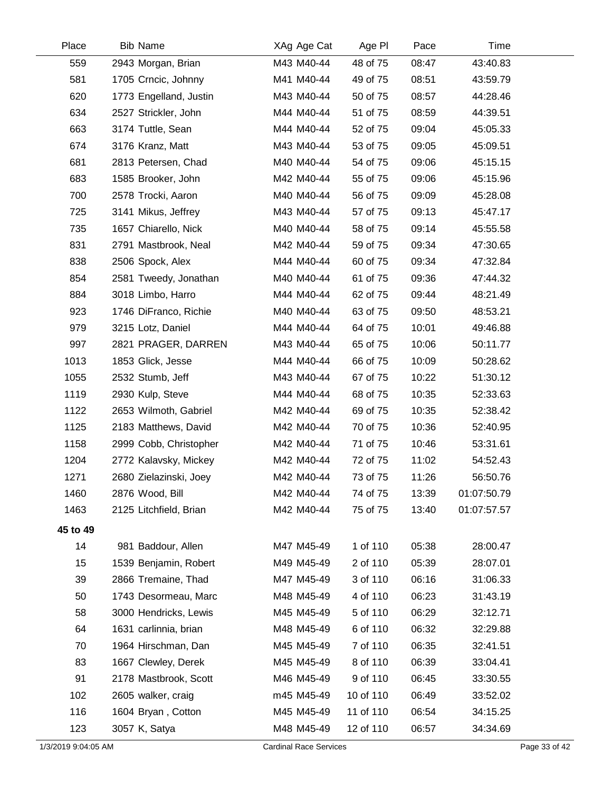| Place    | <b>Bib Name</b>        | XAg Age Cat | Age PI    | Pace  | Time        |  |
|----------|------------------------|-------------|-----------|-------|-------------|--|
| 559      | 2943 Morgan, Brian     | M43 M40-44  | 48 of 75  | 08:47 | 43:40.83    |  |
| 581      | 1705 Crncic, Johnny    | M41 M40-44  | 49 of 75  | 08:51 | 43:59.79    |  |
| 620      | 1773 Engelland, Justin | M43 M40-44  | 50 of 75  | 08:57 | 44:28.46    |  |
| 634      | 2527 Strickler, John   | M44 M40-44  | 51 of 75  | 08:59 | 44:39.51    |  |
| 663      | 3174 Tuttle, Sean      | M44 M40-44  | 52 of 75  | 09:04 | 45:05.33    |  |
| 674      | 3176 Kranz, Matt       | M43 M40-44  | 53 of 75  | 09:05 | 45:09.51    |  |
| 681      | 2813 Petersen, Chad    | M40 M40-44  | 54 of 75  | 09:06 | 45:15.15    |  |
| 683      | 1585 Brooker, John     | M42 M40-44  | 55 of 75  | 09:06 | 45:15.96    |  |
| 700      | 2578 Trocki, Aaron     | M40 M40-44  | 56 of 75  | 09:09 | 45:28.08    |  |
| 725      | 3141 Mikus, Jeffrey    | M43 M40-44  | 57 of 75  | 09:13 | 45:47.17    |  |
| 735      | 1657 Chiarello, Nick   | M40 M40-44  | 58 of 75  | 09:14 | 45:55.58    |  |
| 831      | 2791 Mastbrook, Neal   | M42 M40-44  | 59 of 75  | 09:34 | 47:30.65    |  |
| 838      | 2506 Spock, Alex       | M44 M40-44  | 60 of 75  | 09:34 | 47:32.84    |  |
| 854      | 2581 Tweedy, Jonathan  | M40 M40-44  | 61 of 75  | 09:36 | 47:44.32    |  |
| 884      | 3018 Limbo, Harro      | M44 M40-44  | 62 of 75  | 09:44 | 48:21.49    |  |
| 923      | 1746 DiFranco, Richie  | M40 M40-44  | 63 of 75  | 09:50 | 48:53.21    |  |
| 979      | 3215 Lotz, Daniel      | M44 M40-44  | 64 of 75  | 10:01 | 49:46.88    |  |
| 997      | 2821 PRAGER, DARREN    | M43 M40-44  | 65 of 75  | 10:06 | 50:11.77    |  |
| 1013     | 1853 Glick, Jesse      | M44 M40-44  | 66 of 75  | 10:09 | 50:28.62    |  |
| 1055     | 2532 Stumb, Jeff       | M43 M40-44  | 67 of 75  | 10:22 | 51:30.12    |  |
| 1119     | 2930 Kulp, Steve       | M44 M40-44  | 68 of 75  | 10:35 | 52:33.63    |  |
| 1122     | 2653 Wilmoth, Gabriel  | M42 M40-44  | 69 of 75  | 10:35 | 52:38.42    |  |
| 1125     | 2183 Matthews, David   | M42 M40-44  | 70 of 75  | 10:36 | 52:40.95    |  |
| 1158     | 2999 Cobb, Christopher | M42 M40-44  | 71 of 75  | 10:46 | 53:31.61    |  |
| 1204     | 2772 Kalavsky, Mickey  | M42 M40-44  | 72 of 75  | 11:02 | 54:52.43    |  |
| 1271     | 2680 Zielazinski, Joey | M42 M40-44  | 73 of 75  | 11:26 | 56:50.76    |  |
| 1460     | 2876 Wood, Bill        | M42 M40-44  | 74 of 75  | 13:39 | 01:07:50.79 |  |
| 1463     | 2125 Litchfield, Brian | M42 M40-44  | 75 of 75  | 13:40 | 01:07:57.57 |  |
| 45 to 49 |                        |             |           |       |             |  |
| 14       | 981 Baddour, Allen     | M47 M45-49  | 1 of 110  | 05:38 | 28:00.47    |  |
| 15       | 1539 Benjamin, Robert  | M49 M45-49  | 2 of 110  | 05:39 | 28:07.01    |  |
| 39       | 2866 Tremaine, Thad    | M47 M45-49  | 3 of 110  | 06:16 | 31:06.33    |  |
| 50       | 1743 Desormeau, Marc   | M48 M45-49  | 4 of 110  | 06:23 | 31:43.19    |  |
| 58       | 3000 Hendricks, Lewis  | M45 M45-49  | 5 of 110  | 06:29 | 32:12.71    |  |
| 64       | 1631 carlinnia, brian  | M48 M45-49  | 6 of 110  | 06:32 | 32:29.88    |  |
| 70       | 1964 Hirschman, Dan    | M45 M45-49  | 7 of 110  | 06:35 | 32:41.51    |  |
| 83       | 1667 Clewley, Derek    | M45 M45-49  | 8 of 110  | 06:39 | 33:04.41    |  |
| 91       | 2178 Mastbrook, Scott  | M46 M45-49  | 9 of 110  | 06:45 | 33:30.55    |  |
| 102      | 2605 walker, craig     | m45 M45-49  | 10 of 110 | 06:49 | 33:52.02    |  |
| 116      | 1604 Bryan, Cotton     | M45 M45-49  | 11 of 110 | 06:54 | 34:15.25    |  |
| 123      | 3057 K, Satya          | M48 M45-49  | 12 of 110 | 06:57 | 34:34.69    |  |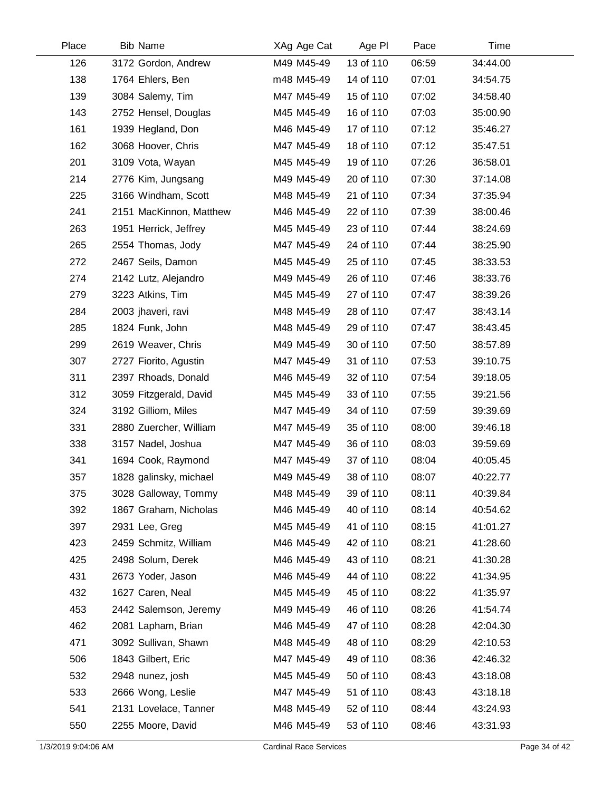| Place | <b>Bib Name</b>         | XAg Age Cat | Age PI    | Pace  | Time     |  |
|-------|-------------------------|-------------|-----------|-------|----------|--|
| 126   | 3172 Gordon, Andrew     | M49 M45-49  | 13 of 110 | 06:59 | 34:44.00 |  |
| 138   | 1764 Ehlers, Ben        | m48 M45-49  | 14 of 110 | 07:01 | 34:54.75 |  |
| 139   | 3084 Salemy, Tim        | M47 M45-49  | 15 of 110 | 07:02 | 34:58.40 |  |
| 143   | 2752 Hensel, Douglas    | M45 M45-49  | 16 of 110 | 07:03 | 35:00.90 |  |
| 161   | 1939 Hegland, Don       | M46 M45-49  | 17 of 110 | 07:12 | 35:46.27 |  |
| 162   | 3068 Hoover, Chris      | M47 M45-49  | 18 of 110 | 07:12 | 35:47.51 |  |
| 201   | 3109 Vota, Wayan        | M45 M45-49  | 19 of 110 | 07:26 | 36:58.01 |  |
| 214   | 2776 Kim, Jungsang      | M49 M45-49  | 20 of 110 | 07:30 | 37:14.08 |  |
| 225   | 3166 Windham, Scott     | M48 M45-49  | 21 of 110 | 07:34 | 37:35.94 |  |
| 241   | 2151 MacKinnon, Matthew | M46 M45-49  | 22 of 110 | 07:39 | 38:00.46 |  |
| 263   | 1951 Herrick, Jeffrey   | M45 M45-49  | 23 of 110 | 07:44 | 38:24.69 |  |
| 265   | 2554 Thomas, Jody       | M47 M45-49  | 24 of 110 | 07:44 | 38:25.90 |  |
| 272   | 2467 Seils, Damon       | M45 M45-49  | 25 of 110 | 07:45 | 38:33.53 |  |
| 274   | 2142 Lutz, Alejandro    | M49 M45-49  | 26 of 110 | 07:46 | 38:33.76 |  |
| 279   | 3223 Atkins, Tim        | M45 M45-49  | 27 of 110 | 07:47 | 38:39.26 |  |
| 284   | 2003 jhaveri, ravi      | M48 M45-49  | 28 of 110 | 07:47 | 38:43.14 |  |
| 285   | 1824 Funk, John         | M48 M45-49  | 29 of 110 | 07:47 | 38:43.45 |  |
| 299   | 2619 Weaver, Chris      | M49 M45-49  | 30 of 110 | 07:50 | 38:57.89 |  |
| 307   | 2727 Fiorito, Agustin   | M47 M45-49  | 31 of 110 | 07:53 | 39:10.75 |  |
| 311   | 2397 Rhoads, Donald     | M46 M45-49  | 32 of 110 | 07:54 | 39:18.05 |  |
| 312   | 3059 Fitzgerald, David  | M45 M45-49  | 33 of 110 | 07:55 | 39:21.56 |  |
| 324   | 3192 Gilliom, Miles     | M47 M45-49  | 34 of 110 | 07:59 | 39:39.69 |  |
| 331   | 2880 Zuercher, William  | M47 M45-49  | 35 of 110 | 08:00 | 39:46.18 |  |
| 338   | 3157 Nadel, Joshua      | M47 M45-49  | 36 of 110 | 08:03 | 39:59.69 |  |
| 341   | 1694 Cook, Raymond      | M47 M45-49  | 37 of 110 | 08:04 | 40:05.45 |  |
| 357   | 1828 galinsky, michael  | M49 M45-49  | 38 of 110 | 08:07 | 40:22.77 |  |
| 375   | 3028 Galloway, Tommy    | M48 M45-49  | 39 of 110 | 08:11 | 40:39.84 |  |
| 392   | 1867 Graham, Nicholas   | M46 M45-49  | 40 of 110 | 08:14 | 40:54.62 |  |
| 397   | 2931 Lee, Greg          | M45 M45-49  | 41 of 110 | 08:15 | 41:01.27 |  |
| 423   | 2459 Schmitz, William   | M46 M45-49  | 42 of 110 | 08:21 | 41:28.60 |  |
| 425   | 2498 Solum, Derek       | M46 M45-49  | 43 of 110 | 08:21 | 41:30.28 |  |
| 431   | 2673 Yoder, Jason       | M46 M45-49  | 44 of 110 | 08:22 | 41:34.95 |  |
| 432   | 1627 Caren, Neal        | M45 M45-49  | 45 of 110 | 08:22 | 41:35.97 |  |
| 453   | 2442 Salemson, Jeremy   | M49 M45-49  | 46 of 110 | 08:26 | 41:54.74 |  |
| 462   | 2081 Lapham, Brian      | M46 M45-49  | 47 of 110 | 08:28 | 42:04.30 |  |
| 471   | 3092 Sullivan, Shawn    | M48 M45-49  | 48 of 110 | 08:29 | 42:10.53 |  |
| 506   | 1843 Gilbert, Eric      | M47 M45-49  | 49 of 110 | 08:36 | 42:46.32 |  |
| 532   | 2948 nunez, josh        | M45 M45-49  | 50 of 110 | 08:43 | 43:18.08 |  |
| 533   | 2666 Wong, Leslie       | M47 M45-49  | 51 of 110 | 08:43 | 43:18.18 |  |
| 541   | 2131 Lovelace, Tanner   | M48 M45-49  | 52 of 110 | 08:44 | 43:24.93 |  |
| 550   | 2255 Moore, David       | M46 M45-49  | 53 of 110 | 08:46 | 43:31.93 |  |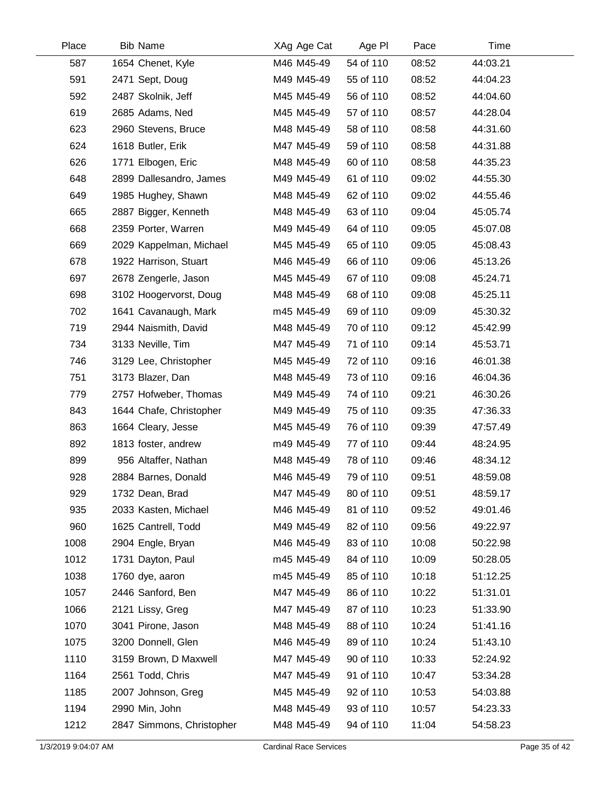| Place | <b>Bib Name</b>           | XAg Age Cat | Age PI    | Pace  | Time     |  |
|-------|---------------------------|-------------|-----------|-------|----------|--|
| 587   | 1654 Chenet, Kyle         | M46 M45-49  | 54 of 110 | 08:52 | 44:03.21 |  |
| 591   | 2471 Sept, Doug           | M49 M45-49  | 55 of 110 | 08:52 | 44:04.23 |  |
| 592   | 2487 Skolnik, Jeff        | M45 M45-49  | 56 of 110 | 08:52 | 44:04.60 |  |
| 619   | 2685 Adams, Ned           | M45 M45-49  | 57 of 110 | 08:57 | 44:28.04 |  |
| 623   | 2960 Stevens, Bruce       | M48 M45-49  | 58 of 110 | 08:58 | 44:31.60 |  |
| 624   | 1618 Butler, Erik         | M47 M45-49  | 59 of 110 | 08:58 | 44:31.88 |  |
| 626   | 1771 Elbogen, Eric        | M48 M45-49  | 60 of 110 | 08:58 | 44:35.23 |  |
| 648   | 2899 Dallesandro, James   | M49 M45-49  | 61 of 110 | 09:02 | 44:55.30 |  |
| 649   | 1985 Hughey, Shawn        | M48 M45-49  | 62 of 110 | 09:02 | 44:55.46 |  |
| 665   | 2887 Bigger, Kenneth      | M48 M45-49  | 63 of 110 | 09:04 | 45:05.74 |  |
| 668   | 2359 Porter, Warren       | M49 M45-49  | 64 of 110 | 09:05 | 45:07.08 |  |
| 669   | 2029 Kappelman, Michael   | M45 M45-49  | 65 of 110 | 09:05 | 45:08.43 |  |
| 678   | 1922 Harrison, Stuart     | M46 M45-49  | 66 of 110 | 09:06 | 45:13.26 |  |
| 697   | 2678 Zengerle, Jason      | M45 M45-49  | 67 of 110 | 09:08 | 45:24.71 |  |
| 698   | 3102 Hoogervorst, Doug    | M48 M45-49  | 68 of 110 | 09:08 | 45:25.11 |  |
| 702   | 1641 Cavanaugh, Mark      | m45 M45-49  | 69 of 110 | 09:09 | 45:30.32 |  |
| 719   | 2944 Naismith, David      | M48 M45-49  | 70 of 110 | 09:12 | 45:42.99 |  |
| 734   | 3133 Neville, Tim         | M47 M45-49  | 71 of 110 | 09:14 | 45:53.71 |  |
| 746   | 3129 Lee, Christopher     | M45 M45-49  | 72 of 110 | 09:16 | 46:01.38 |  |
| 751   | 3173 Blazer, Dan          | M48 M45-49  | 73 of 110 | 09:16 | 46:04.36 |  |
| 779   | 2757 Hofweber, Thomas     | M49 M45-49  | 74 of 110 | 09:21 | 46:30.26 |  |
| 843   | 1644 Chafe, Christopher   | M49 M45-49  | 75 of 110 | 09:35 | 47:36.33 |  |
| 863   | 1664 Cleary, Jesse        | M45 M45-49  | 76 of 110 | 09:39 | 47:57.49 |  |
| 892   | 1813 foster, andrew       | m49 M45-49  | 77 of 110 | 09:44 | 48:24.95 |  |
| 899   | 956 Altaffer, Nathan      | M48 M45-49  | 78 of 110 | 09:46 | 48:34.12 |  |
| 928   | 2884 Barnes, Donald       | M46 M45-49  | 79 of 110 | 09:51 | 48:59.08 |  |
| 929   | 1732 Dean, Brad           | M47 M45-49  | 80 of 110 | 09:51 | 48:59.17 |  |
| 935   | 2033 Kasten, Michael      | M46 M45-49  | 81 of 110 | 09:52 | 49:01.46 |  |
| 960   | 1625 Cantrell, Todd       | M49 M45-49  | 82 of 110 | 09:56 | 49:22.97 |  |
| 1008  | 2904 Engle, Bryan         | M46 M45-49  | 83 of 110 | 10:08 | 50:22.98 |  |
| 1012  | 1731 Dayton, Paul         | m45 M45-49  | 84 of 110 | 10:09 | 50:28.05 |  |
| 1038  | 1760 dye, aaron           | m45 M45-49  | 85 of 110 | 10:18 | 51:12.25 |  |
| 1057  | 2446 Sanford, Ben         | M47 M45-49  | 86 of 110 | 10:22 | 51:31.01 |  |
| 1066  | 2121 Lissy, Greg          | M47 M45-49  | 87 of 110 | 10:23 | 51:33.90 |  |
| 1070  | 3041 Pirone, Jason        | M48 M45-49  | 88 of 110 | 10:24 | 51:41.16 |  |
| 1075  | 3200 Donnell, Glen        | M46 M45-49  | 89 of 110 | 10:24 | 51:43.10 |  |
| 1110  | 3159 Brown, D Maxwell     | M47 M45-49  | 90 of 110 | 10:33 | 52:24.92 |  |
| 1164  | 2561 Todd, Chris          | M47 M45-49  | 91 of 110 | 10:47 | 53:34.28 |  |
| 1185  | 2007 Johnson, Greg        | M45 M45-49  | 92 of 110 | 10:53 | 54:03.88 |  |
| 1194  | 2990 Min, John            | M48 M45-49  | 93 of 110 | 10:57 | 54:23.33 |  |
| 1212  | 2847 Simmons, Christopher | M48 M45-49  | 94 of 110 | 11:04 | 54:58.23 |  |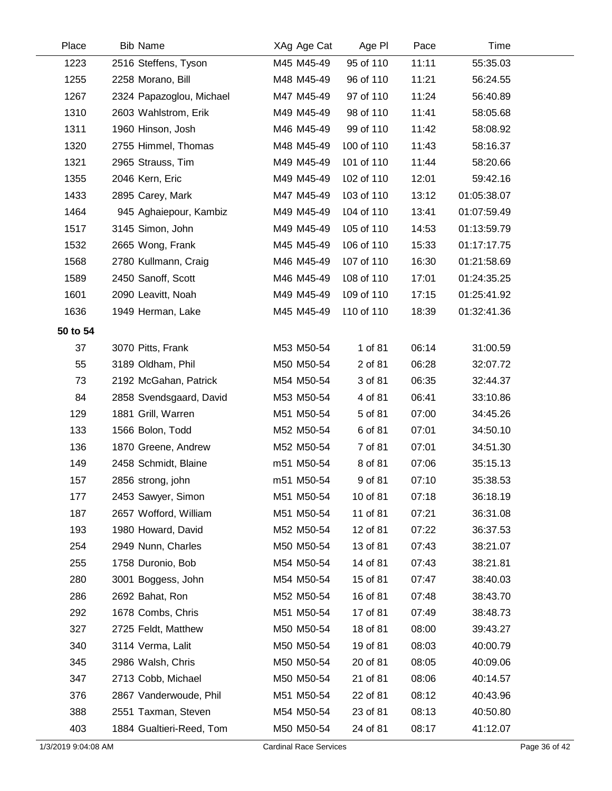| Place    | <b>Bib Name</b>          | XAg Age Cat | Age PI     | Pace  | Time        |  |
|----------|--------------------------|-------------|------------|-------|-------------|--|
| 1223     | 2516 Steffens, Tyson     | M45 M45-49  | 95 of 110  | 11:11 | 55:35.03    |  |
| 1255     | 2258 Morano, Bill        | M48 M45-49  | 96 of 110  | 11:21 | 56:24.55    |  |
| 1267     | 2324 Papazoglou, Michael | M47 M45-49  | 97 of 110  | 11:24 | 56:40.89    |  |
| 1310     | 2603 Wahlstrom, Erik     | M49 M45-49  | 98 of 110  | 11:41 | 58:05.68    |  |
| 1311     | 1960 Hinson, Josh        | M46 M45-49  | 99 of 110  | 11:42 | 58:08.92    |  |
| 1320     | 2755 Himmel, Thomas      | M48 M45-49  | 100 of 110 | 11:43 | 58:16.37    |  |
| 1321     | 2965 Strauss, Tim        | M49 M45-49  | 101 of 110 | 11:44 | 58:20.66    |  |
| 1355     | 2046 Kern, Eric          | M49 M45-49  | 102 of 110 | 12:01 | 59:42.16    |  |
| 1433     | 2895 Carey, Mark         | M47 M45-49  | 103 of 110 | 13:12 | 01:05:38.07 |  |
| 1464     | 945 Aghaiepour, Kambiz   | M49 M45-49  | 104 of 110 | 13:41 | 01:07:59.49 |  |
| 1517     | 3145 Simon, John         | M49 M45-49  | 105 of 110 | 14:53 | 01:13:59.79 |  |
| 1532     | 2665 Wong, Frank         | M45 M45-49  | 106 of 110 | 15:33 | 01:17:17.75 |  |
| 1568     | 2780 Kullmann, Craig     | M46 M45-49  | 107 of 110 | 16:30 | 01:21:58.69 |  |
| 1589     | 2450 Sanoff, Scott       | M46 M45-49  | 108 of 110 | 17:01 | 01:24:35.25 |  |
| 1601     | 2090 Leavitt, Noah       | M49 M45-49  | 109 of 110 | 17:15 | 01:25:41.92 |  |
| 1636     | 1949 Herman, Lake        | M45 M45-49  | 110 of 110 | 18:39 | 01:32:41.36 |  |
| 50 to 54 |                          |             |            |       |             |  |
| 37       | 3070 Pitts, Frank        | M53 M50-54  | 1 of 81    | 06:14 | 31:00.59    |  |
| 55       | 3189 Oldham, Phil        | M50 M50-54  | 2 of 81    | 06:28 | 32:07.72    |  |
| 73       | 2192 McGahan, Patrick    | M54 M50-54  | 3 of 81    | 06:35 | 32:44.37    |  |
| 84       | 2858 Svendsgaard, David  | M53 M50-54  | 4 of 81    | 06:41 | 33:10.86    |  |
| 129      | 1881 Grill, Warren       | M51 M50-54  | 5 of 81    | 07:00 | 34:45.26    |  |
| 133      | 1566 Bolon, Todd         | M52 M50-54  | 6 of 81    | 07:01 | 34:50.10    |  |
| 136      | 1870 Greene, Andrew      | M52 M50-54  | 7 of 81    | 07:01 | 34:51.30    |  |
| 149      | 2458 Schmidt, Blaine     | m51 M50-54  | 8 of 81    | 07:06 | 35:15.13    |  |
| 157      | 2856 strong, john        | m51 M50-54  | 9 of 81    | 07:10 | 35:38.53    |  |
| 177      | 2453 Sawyer, Simon       | M51 M50-54  | 10 of 81   | 07:18 | 36:18.19    |  |
| 187      | 2657 Wofford, William    | M51 M50-54  | 11 of 81   | 07:21 | 36:31.08    |  |
| 193      | 1980 Howard, David       | M52 M50-54  | 12 of 81   | 07:22 | 36:37.53    |  |
| 254      | 2949 Nunn, Charles       | M50 M50-54  | 13 of 81   | 07:43 | 38:21.07    |  |
| 255      | 1758 Duronio, Bob        | M54 M50-54  | 14 of 81   | 07:43 | 38:21.81    |  |
| 280      | 3001 Boggess, John       | M54 M50-54  | 15 of 81   | 07:47 | 38:40.03    |  |
| 286      | 2692 Bahat, Ron          | M52 M50-54  | 16 of 81   | 07:48 | 38:43.70    |  |
| 292      | 1678 Combs, Chris        | M51 M50-54  | 17 of 81   | 07:49 | 38:48.73    |  |
| 327      | 2725 Feldt, Matthew      | M50 M50-54  | 18 of 81   | 08:00 | 39:43.27    |  |
| 340      | 3114 Verma, Lalit        | M50 M50-54  | 19 of 81   | 08:03 | 40:00.79    |  |
| 345      | 2986 Walsh, Chris        | M50 M50-54  | 20 of 81   | 08:05 | 40:09.06    |  |
| 347      | 2713 Cobb, Michael       | M50 M50-54  | 21 of 81   | 08:06 | 40:14.57    |  |
| 376      | 2867 Vanderwoude, Phil   | M51 M50-54  | 22 of 81   | 08:12 | 40:43.96    |  |
| 388      | 2551 Taxman, Steven      | M54 M50-54  | 23 of 81   | 08:13 | 40:50.80    |  |
| 403      | 1884 Gualtieri-Reed, Tom | M50 M50-54  | 24 of 81   | 08:17 | 41:12.07    |  |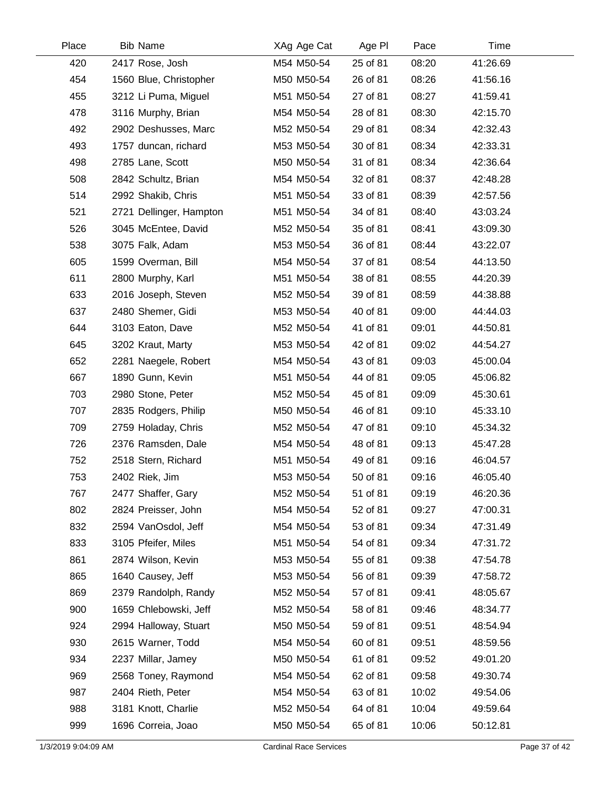| Place | <b>Bib Name</b>         | XAg Age Cat | Age Pl   | Pace  | Time     |  |
|-------|-------------------------|-------------|----------|-------|----------|--|
| 420   | 2417 Rose, Josh         | M54 M50-54  | 25 of 81 | 08:20 | 41:26.69 |  |
| 454   | 1560 Blue, Christopher  | M50 M50-54  | 26 of 81 | 08:26 | 41:56.16 |  |
| 455   | 3212 Li Puma, Miguel    | M51 M50-54  | 27 of 81 | 08:27 | 41:59.41 |  |
| 478   | 3116 Murphy, Brian      | M54 M50-54  | 28 of 81 | 08:30 | 42:15.70 |  |
| 492   | 2902 Deshusses, Marc    | M52 M50-54  | 29 of 81 | 08:34 | 42:32.43 |  |
| 493   | 1757 duncan, richard    | M53 M50-54  | 30 of 81 | 08:34 | 42:33.31 |  |
| 498   | 2785 Lane, Scott        | M50 M50-54  | 31 of 81 | 08:34 | 42:36.64 |  |
| 508   | 2842 Schultz, Brian     | M54 M50-54  | 32 of 81 | 08:37 | 42:48.28 |  |
| 514   | 2992 Shakib, Chris      | M51 M50-54  | 33 of 81 | 08:39 | 42:57.56 |  |
| 521   | 2721 Dellinger, Hampton | M51 M50-54  | 34 of 81 | 08:40 | 43:03.24 |  |
| 526   | 3045 McEntee, David     | M52 M50-54  | 35 of 81 | 08:41 | 43:09.30 |  |
| 538   | 3075 Falk, Adam         | M53 M50-54  | 36 of 81 | 08:44 | 43:22.07 |  |
| 605   | 1599 Overman, Bill      | M54 M50-54  | 37 of 81 | 08:54 | 44:13.50 |  |
| 611   | 2800 Murphy, Karl       | M51 M50-54  | 38 of 81 | 08:55 | 44:20.39 |  |
| 633   | 2016 Joseph, Steven     | M52 M50-54  | 39 of 81 | 08:59 | 44:38.88 |  |
| 637   | 2480 Shemer, Gidi       | M53 M50-54  | 40 of 81 | 09:00 | 44:44.03 |  |
| 644   | 3103 Eaton, Dave        | M52 M50-54  | 41 of 81 | 09:01 | 44:50.81 |  |
| 645   | 3202 Kraut, Marty       | M53 M50-54  | 42 of 81 | 09:02 | 44:54.27 |  |
| 652   | 2281 Naegele, Robert    | M54 M50-54  | 43 of 81 | 09:03 | 45:00.04 |  |
| 667   | 1890 Gunn, Kevin        | M51 M50-54  | 44 of 81 | 09:05 | 45:06.82 |  |
| 703   | 2980 Stone, Peter       | M52 M50-54  | 45 of 81 | 09:09 | 45:30.61 |  |
| 707   | 2835 Rodgers, Philip    | M50 M50-54  | 46 of 81 | 09:10 | 45:33.10 |  |
| 709   | 2759 Holaday, Chris     | M52 M50-54  | 47 of 81 | 09:10 | 45:34.32 |  |
| 726   | 2376 Ramsden, Dale      | M54 M50-54  | 48 of 81 | 09:13 | 45:47.28 |  |
| 752   | 2518 Stern, Richard     | M51 M50-54  | 49 of 81 | 09:16 | 46:04.57 |  |
| 753   | 2402 Riek, Jim          | M53 M50-54  | 50 of 81 | 09:16 | 46:05.40 |  |
| 767   | 2477 Shaffer, Gary      | M52 M50-54  | 51 of 81 | 09:19 | 46:20.36 |  |
| 802   | 2824 Preisser, John     | M54 M50-54  | 52 of 81 | 09:27 | 47:00.31 |  |
| 832   | 2594 VanOsdol, Jeff     | M54 M50-54  | 53 of 81 | 09:34 | 47:31.49 |  |
| 833   | 3105 Pfeifer, Miles     | M51 M50-54  | 54 of 81 | 09:34 | 47:31.72 |  |
| 861   | 2874 Wilson, Kevin      | M53 M50-54  | 55 of 81 | 09:38 | 47:54.78 |  |
| 865   | 1640 Causey, Jeff       | M53 M50-54  | 56 of 81 | 09:39 | 47:58.72 |  |
| 869   | 2379 Randolph, Randy    | M52 M50-54  | 57 of 81 | 09:41 | 48:05.67 |  |
| 900   | 1659 Chlebowski, Jeff   | M52 M50-54  | 58 of 81 | 09:46 | 48:34.77 |  |
| 924   | 2994 Halloway, Stuart   | M50 M50-54  | 59 of 81 | 09:51 | 48:54.94 |  |
| 930   | 2615 Warner, Todd       | M54 M50-54  | 60 of 81 | 09:51 | 48:59.56 |  |
| 934   | 2237 Millar, Jamey      | M50 M50-54  | 61 of 81 | 09:52 | 49:01.20 |  |
| 969   | 2568 Toney, Raymond     | M54 M50-54  | 62 of 81 | 09:58 | 49:30.74 |  |
| 987   | 2404 Rieth, Peter       | M54 M50-54  | 63 of 81 | 10:02 | 49:54.06 |  |
| 988   | 3181 Knott, Charlie     | M52 M50-54  | 64 of 81 | 10:04 | 49:59.64 |  |
| 999   | 1696 Correia, Joao      | M50 M50-54  | 65 of 81 | 10:06 | 50:12.81 |  |
|       |                         |             |          |       |          |  |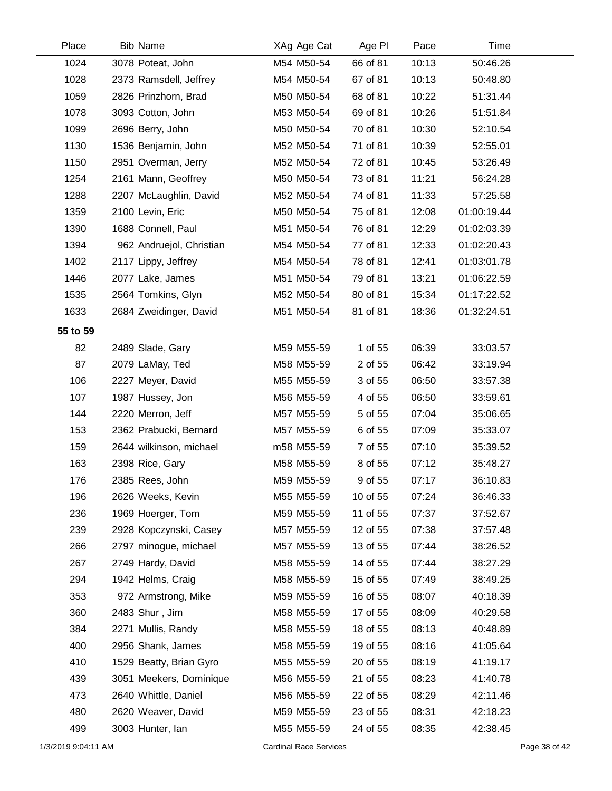| Place    | <b>Bib Name</b>          | XAg Age Cat | Age PI   | Pace  | Time        |  |
|----------|--------------------------|-------------|----------|-------|-------------|--|
| 1024     | 3078 Poteat, John        | M54 M50-54  | 66 of 81 | 10:13 | 50:46.26    |  |
| 1028     | 2373 Ramsdell, Jeffrey   | M54 M50-54  | 67 of 81 | 10:13 | 50:48.80    |  |
| 1059     | 2826 Prinzhorn, Brad     | M50 M50-54  | 68 of 81 | 10:22 | 51:31.44    |  |
| 1078     | 3093 Cotton, John        | M53 M50-54  | 69 of 81 | 10:26 | 51:51.84    |  |
| 1099     | 2696 Berry, John         | M50 M50-54  | 70 of 81 | 10:30 | 52:10.54    |  |
| 1130     | 1536 Benjamin, John      | M52 M50-54  | 71 of 81 | 10:39 | 52:55.01    |  |
| 1150     | 2951 Overman, Jerry      | M52 M50-54  | 72 of 81 | 10:45 | 53:26.49    |  |
| 1254     | 2161 Mann, Geoffrey      | M50 M50-54  | 73 of 81 | 11:21 | 56:24.28    |  |
| 1288     | 2207 McLaughlin, David   | M52 M50-54  | 74 of 81 | 11:33 | 57:25.58    |  |
| 1359     | 2100 Levin, Eric         | M50 M50-54  | 75 of 81 | 12:08 | 01:00:19.44 |  |
| 1390     | 1688 Connell, Paul       | M51 M50-54  | 76 of 81 | 12:29 | 01:02:03.39 |  |
| 1394     | 962 Andruejol, Christian | M54 M50-54  | 77 of 81 | 12:33 | 01:02:20.43 |  |
| 1402     | 2117 Lippy, Jeffrey      | M54 M50-54  | 78 of 81 | 12:41 | 01:03:01.78 |  |
| 1446     | 2077 Lake, James         | M51 M50-54  | 79 of 81 | 13:21 | 01:06:22.59 |  |
| 1535     | 2564 Tomkins, Glyn       | M52 M50-54  | 80 of 81 | 15:34 | 01:17:22.52 |  |
| 1633     | 2684 Zweidinger, David   | M51 M50-54  | 81 of 81 | 18:36 | 01:32:24.51 |  |
| 55 to 59 |                          |             |          |       |             |  |
| 82       | 2489 Slade, Gary         | M59 M55-59  | 1 of 55  | 06:39 | 33:03.57    |  |
| 87       | 2079 LaMay, Ted          | M58 M55-59  | 2 of 55  | 06:42 | 33:19.94    |  |
| 106      | 2227 Meyer, David        | M55 M55-59  | 3 of 55  | 06:50 | 33:57.38    |  |
| 107      | 1987 Hussey, Jon         | M56 M55-59  | 4 of 55  | 06:50 | 33:59.61    |  |
| 144      | 2220 Merron, Jeff        | M57 M55-59  | 5 of 55  | 07:04 | 35:06.65    |  |
| 153      | 2362 Prabucki, Bernard   | M57 M55-59  | 6 of 55  | 07:09 | 35:33.07    |  |
| 159      | 2644 wilkinson, michael  | m58 M55-59  | 7 of 55  | 07:10 | 35:39.52    |  |
| 163      | 2398 Rice, Gary          | M58 M55-59  | 8 of 55  | 07:12 | 35:48.27    |  |
| 176      | 2385 Rees, John          | M59 M55-59  | 9 of 55  | 07:17 | 36:10.83    |  |
| 196      | 2626 Weeks, Kevin        | M55 M55-59  | 10 of 55 | 07:24 | 36:46.33    |  |
| 236      | 1969 Hoerger, Tom        | M59 M55-59  | 11 of 55 | 07:37 | 37:52.67    |  |
| 239      | 2928 Kopczynski, Casey   | M57 M55-59  | 12 of 55 | 07:38 | 37:57.48    |  |
| 266      | 2797 minogue, michael    | M57 M55-59  | 13 of 55 | 07:44 | 38:26.52    |  |
| 267      | 2749 Hardy, David        | M58 M55-59  | 14 of 55 | 07:44 | 38:27.29    |  |
| 294      | 1942 Helms, Craig        | M58 M55-59  | 15 of 55 | 07:49 | 38:49.25    |  |
| 353      | 972 Armstrong, Mike      | M59 M55-59  | 16 of 55 | 08:07 | 40:18.39    |  |
| 360      | 2483 Shur, Jim           | M58 M55-59  | 17 of 55 | 08:09 | 40:29.58    |  |
| 384      | 2271 Mullis, Randy       | M58 M55-59  | 18 of 55 | 08:13 | 40:48.89    |  |
| 400      | 2956 Shank, James        | M58 M55-59  | 19 of 55 | 08:16 | 41:05.64    |  |
| 410      | 1529 Beatty, Brian Gyro  | M55 M55-59  | 20 of 55 | 08:19 | 41:19.17    |  |
| 439      | 3051 Meekers, Dominique  | M56 M55-59  | 21 of 55 | 08:23 | 41:40.78    |  |
| 473      | 2640 Whittle, Daniel     | M56 M55-59  | 22 of 55 | 08:29 | 42:11.46    |  |
| 480      | 2620 Weaver, David       | M59 M55-59  | 23 of 55 | 08:31 | 42:18.23    |  |
| 499      | 3003 Hunter, lan         | M55 M55-59  | 24 of 55 | 08:35 | 42:38.45    |  |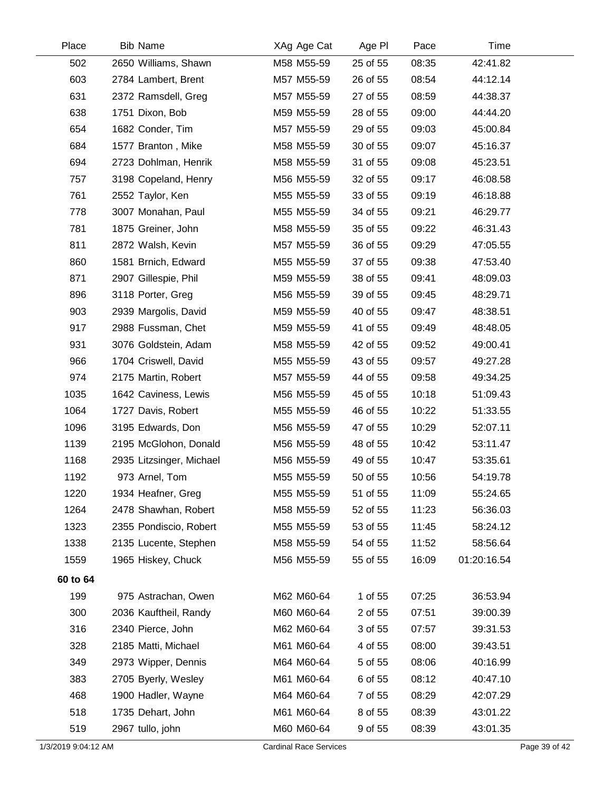| Place               | <b>Bib Name</b>          | XAg Age Cat                   | Age PI   | Pace  | Time        |               |
|---------------------|--------------------------|-------------------------------|----------|-------|-------------|---------------|
| 502                 | 2650 Williams, Shawn     | M58 M55-59                    | 25 of 55 | 08:35 | 42:41.82    |               |
| 603                 | 2784 Lambert, Brent      | M57 M55-59                    | 26 of 55 | 08:54 | 44:12.14    |               |
| 631                 | 2372 Ramsdell, Greg      | M57 M55-59                    | 27 of 55 | 08:59 | 44:38.37    |               |
| 638                 | 1751 Dixon, Bob          | M59 M55-59                    | 28 of 55 | 09:00 | 44:44.20    |               |
| 654                 | 1682 Conder, Tim         | M57 M55-59                    | 29 of 55 | 09:03 | 45:00.84    |               |
| 684                 | 1577 Branton, Mike       | M58 M55-59                    | 30 of 55 | 09:07 | 45:16.37    |               |
| 694                 | 2723 Dohlman, Henrik     | M58 M55-59                    | 31 of 55 | 09:08 | 45:23.51    |               |
| 757                 | 3198 Copeland, Henry     | M56 M55-59                    | 32 of 55 | 09:17 | 46:08.58    |               |
| 761                 | 2552 Taylor, Ken         | M55 M55-59                    | 33 of 55 | 09:19 | 46:18.88    |               |
| 778                 | 3007 Monahan, Paul       | M55 M55-59                    | 34 of 55 | 09:21 | 46:29.77    |               |
| 781                 | 1875 Greiner, John       | M58 M55-59                    | 35 of 55 | 09:22 | 46:31.43    |               |
| 811                 | 2872 Walsh, Kevin        | M57 M55-59                    | 36 of 55 | 09:29 | 47:05.55    |               |
| 860                 | 1581 Brnich, Edward      | M55 M55-59                    | 37 of 55 | 09:38 | 47:53.40    |               |
| 871                 | 2907 Gillespie, Phil     | M59 M55-59                    | 38 of 55 | 09:41 | 48:09.03    |               |
| 896                 | 3118 Porter, Greg        | M56 M55-59                    | 39 of 55 | 09:45 | 48:29.71    |               |
| 903                 | 2939 Margolis, David     | M59 M55-59                    | 40 of 55 | 09:47 | 48:38.51    |               |
| 917                 | 2988 Fussman, Chet       | M59 M55-59                    | 41 of 55 | 09:49 | 48:48.05    |               |
| 931                 | 3076 Goldstein, Adam     | M58 M55-59                    | 42 of 55 | 09:52 | 49:00.41    |               |
| 966                 | 1704 Criswell, David     | M55 M55-59                    | 43 of 55 | 09:57 | 49:27.28    |               |
| 974                 | 2175 Martin, Robert      | M57 M55-59                    | 44 of 55 | 09:58 | 49:34.25    |               |
| 1035                | 1642 Caviness, Lewis     | M56 M55-59                    | 45 of 55 | 10:18 | 51:09.43    |               |
| 1064                | 1727 Davis, Robert       | M55 M55-59                    | 46 of 55 | 10:22 | 51:33.55    |               |
| 1096                | 3195 Edwards, Don        | M56 M55-59                    | 47 of 55 | 10:29 | 52:07.11    |               |
| 1139                | 2195 McGlohon, Donald    | M56 M55-59                    | 48 of 55 | 10:42 | 53:11.47    |               |
| 1168                | 2935 Litzsinger, Michael | M56 M55-59                    | 49 of 55 | 10:47 | 53:35.61    |               |
| 1192                | 973 Arnel, Tom           | M55 M55-59                    | 50 of 55 | 10:56 | 54:19.78    |               |
| 1220                | 1934 Heafner, Greg       | M55 M55-59                    | 51 of 55 | 11:09 | 55:24.65    |               |
| 1264                | 2478 Shawhan, Robert     | M58 M55-59                    | 52 of 55 | 11:23 | 56:36.03    |               |
| 1323                | 2355 Pondiscio, Robert   | M55 M55-59                    | 53 of 55 | 11:45 | 58:24.12    |               |
| 1338                | 2135 Lucente, Stephen    | M58 M55-59                    | 54 of 55 | 11:52 | 58:56.64    |               |
| 1559                | 1965 Hiskey, Chuck       | M56 M55-59                    | 55 of 55 | 16:09 | 01:20:16.54 |               |
| 60 to 64            |                          |                               |          |       |             |               |
| 199                 | 975 Astrachan, Owen      | M62 M60-64                    | 1 of 55  | 07:25 | 36:53.94    |               |
| 300                 | 2036 Kauftheil, Randy    | M60 M60-64                    | 2 of 55  | 07:51 | 39:00.39    |               |
| 316                 | 2340 Pierce, John        | M62 M60-64                    | 3 of 55  | 07:57 | 39:31.53    |               |
| 328                 | 2185 Matti, Michael      | M61 M60-64                    | 4 of 55  | 08:00 | 39:43.51    |               |
| 349                 | 2973 Wipper, Dennis      | M64 M60-64                    | 5 of 55  | 08:06 | 40:16.99    |               |
| 383                 | 2705 Byerly, Wesley      | M61 M60-64                    | 6 of 55  | 08:12 | 40:47.10    |               |
| 468                 | 1900 Hadler, Wayne       | M64 M60-64                    | 7 of 55  | 08:29 | 42:07.29    |               |
| 518                 | 1735 Dehart, John        | M61 M60-64                    | 8 of 55  | 08:39 | 43:01.22    |               |
| 519                 | 2967 tullo, john         | M60 M60-64                    | 9 of 55  | 08:39 | 43:01.35    |               |
| 1/3/2019 9:04:12 AM |                          | <b>Cardinal Race Services</b> |          |       |             | Page 39 of 42 |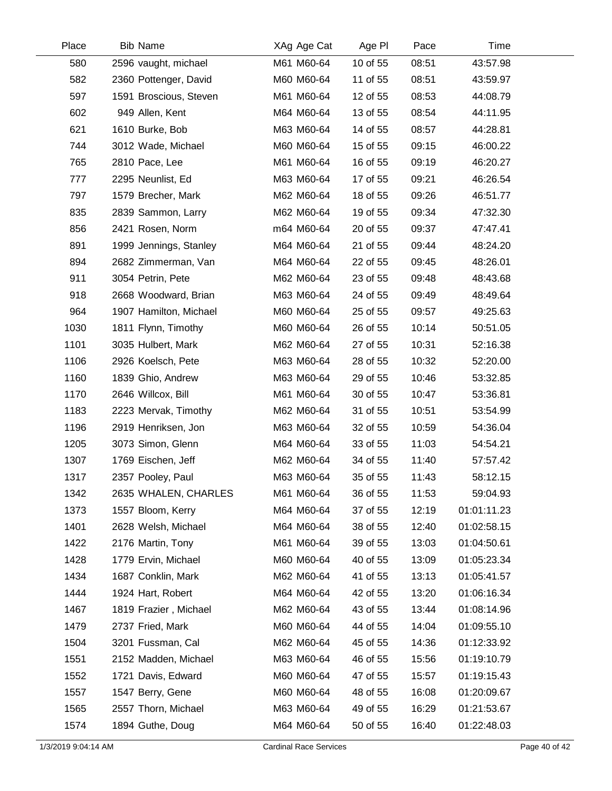| Place | <b>Bib Name</b>        | XAg Age Cat | Age PI   | Pace  | Time        |  |
|-------|------------------------|-------------|----------|-------|-------------|--|
| 580   | 2596 vaught, michael   | M61 M60-64  | 10 of 55 | 08:51 | 43:57.98    |  |
| 582   | 2360 Pottenger, David  | M60 M60-64  | 11 of 55 | 08:51 | 43:59.97    |  |
| 597   | 1591 Broscious, Steven | M61 M60-64  | 12 of 55 | 08:53 | 44:08.79    |  |
| 602   | 949 Allen, Kent        | M64 M60-64  | 13 of 55 | 08:54 | 44:11.95    |  |
| 621   | 1610 Burke, Bob        | M63 M60-64  | 14 of 55 | 08:57 | 44:28.81    |  |
| 744   | 3012 Wade, Michael     | M60 M60-64  | 15 of 55 | 09:15 | 46:00.22    |  |
| 765   | 2810 Pace, Lee         | M61 M60-64  | 16 of 55 | 09:19 | 46:20.27    |  |
| 777   | 2295 Neunlist, Ed      | M63 M60-64  | 17 of 55 | 09:21 | 46:26.54    |  |
| 797   | 1579 Brecher, Mark     | M62 M60-64  | 18 of 55 | 09:26 | 46:51.77    |  |
| 835   | 2839 Sammon, Larry     | M62 M60-64  | 19 of 55 | 09:34 | 47:32.30    |  |
| 856   | 2421 Rosen, Norm       | m64 M60-64  | 20 of 55 | 09:37 | 47:47.41    |  |
| 891   | 1999 Jennings, Stanley | M64 M60-64  | 21 of 55 | 09:44 | 48:24.20    |  |
| 894   | 2682 Zimmerman, Van    | M64 M60-64  | 22 of 55 | 09:45 | 48:26.01    |  |
| 911   | 3054 Petrin, Pete      | M62 M60-64  | 23 of 55 | 09:48 | 48:43.68    |  |
| 918   | 2668 Woodward, Brian   | M63 M60-64  | 24 of 55 | 09:49 | 48:49.64    |  |
| 964   | 1907 Hamilton, Michael | M60 M60-64  | 25 of 55 | 09:57 | 49:25.63    |  |
| 1030  | 1811 Flynn, Timothy    | M60 M60-64  | 26 of 55 | 10:14 | 50:51.05    |  |
| 1101  | 3035 Hulbert, Mark     | M62 M60-64  | 27 of 55 | 10:31 | 52:16.38    |  |
| 1106  | 2926 Koelsch, Pete     | M63 M60-64  | 28 of 55 | 10:32 | 52:20.00    |  |
| 1160  | 1839 Ghio, Andrew      | M63 M60-64  | 29 of 55 | 10:46 | 53:32.85    |  |
| 1170  | 2646 Willcox, Bill     | M61 M60-64  | 30 of 55 | 10:47 | 53:36.81    |  |
| 1183  | 2223 Mervak, Timothy   | M62 M60-64  | 31 of 55 | 10:51 | 53:54.99    |  |
| 1196  | 2919 Henriksen, Jon    | M63 M60-64  | 32 of 55 | 10:59 | 54:36.04    |  |
| 1205  | 3073 Simon, Glenn      | M64 M60-64  | 33 of 55 | 11:03 | 54:54.21    |  |
| 1307  | 1769 Eischen, Jeff     | M62 M60-64  | 34 of 55 | 11:40 | 57:57.42    |  |
| 1317  | 2357 Pooley, Paul      | M63 M60-64  | 35 of 55 | 11:43 | 58:12.15    |  |
| 1342  | 2635 WHALEN, CHARLES   | M61 M60-64  | 36 of 55 | 11:53 | 59:04.93    |  |
| 1373  | 1557 Bloom, Kerry      | M64 M60-64  | 37 of 55 | 12:19 | 01:01:11.23 |  |
| 1401  | 2628 Welsh, Michael    | M64 M60-64  | 38 of 55 | 12:40 | 01:02:58.15 |  |
| 1422  | 2176 Martin, Tony      | M61 M60-64  | 39 of 55 | 13:03 | 01:04:50.61 |  |
| 1428  | 1779 Ervin, Michael    | M60 M60-64  | 40 of 55 | 13:09 | 01:05:23.34 |  |
| 1434  | 1687 Conklin, Mark     | M62 M60-64  | 41 of 55 | 13:13 | 01:05:41.57 |  |
| 1444  | 1924 Hart, Robert      | M64 M60-64  | 42 of 55 | 13:20 | 01:06:16.34 |  |
| 1467  | 1819 Frazier, Michael  | M62 M60-64  | 43 of 55 | 13:44 | 01:08:14.96 |  |
| 1479  | 2737 Fried, Mark       | M60 M60-64  | 44 of 55 | 14:04 | 01:09:55.10 |  |
| 1504  | 3201 Fussman, Cal      | M62 M60-64  | 45 of 55 | 14:36 | 01:12:33.92 |  |
| 1551  | 2152 Madden, Michael   | M63 M60-64  | 46 of 55 | 15:56 | 01:19:10.79 |  |
| 1552  | 1721 Davis, Edward     | M60 M60-64  | 47 of 55 | 15:57 | 01:19:15.43 |  |
| 1557  | 1547 Berry, Gene       | M60 M60-64  | 48 of 55 | 16:08 | 01:20:09.67 |  |
| 1565  | 2557 Thorn, Michael    | M63 M60-64  | 49 of 55 | 16:29 | 01:21:53.67 |  |
| 1574  | 1894 Guthe, Doug       | M64 M60-64  | 50 of 55 | 16:40 | 01:22:48.03 |  |
|       |                        |             |          |       |             |  |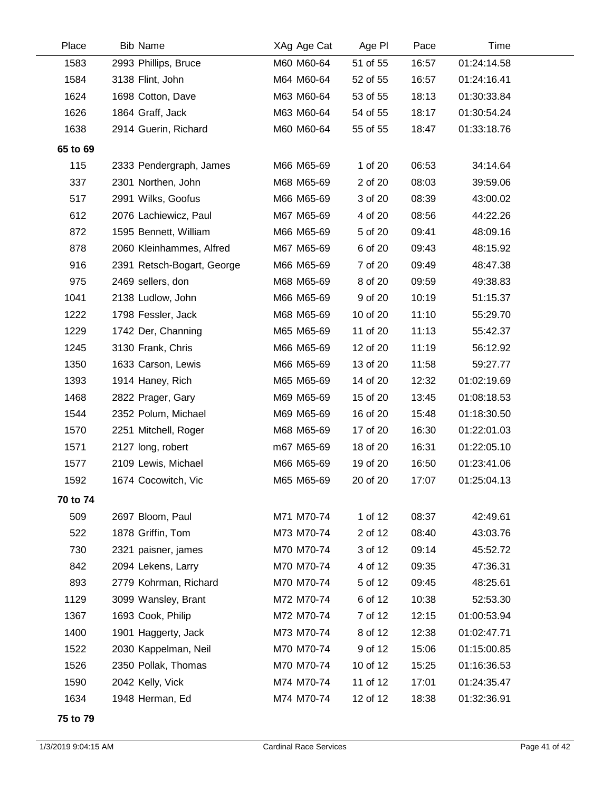| Place    | <b>Bib Name</b>            | XAg Age Cat | Age PI   | Pace  | Time        |  |
|----------|----------------------------|-------------|----------|-------|-------------|--|
| 1583     | 2993 Phillips, Bruce       | M60 M60-64  | 51 of 55 | 16:57 | 01:24:14.58 |  |
| 1584     | 3138 Flint, John           | M64 M60-64  | 52 of 55 | 16:57 | 01:24:16.41 |  |
| 1624     | 1698 Cotton, Dave          | M63 M60-64  | 53 of 55 | 18:13 | 01:30:33.84 |  |
| 1626     | 1864 Graff, Jack           | M63 M60-64  | 54 of 55 | 18:17 | 01:30:54.24 |  |
| 1638     | 2914 Guerin, Richard       | M60 M60-64  | 55 of 55 | 18:47 | 01:33:18.76 |  |
| 65 to 69 |                            |             |          |       |             |  |
| 115      | 2333 Pendergraph, James    | M66 M65-69  | 1 of 20  | 06:53 | 34:14.64    |  |
| 337      | 2301 Northen, John         | M68 M65-69  | 2 of 20  | 08:03 | 39:59.06    |  |
| 517      | 2991 Wilks, Goofus         | M66 M65-69  | 3 of 20  | 08:39 | 43:00.02    |  |
| 612      | 2076 Lachiewicz, Paul      | M67 M65-69  | 4 of 20  | 08:56 | 44:22.26    |  |
| 872      | 1595 Bennett, William      | M66 M65-69  | 5 of 20  | 09:41 | 48:09.16    |  |
| 878      | 2060 Kleinhammes, Alfred   | M67 M65-69  | 6 of 20  | 09:43 | 48:15.92    |  |
| 916      | 2391 Retsch-Bogart, George | M66 M65-69  | 7 of 20  | 09:49 | 48:47.38    |  |
| 975      | 2469 sellers, don          | M68 M65-69  | 8 of 20  | 09:59 | 49:38.83    |  |
| 1041     | 2138 Ludlow, John          | M66 M65-69  | 9 of 20  | 10:19 | 51:15.37    |  |
| 1222     | 1798 Fessler, Jack         | M68 M65-69  | 10 of 20 | 11:10 | 55:29.70    |  |
| 1229     | 1742 Der, Channing         | M65 M65-69  | 11 of 20 | 11:13 | 55:42.37    |  |
| 1245     | 3130 Frank, Chris          | M66 M65-69  | 12 of 20 | 11:19 | 56:12.92    |  |
| 1350     | 1633 Carson, Lewis         | M66 M65-69  | 13 of 20 | 11:58 | 59:27.77    |  |
| 1393     | 1914 Haney, Rich           | M65 M65-69  | 14 of 20 | 12:32 | 01:02:19.69 |  |
| 1468     | 2822 Prager, Gary          | M69 M65-69  | 15 of 20 | 13:45 | 01:08:18.53 |  |
| 1544     | 2352 Polum, Michael        | M69 M65-69  | 16 of 20 | 15:48 | 01:18:30.50 |  |
| 1570     | 2251 Mitchell, Roger       | M68 M65-69  | 17 of 20 | 16:30 | 01:22:01.03 |  |
| 1571     | 2127 long, robert          | m67 M65-69  | 18 of 20 | 16:31 | 01:22:05.10 |  |
| 1577     | 2109 Lewis, Michael        | M66 M65-69  | 19 of 20 | 16:50 | 01:23:41.06 |  |
| 1592     | 1674 Cocowitch, Vic        | M65 M65-69  | 20 of 20 | 17:07 | 01:25:04.13 |  |
| 70 to 74 |                            |             |          |       |             |  |
| 509      | 2697 Bloom, Paul           | M71 M70-74  | 1 of 12  | 08:37 | 42:49.61    |  |
| 522      | 1878 Griffin, Tom          | M73 M70-74  | 2 of 12  | 08:40 | 43:03.76    |  |
| 730      | 2321 paisner, james        | M70 M70-74  | 3 of 12  | 09:14 | 45:52.72    |  |
| 842      | 2094 Lekens, Larry         | M70 M70-74  | 4 of 12  | 09:35 | 47:36.31    |  |
| 893      | 2779 Kohrman, Richard      | M70 M70-74  | 5 of 12  | 09:45 | 48:25.61    |  |
| 1129     | 3099 Wansley, Brant        | M72 M70-74  | 6 of 12  | 10:38 | 52:53.30    |  |
| 1367     | 1693 Cook, Philip          | M72 M70-74  | 7 of 12  | 12:15 | 01:00:53.94 |  |
| 1400     | 1901 Haggerty, Jack        | M73 M70-74  | 8 of 12  | 12:38 | 01:02:47.71 |  |
| 1522     | 2030 Kappelman, Neil       | M70 M70-74  | 9 of 12  | 15:06 | 01:15:00.85 |  |
| 1526     | 2350 Pollak, Thomas        | M70 M70-74  | 10 of 12 | 15:25 | 01:16:36.53 |  |
| 1590     | 2042 Kelly, Vick           | M74 M70-74  | 11 of 12 | 17:01 | 01:24:35.47 |  |
| 1634     | 1948 Herman, Ed            | M74 M70-74  | 12 of 12 | 18:38 | 01:32:36.91 |  |
|          |                            |             |          |       |             |  |

**75 to 79**